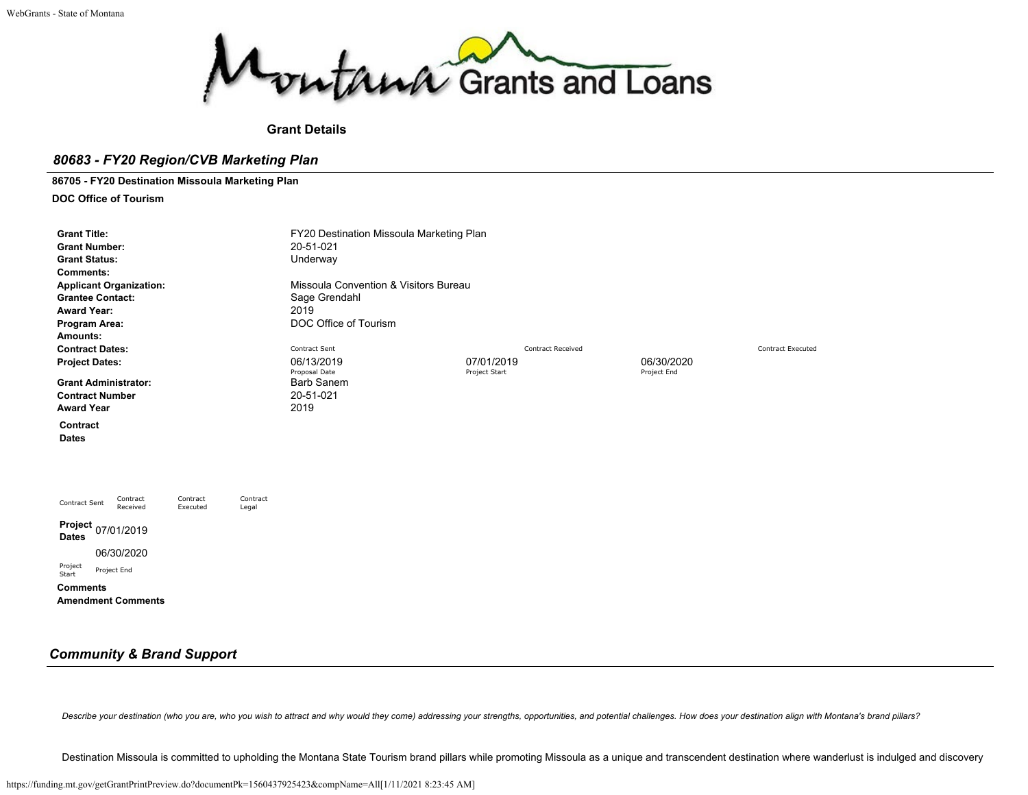

## **Grant Details**

# *80683 - FY20 Region/CVB Marketing Plan*

**86705 - FY20 Destination Missoula Marketing Plan**

**DOC Office of Tourism**

| <b>Grant Title:</b><br><b>Grant Number:</b><br><b>Grant Status:</b><br><b>Comments:</b><br><b>Applicant Organization:</b><br><b>Grantee Contact:</b><br><b>Award Year:</b><br>Program Area: |                                           | FY20 Destination Missoula Marketing Plan<br>20-51-021<br>Underway<br>Sage Grendahl<br>2019<br>DOC Office of Tourism | Missoula Convention & Visitors Bureau |                           |  |  |  |  |  |
|---------------------------------------------------------------------------------------------------------------------------------------------------------------------------------------------|-------------------------------------------|---------------------------------------------------------------------------------------------------------------------|---------------------------------------|---------------------------|--|--|--|--|--|
| Amounts:                                                                                                                                                                                    |                                           |                                                                                                                     |                                       |                           |  |  |  |  |  |
| <b>Contract Dates:</b>                                                                                                                                                                      |                                           | Contract Sent                                                                                                       | <b>Contract Received</b>              | <b>Contract Executed</b>  |  |  |  |  |  |
| <b>Project Dates:</b><br><b>Grant Administrator:</b><br><b>Contract Number</b><br><b>Award Year</b>                                                                                         |                                           | 06/13/2019<br>Proposal Date<br><b>Barb Sanem</b><br>20-51-021<br>2019                                               | 07/01/2019<br>Project Start           | 06/30/2020<br>Project End |  |  |  |  |  |
| Contract<br><b>Dates</b>                                                                                                                                                                    |                                           |                                                                                                                     |                                       |                           |  |  |  |  |  |
| Contract<br>Contract Sent<br>Received                                                                                                                                                       | Contract<br>Contract<br>Executed<br>Legal |                                                                                                                     |                                       |                           |  |  |  |  |  |
| Project 07/01/2019<br><b>Dates</b><br>06/30/2020<br>Project<br>Project End<br>Start<br><b>Comments</b><br><b>Amendment Comments</b>                                                         |                                           |                                                                                                                     |                                       |                           |  |  |  |  |  |

# *Community & Brand Support*

Describe your destination (who you are, who you wish to attract and why would they come) addressing your strengths, opportunities, and potential challenges. How does your destination align with Montana's brand pillars?

Destination Missoula is committed to upholding the Montana State Tourism brand pillars while promoting Missoula as a unique and transcendent destination where wanderlust is indulged and discovery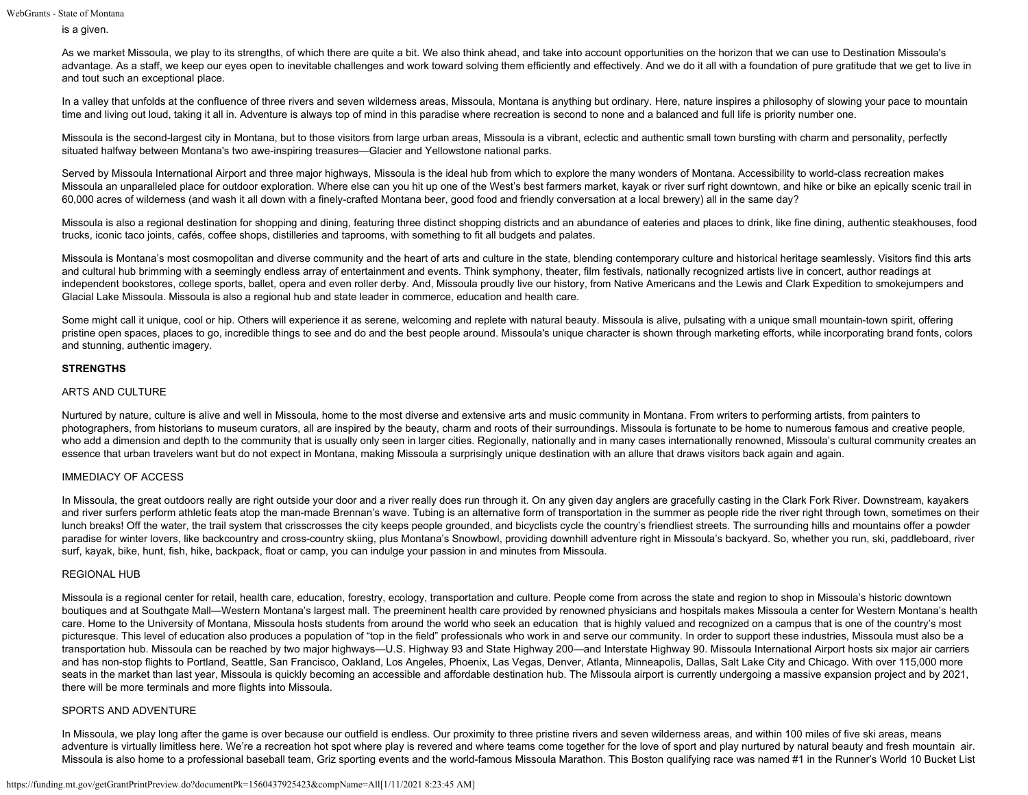is a given.

As we market Missoula, we play to its strengths, of which there are quite a bit. We also think ahead, and take into account opportunities on the horizon that we can use to Destination Missoula's advantage. As a staff, we keep our eyes open to inevitable challenges and work toward solving them efficiently and effectively. And we do it all with a foundation of pure gratitude that we get to live in and tout such an exceptional place.

In a valley that unfolds at the confluence of three rivers and seven wilderness areas, Missoula, Montana is anything but ordinary. Here, nature inspires a philosophy of slowing your pace to mountain time and living out loud, taking it all in. Adventure is always top of mind in this paradise where recreation is second to none and a balanced and full life is priority number one.

Missoula is the second-largest city in Montana, but to those visitors from large urban areas, Missoula is a vibrant, eclectic and authentic small town bursting with charm and personality, perfectly situated halfway between Montana's two awe-inspiring treasures—Glacier and Yellowstone national parks.

Served by Missoula International Airport and three major highways, Missoula is the ideal hub from which to explore the many wonders of Montana. Accessibility to world-class recreation makes Missoula an unparalleled place for outdoor exploration. Where else can you hit up one of the West's best farmers market, kayak or river surf right downtown, and hike or bike an epically scenic trail in 60,000 acres of wilderness (and wash it all down with a finely-crafted Montana beer, good food and friendly conversation at a local brewery) all in the same day?

Missoula is also a regional destination for shopping and dining, featuring three distinct shopping districts and an abundance of eateries and places to drink, like fine dining, authentic steakhouses, food trucks, iconic taco joints, cafés, coffee shops, distilleries and taprooms, with something to fit all budgets and palates.

Missoula is Montana's most cosmopolitan and diverse community and the heart of arts and culture in the state, blending contemporary culture and historical heritage seamlessly. Visitors find this arts and cultural hub brimming with a seemingly endless array of entertainment and events. Think symphony, theater, film festivals, nationally recognized artists live in concert, author readings at independent bookstores, college sports, ballet, opera and even roller derby. And, Missoula proudly live our history, from Native Americans and the Lewis and Clark Expedition to smokejumpers and Glacial Lake Missoula. Missoula is also a regional hub and state leader in commerce, education and health care.

Some might call it unique, cool or hip. Others will experience it as serene, welcoming and replete with natural beauty. Missoula is alive, pulsating with a unique small mountain-town spirit, offering pristine open spaces, places to go, incredible things to see and do and the best people around. Missoula's unique character is shown through marketing efforts, while incorporating brand fonts, colors and stunning, authentic imagery.

## **STRENGTHS**

## ARTS AND CULTURE

Nurtured by nature, culture is alive and well in Missoula, home to the most diverse and extensive arts and music community in Montana. From writers to performing artists, from painters to photographers, from historians to museum curators, all are inspired by the beauty, charm and roots of their surroundings. Missoula is fortunate to be home to numerous famous and creative people, who add a dimension and depth to the community that is usually only seen in larger cities. Regionally, nationally and in many cases internationally renowned, Missoula's cultural community creates an essence that urban travelers want but do not expect in Montana, making Missoula a surprisingly unique destination with an allure that draws visitors back again and again.

### IMMEDIACY OF ACCESS

In Missoula, the great outdoors really are right outside your door and a river really does run through it. On any given day anglers are gracefully casting in the Clark Fork River. Downstream, kayakers and river surfers perform athletic feats atop the man-made Brennan's wave. Tubing is an alternative form of transportation in the summer as people ride the river right through town, sometimes on their lunch breaks! Off the water, the trail system that crisscrosses the city keeps people grounded, and bicyclists cycle the country's friendliest streets. The surrounding hills and mountains offer a powder paradise for winter lovers, like backcountry and cross-country skiing, plus Montana's Snowbowl, providing downhill adventure right in Missoula's backyard. So, whether you run, ski, paddleboard, river surf, kayak, bike, hunt, fish, hike, backpack, float or camp, you can indulge your passion in and minutes from Missoula.

### REGIONAL HUB

Missoula is a regional center for retail, health care, education, forestry, ecology, transportation and culture. People come from across the state and region to shop in Missoula's historic downtown boutiques and at Southgate Mall—Western Montana's largest mall. The preeminent health care provided by renowned physicians and hospitals makes Missoula a center for Western Montana's health care. Home to the University of Montana, Missoula hosts students from around the world who seek an education that is highly valued and recognized on a campus that is one of the country's most picturesque. This level of education also produces a population of "top in the field" professionals who work in and serve our community. In order to support these industries, Missoula must also be a transportation hub. Missoula can be reached by two major highways—U.S. Highway 93 and State Highway 200—and Interstate Highway 90. Missoula International Airport hosts six major air carriers and has non-stop flights to Portland, Seattle, San Francisco, Oakland, Los Angeles, Phoenix, Las Vegas, Denver, Atlanta, Minneapolis, Dallas, Salt Lake City and Chicago. With over 115,000 more seats in the market than last year, Missoula is quickly becoming an accessible and affordable destination hub. The Missoula airport is currently undergoing a massive expansion project and by 2021, there will be more terminals and more flights into Missoula.

### SPORTS AND ADVENTURE

In Missoula, we play long after the game is over because our outfield is endless. Our proximity to three pristine rivers and seven wilderness areas, and within 100 miles of five ski areas, means adventure is virtually limitless here. We're a recreation hot spot where play is revered and where teams come together for the love of sport and play nurtured by natural beauty and fresh mountain air. Missoula is also home to a professional baseball team, Griz sporting events and the world-famous Missoula Marathon. This Boston qualifying race was named #1 in the Runner's World 10 Bucket List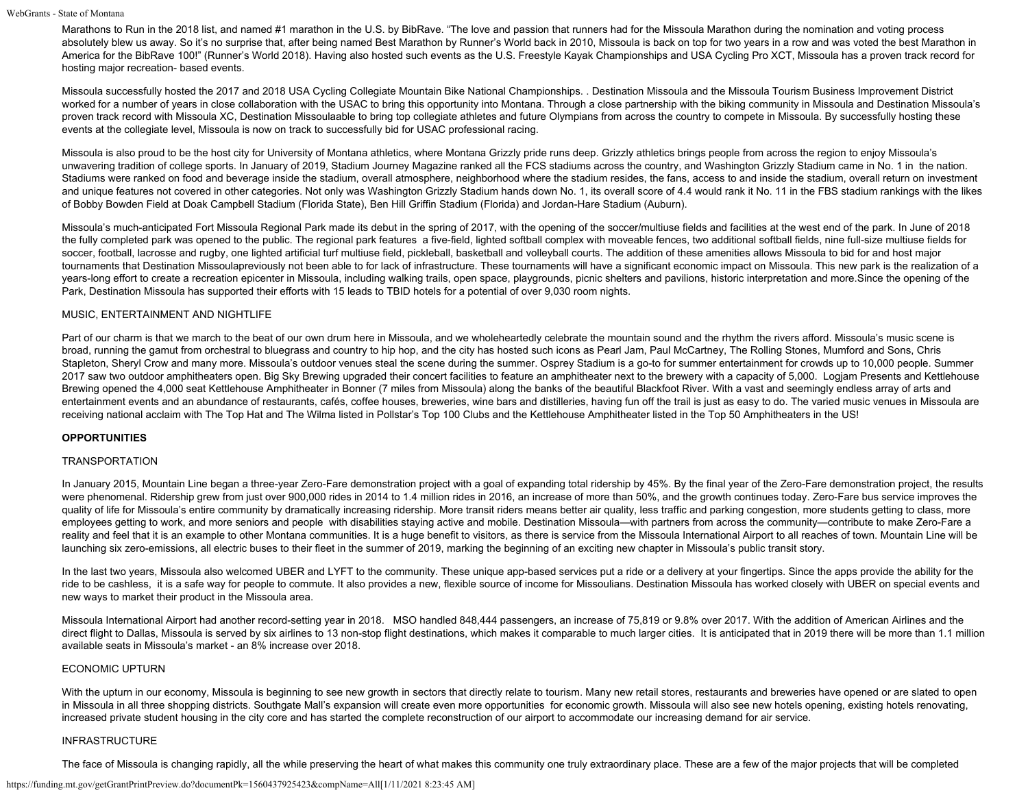Marathons to Run in the 2018 list, and named #1 marathon in the U.S. by BibRave. "The love and passion that runners had for the Missoula Marathon during the nomination and voting process absolutely blew us away. So it's no surprise that, after being named Best Marathon by Runner's World back in 2010, Missoula is back on top for two years in a row and was voted the best Marathon in America for the BibRave 100!" (Runner's World 2018). Having also hosted such events as the U.S. Freestyle Kayak Championships and USA Cycling Pro XCT, Missoula has a proven track record for hosting major recreation- based events.

Missoula successfully hosted the 2017 and 2018 USA Cycling Collegiate Mountain Bike National Championships. . Destination Missoula and the Missoula Tourism Business Improvement District worked for a number of years in close collaboration with the USAC to bring this opportunity into Montana. Through a close partnership with the biking community in Missoula and Destination Missoula's proven track record with Missoula XC, Destination Missoulaable to bring top collegiate athletes and future Olympians from across the country to compete in Missoula. By successfully hosting these events at the collegiate level, Missoula is now on track to successfully bid for USAC professional racing.

Missoula is also proud to be the host city for University of Montana athletics, where Montana Grizzly pride runs deep. Grizzly athletics brings people from across the region to enjoy Missoula's unwavering tradition of college sports. In January of 2019, Stadium Journey Magazine ranked all the FCS stadiums across the country, and Washington Grizzly Stadium came in No. 1 in the nation. Stadiums were ranked on food and beverage inside the stadium, overall atmosphere, neighborhood where the stadium resides, the fans, access to and inside the stadium, overall return on investment and unique features not covered in other categories. Not only was Washington Grizzly Stadium hands down No. 1, its overall score of 4.4 would rank it No. 11 in the FBS stadium rankings with the likes of Bobby Bowden Field at Doak Campbell Stadium (Florida State), Ben Hill Griffin Stadium (Florida) and Jordan-Hare Stadium (Auburn).

Missoula's much-anticipated Fort Missoula Regional Park made its debut in the spring of 2017, with the opening of the soccer/multiuse fields and facilities at the west end of the park. In June of 2018 the fully completed park was opened to the public. The regional park features a five-field, lighted softball complex with moveable fences, two additional softball fields, nine full-size multiuse fields for soccer, football, lacrosse and rugby, one lighted artificial turf multiuse field, pickleball, basketball and volleyball courts. The addition of these amenities allows Missoula to bid for and host major tournaments that Destination Missoulapreviously not been able to for lack of infrastructure. These tournaments will have a significant economic impact on Missoula. This new park is the realization of a years-long effort to create a recreation epicenter in Missoula, including walking trails, open space, playgrounds, picnic shelters and pavilions, historic interpretation and more. Since the opening of the Park, Destination Missoula has supported their efforts with 15 leads to TBID hotels for a potential of over 9,030 room nights.

## MUSIC, ENTERTAINMENT AND NIGHTLIFE

Part of our charm is that we march to the beat of our own drum here in Missoula, and we wholeheartedly celebrate the mountain sound and the rhythm the rivers afford. Missoula's music scene is broad, running the gamut from orchestral to bluegrass and country to hip hop, and the city has hosted such icons as Pearl Jam, Paul McCartney, The Rolling Stones, Mumford and Sons, Chris Stapleton, Sheryl Crow and many more. Missoula's outdoor venues steal the scene during the summer. Osprey Stadium is a go-to for summer entertainment for crowds up to 10,000 people. Summer 2017 saw two outdoor amphitheaters open. Big Sky Brewing upgraded their concert facilities to feature an amphitheater next to the brewery with a capacity of 5,000. Logjam Presents and Kettlehouse Brewing opened the 4,000 seat Kettlehouse Amphitheater in Bonner (7 miles from Missoula) along the banks of the beautiful Blackfoot River. With a vast and seemingly endless array of arts and entertainment events and an abundance of restaurants, cafés, coffee houses, breweries, wine bars and distilleries, having fun off the trail is just as easy to do. The varied music venues in Missoula are receiving national acclaim with The Top Hat and The Wilma listed in Pollstar's Top 100 Clubs and the Kettlehouse Amphitheater listed in the Top 50 Amphitheaters in the US!

### **OPPORTUNITIES**

#### TRANSPORTATION

In January 2015, Mountain Line began a three-year Zero-Fare demonstration project with a goal of expanding total ridership by 45%. By the final year of the Zero-Fare demonstration project, the results were phenomenal. Ridership grew from just over 900,000 rides in 2014 to 1.4 million rides in 2016, an increase of more than 50%, and the growth continues today. Zero-Fare bus service improves the quality of life for Missoula's entire community by dramatically increasing ridership. More transit riders means better air quality, less traffic and parking congestion, more students getting to class, more employees getting to work, and more seniors and people with disabilities staying active and mobile. Destination Missoula—with partners from across the community—contribute to make Zero-Fare a reality and feel that it is an example to other Montana communities. It is a huge benefit to visitors, as there is service from the Missoula International Airport to all reaches of town. Mountain Line will be launching six zero-emissions, all electric buses to their fleet in the summer of 2019, marking the beginning of an exciting new chapter in Missoula's public transit story.

In the last two years, Missoula also welcomed UBER and LYFT to the community. These unique app-based services put a ride or a delivery at your fingertips. Since the apps provide the ability for the ride to be cashless, it is a safe way for people to commute. It also provides a new, flexible source of income for Missoulians. Destination Missoula has worked closely with UBER on special events and new ways to market their product in the Missoula area.

Missoula International Airport had another record-setting year in 2018. MSO handled 848,444 passengers, an increase of 75,819 or 9.8% over 2017. With the addition of American Airlines and the direct flight to Dallas, Missoula is served by six airlines to 13 non-stop flight destinations, which makes it comparable to much larger cities. It is anticipated that in 2019 there will be more than 1.1 million available seats in Missoula's market - an 8% increase over 2018.

### ECONOMIC UPTURN

With the upturn in our economy, Missoula is beginning to see new growth in sectors that directly relate to tourism. Many new retail stores, restaurants and breweries have opened or are slated to open in Missoula in all three shopping districts. Southgate Mall's expansion will create even more opportunities for economic growth. Missoula will also see new hotels opening, existing hotels renovating, increased private student housing in the city core and has started the complete reconstruction of our airport to accommodate our increasing demand for air service.

#### INFRASTRUCTURE

The face of Missoula is changing rapidly, all the while preserving the heart of what makes this community one truly extraordinary place. These are a few of the major projects that will be completed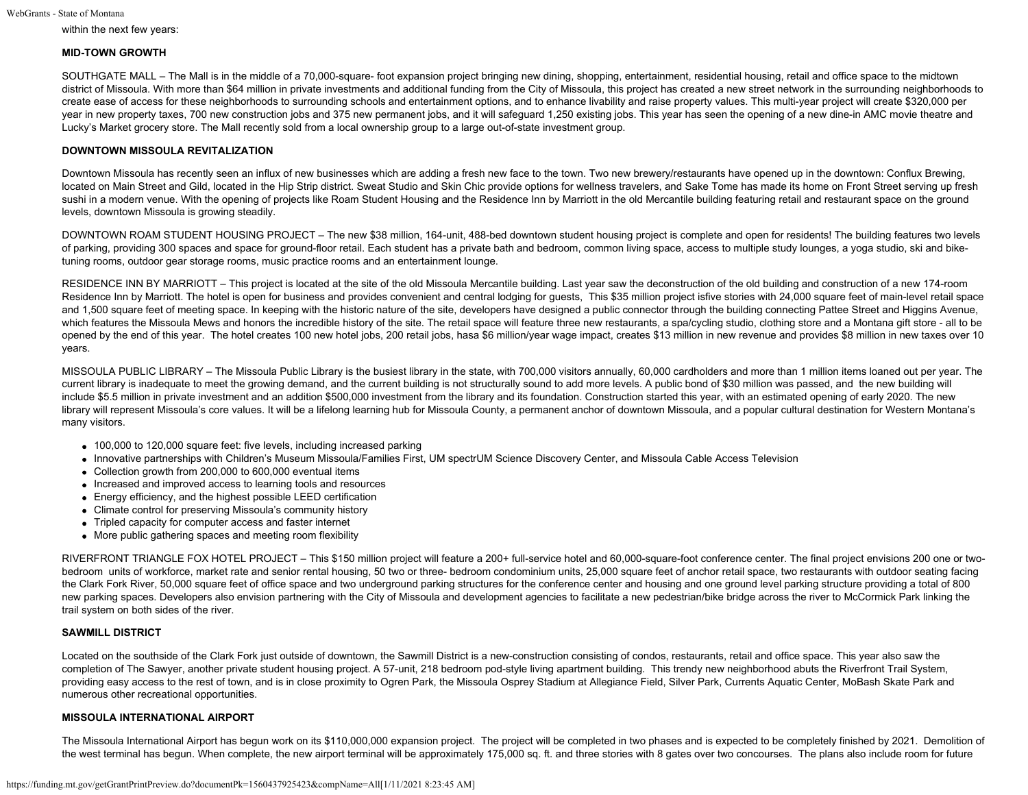within the next few years:

### **MID-TOWN GROWTH**

SOUTHGATE MALL – The Mall is in the middle of a 70,000-square- foot expansion project bringing new dining, shopping, entertainment, residential housing, retail and office space to the midtown district of Missoula. With more than \$64 million in private investments and additional funding from the City of Missoula, this project has created a new street network in the surrounding neighborhoods to create ease of access for these neighborhoods to surrounding schools and entertainment options, and to enhance livability and raise property values. This multi-year project will create \$320,000 per year in new property taxes, 700 new construction jobs and 375 new permanent jobs, and it will safeguard 1,250 existing jobs. This year has seen the opening of a new dine-in AMC movie theatre and Lucky's Market grocery store. The Mall recently sold from a local ownership group to a large out-of-state investment group.

## **DOWNTOWN MISSOULA REVITALIZATION**

Downtown Missoula has recently seen an influx of new businesses which are adding a fresh new face to the town. Two new brewery/restaurants have opened up in the downtown: Conflux Brewing, located on Main Street and Gild, located in the Hip Strip district. Sweat Studio and Skin Chic provide options for wellness travelers, and Sake Tome has made its home on Front Street serving up fresh sushi in a modern venue. With the opening of projects like Roam Student Housing and the Residence Inn by Marriott in the old Mercantile building featuring retail and restaurant space on the ground levels, downtown Missoula is growing steadily.

DOWNTOWN ROAM STUDENT HOUSING PROJECT – The new \$38 million, 164-unit, 488-bed downtown student housing project is complete and open for residents! The building features two levels of parking, providing 300 spaces and space for ground-floor retail. Each student has a private bath and bedroom, common living space, access to multiple study lounges, a yoga studio, ski and biketuning rooms, outdoor gear storage rooms, music practice rooms and an entertainment lounge.

RESIDENCE INN BY MARRIOTT – This project is located at the site of the old Missoula Mercantile building. Last year saw the deconstruction of the old building and construction of a new 174-room Residence Inn by Marriott. The hotel is open for business and provides convenient and central lodging for guests, This \$35 million project isfive stories with 24,000 square feet of main-level retail space and 1,500 square feet of meeting space. In keeping with the historic nature of the site, developers have designed a public connector through the building connecting Pattee Street and Higgins Avenue, which features the Missoula Mews and honors the incredible history of the site. The retail space will feature three new restaurants, a spa/cycling studio, clothing store and a Montana gift store - all to be opened by the end of this year. The hotel creates 100 new hotel jobs, 200 retail jobs, hasa \$6 million/year wage impact, creates \$13 million in new revenue and provides \$8 million in new taxes over 10 years.

MISSOULA PUBLIC LIBRARY – The Missoula Public Library is the busiest library in the state, with 700,000 visitors annually, 60,000 cardholders and more than 1 million items loaned out per year. The current library is inadequate to meet the growing demand, and the current building is not structurally sound to add more levels. A public bond of \$30 million was passed, and the new building will include \$5.5 million in private investment and an addition \$500,000 investment from the library and its foundation. Construction started this year, with an estimated opening of early 2020. The new library will represent Missoula's core values. It will be a lifelong learning hub for Missoula County, a permanent anchor of downtown Missoula, and a popular cultural destination for Western Montana's many visitors.

- 100,000 to 120,000 square feet: five levels, including increased parking
- Innovative partnerships with Children's Museum Missoula/Families First, UM spectrUM Science Discovery Center, and Missoula Cable Access Television
- Collection growth from 200,000 to 600,000 eventual items
- Increased and improved access to learning tools and resources
- Energy efficiency, and the highest possible LEED certification
- Climate control for preserving Missoula's community history
- Tripled capacity for computer access and faster internet
- More public gathering spaces and meeting room flexibility

RIVERFRONT TRIANGLE FOX HOTEL PROJECT – This \$150 million project will feature a 200+ full-service hotel and 60,000-square-foot conference center. The final project envisions 200 one or twobedroom units of workforce, market rate and senior rental housing, 50 two or three- bedroom condominium units, 25,000 square feet of anchor retail space, two restaurants with outdoor seating facing the Clark Fork River, 50,000 square feet of office space and two underground parking structures for the conference center and housing and one ground level parking structure providing a total of 800 new parking spaces. Developers also envision partnering with the City of Missoula and development agencies to facilitate a new pedestrian/bike bridge across the river to McCormick Park linking the trail system on both sides of the river.

### **SAWMILL DISTRICT**

Located on the southside of the Clark Fork just outside of downtown, the Sawmill District is a new-construction consisting of condos, restaurants, retail and office space. This year also saw the completion of The Sawyer, another private student housing project. A 57-unit, 218 bedroom pod-style living apartment building. This trendy new neighborhood abuts the Riverfront Trail System, providing easy access to the rest of town, and is in close proximity to Ogren Park, the Missoula Osprey Stadium at Allegiance Field, Silver Park, Currents Aquatic Center, MoBash Skate Park and numerous other recreational opportunities.

### **MISSOULA INTERNATIONAL AIRPORT**

The Missoula International Airport has begun work on its \$110,000,000 expansion project. The project will be completed in two phases and is expected to be completely finished by 2021. Demolition of the west terminal has begun. When complete, the new airport terminal will be approximately 175,000 sq. ft. and three stories with 8 gates over two concourses. The plans also include room for future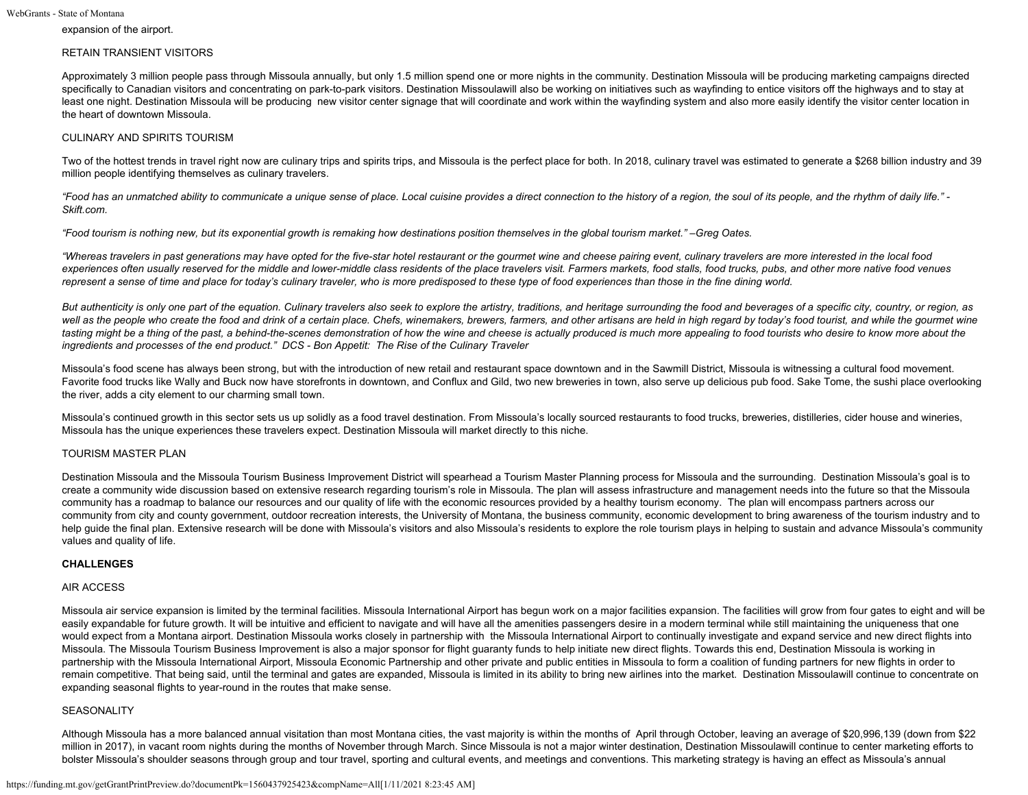expansion of the airport.

## RETAIN TRANSIENT VISITORS

Approximately 3 million people pass through Missoula annually, but only 1.5 million spend one or more nights in the community. Destination Missoula will be producing marketing campaigns directed specifically to Canadian visitors and concentrating on park-to-park visitors. Destination Missoulawill also be working on initiatives such as wayfinding to entice visitors off the highways and to stay at least one night. Destination Missoula will be producing new visitor center signage that will coordinate and work within the wayfinding system and also more easily identify the visitor center location in the heart of downtown Missoula.

### CULINARY AND SPIRITS TOURISM

Two of the hottest trends in travel right now are culinary trips and spirits trips, and Missoula is the perfect place for both. In 2018, culinary travel was estimated to generate a \$268 billion industry and 39 million people identifying themselves as culinary travelers.

*"Food has an unmatched ability to communicate a unique sense of place. Local cuisine provides a direct connection to the history of a region, the soul of its people, and the rhythm of daily life." - Skift.com.*

*"Food tourism is nothing new, but its exponential growth is remaking how destinations position themselves in the global tourism market." –Greg Oates.*

*"Whereas travelers in past generations may have opted for the five-star hotel restaurant or the gourmet wine and cheese pairing event, culinary travelers are more interested in the local food experiences often usually reserved for the middle and lower-middle class residents of the place travelers visit. Farmers markets, food stalls, food trucks, pubs, and other more native food venues represent a sense of time and place for today's culinary traveler, who is more predisposed to these type of food experiences than those in the fine dining world.*

*But authenticity is only one part of the equation. Culinary travelers also seek to explore the artistry, traditions, and heritage surrounding the food and beverages of a specific city, country, or region, as well as the people who create the food and drink of a certain place. Chefs, winemakers, brewers, farmers, and other artisans are held in high regard by today's food tourist, and while the gourmet wine tasting might be a thing of the past, a behind-the-scenes demonstration of how the wine and cheese is actually produced is much more appealing to food tourists who desire to know more about the ingredients and processes of the end product." DCS - Bon Appetit: The Rise of the Culinary Traveler*

Missoula's food scene has always been strong, but with the introduction of new retail and restaurant space downtown and in the Sawmill District, Missoula is witnessing a cultural food movement. Favorite food trucks like Wally and Buck now have storefronts in downtown, and Conflux and Gild, two new breweries in town, also serve up delicious pub food. Sake Tome, the sushi place overlooking the river, adds a city element to our charming small town.

Missoula's continued growth in this sector sets us up solidly as a food travel destination. From Missoula's locally sourced restaurants to food trucks, breweries, distilleries, cider house and wineries, Missoula has the unique experiences these travelers expect. Destination Missoula will market directly to this niche.

# TOURISM MASTER PLAN

Destination Missoula and the Missoula Tourism Business Improvement District will spearhead a Tourism Master Planning process for Missoula and the surrounding. Destination Missoula's goal is to create a community wide discussion based on extensive research regarding tourism's role in Missoula. The plan will assess infrastructure and management needs into the future so that the Missoula community has a roadmap to balance our resources and our quality of life with the economic resources provided by a healthy tourism economy. The plan will encompass partners across our community from city and county government, outdoor recreation interests, the University of Montana, the business community, economic development to bring awareness of the tourism industry and to help quide the final plan. Extensive research will be done with Missoula's visitors and also Missoula's residents to explore the role tourism plays in helping to sustain and advance Missoula's community values and quality of life.

### **CHALLENGES**

### AIR ACCESS

Missoula air service expansion is limited by the terminal facilities. Missoula International Airport has begun work on a major facilities expansion. The facilities will grow from four gates to eight and will be easily expandable for future growth. It will be intuitive and efficient to navigate and will have all the amenities passengers desire in a modern terminal while still maintaining the uniqueness that one would expect from a Montana airport. Destination Missoula works closely in partnership with the Missoula International Airport to continually investigate and expand service and new direct flights into Missoula. The Missoula Tourism Business Improvement is also a major sponsor for flight guaranty funds to help initiate new direct flights. Towards this end, Destination Missoula is working in partnership with the Missoula International Airport, Missoula Economic Partnership and other private and public entities in Missoula to form a coalition of funding partners for new flights in order to remain competitive. That being said, until the terminal and gates are expanded, Missoula is limited in its ability to bring new airlines into the market. Destination Missoulawill continue to concentrate on expanding seasonal flights to year-round in the routes that make sense.

# SEASONALITY

Although Missoula has a more balanced annual visitation than most Montana cities, the vast majority is within the months of April through October, leaving an average of \$20,996,139 (down from \$22 million in 2017), in vacant room nights during the months of November through March. Since Missoula is not a major winter destination, Destination Missoulawill continue to center marketing efforts to bolster Missoula's shoulder seasons through group and tour travel, sporting and cultural events, and meetings and conventions. This marketing strategy is having an effect as Missoula's annual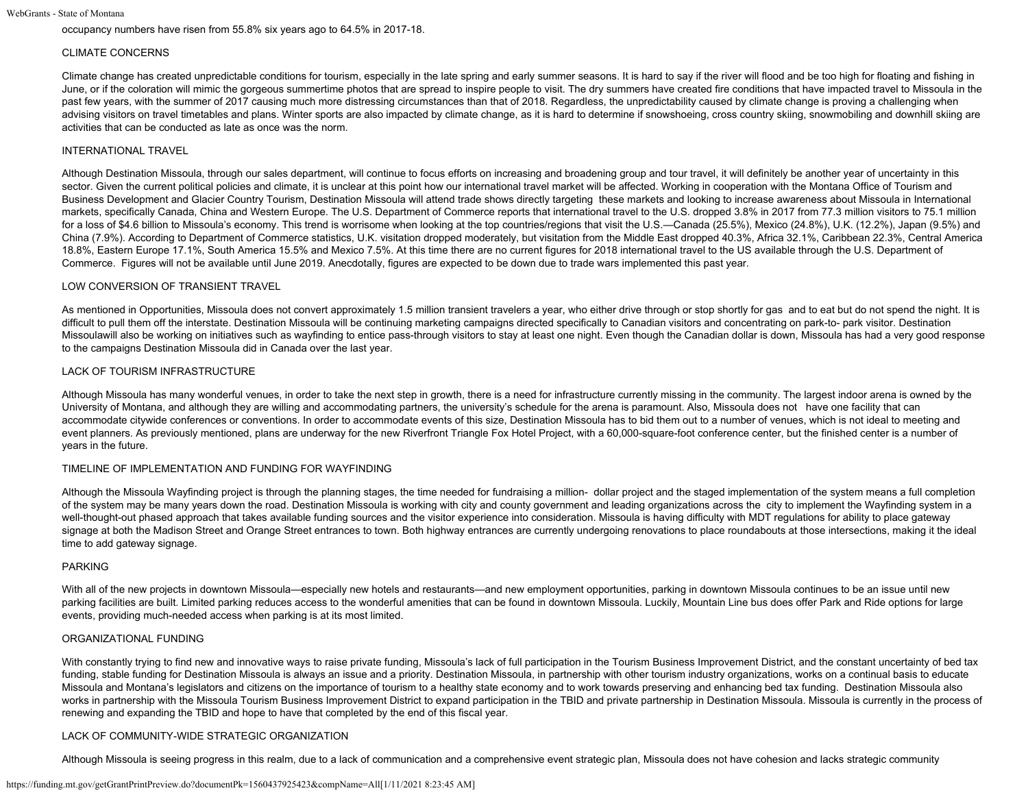occupancy numbers have risen from 55.8% six years ago to 64.5% in 2017-18.

#### CLIMATE CONCERNS

Climate change has created unpredictable conditions for tourism, especially in the late spring and early summer seasons. It is hard to say if the river will flood and be too high for floating and fishing in June, or if the coloration will mimic the gorgeous summertime photos that are spread to inspire people to visit. The dry summers have created fire conditions that have impacted travel to Missoula in the past few years, with the summer of 2017 causing much more distressing circumstances than that of 2018. Regardless, the unpredictability caused by climate change is proving a challenging when advising visitors on travel timetables and plans. Winter sports are also impacted by climate change, as it is hard to determine if snowshoeing, cross country skiing, snowmobiling and downhill skiing are activities that can be conducted as late as once was the norm.

#### INTERNATIONAL TRAVEL

Although Destination Missoula, through our sales department, will continue to focus efforts on increasing and broadening group and tour travel, it will definitely be another year of uncertainty in this sector. Given the current political policies and climate, it is unclear at this point how our international travel market will be affected. Working in cooperation with the Montana Office of Tourism and Business Development and Glacier Country Tourism, Destination Missoula will attend trade shows directly targeting these markets and looking to increase awareness about Missoula in International markets, specifically Canada, China and Western Europe. The U.S. Department of Commerce reports that international travel to the U.S. dropped 3.8% in 2017 from 77.3 million visitors to 75.1 million for a loss of \$4.6 billion to Missoula's economy. This trend is worrisome when looking at the top countries/regions that visit the U.S.—Canada (25.5%). Mexico (24.8%), U.K. (12.2%), Japan (9.5%) and China (7.9%). According to Department of Commerce statistics, U.K. visitation dropped moderately, but visitation from the Middle East dropped 40.3%, Africa 32.1%, Caribbean 22.3%, Central America 18.8%, Eastern Europe 17.1%, South America 15.5% and Mexico 7.5%. At this time there are no current figures for 2018 international travel to the US available through the U.S. Department of Commerce. Figures will not be available until June 2019. Anecdotally, figures are expected to be down due to trade wars implemented this past year.

#### LOW CONVERSION OF TRANSIENT TRAVEL

As mentioned in Opportunities, Missoula does not convert approximately 1.5 million transient travelers a year, who either drive through or stop shortly for gas and to eat but do not spend the night. It is difficult to pull them off the interstate. Destination Missoula will be continuing marketing campaigns directed specifically to Canadian visitors and concentrating on park-to- park visitor. Destination Missoulawill also be working on initiatives such as wayfinding to entice pass-through visitors to stay at least one night. Even though the Canadian dollar is down, Missoula has had a very good response to the campaigns Destination Missoula did in Canada over the last year.

#### LACK OF TOURISM INFRASTRUCTURE

Although Missoula has many wonderful venues, in order to take the next step in growth, there is a need for infrastructure currently missing in the community. The largest indoor arena is owned by the University of Montana, and although they are willing and accommodating partners, the university's schedule for the arena is paramount. Also, Missoula does not have one facility that can accommodate citywide conferences or conventions. In order to accommodate events of this size, Destination Missoula has to bid them out to a number of venues, which is not ideal to meeting and event planners. As previously mentioned, plans are underway for the new Riverfront Triangle Fox Hotel Project, with a 60,000-square-foot conference center, but the finished center is a number of years in the future.

#### TIMELINE OF IMPLEMENTATION AND FUNDING FOR WAYFINDING

Although the Missoula Wayfinding project is through the planning stages, the time needed for fundraising a million- dollar project and the staged implementation of the system means a full completion of the system may be many years down the road. Destination Missoula is working with city and county government and leading organizations across the city to implement the Wayfinding system in a well-thought-out phased approach that takes available funding sources and the visitor experience into consideration. Missoula is having difficulty with MDT regulations for ability to place gateway signage at both the Madison Street and Orange Street entrances to town. Both highway entrances are currently undergoing renovations to place roundabouts at those intersections, making it the ideal time to add gateway signage.

#### PARKING

With all of the new projects in downtown Missoula—especially new hotels and restaurants—and new employment opportunities, parking in downtown Missoula continues to be an issue until new parking facilities are built. Limited parking reduces access to the wonderful amenities that can be found in downtown Missoula. Luckily, Mountain Line bus does offer Park and Ride options for large events, providing much-needed access when parking is at its most limited.

#### ORGANIZATIONAL FUNDING

With constantly trying to find new and innovative ways to raise private funding, Missoula's lack of full participation in the Tourism Business Improvement District, and the constant uncertainty of bed tax funding, stable funding for Destination Missoula is always an issue and a priority. Destination Missoula, in partnership with other tourism industry organizations, works on a continual basis to educate Missoula and Montana's legislators and citizens on the importance of tourism to a healthy state economy and to work towards preserving and enhancing bed tax funding. Destination Missoula also works in partnership with the Missoula Tourism Business Improvement District to expand participation in the TBID and private partnership in Destination Missoula. Missoula is currently in the process of renewing and expanding the TBID and hope to have that completed by the end of this fiscal year.

### LACK OF COMMUNITY-WIDE STRATEGIC ORGANIZATION

Although Missoula is seeing progress in this realm, due to a lack of communication and a comprehensive event strategic plan, Missoula does not have cohesion and lacks strategic community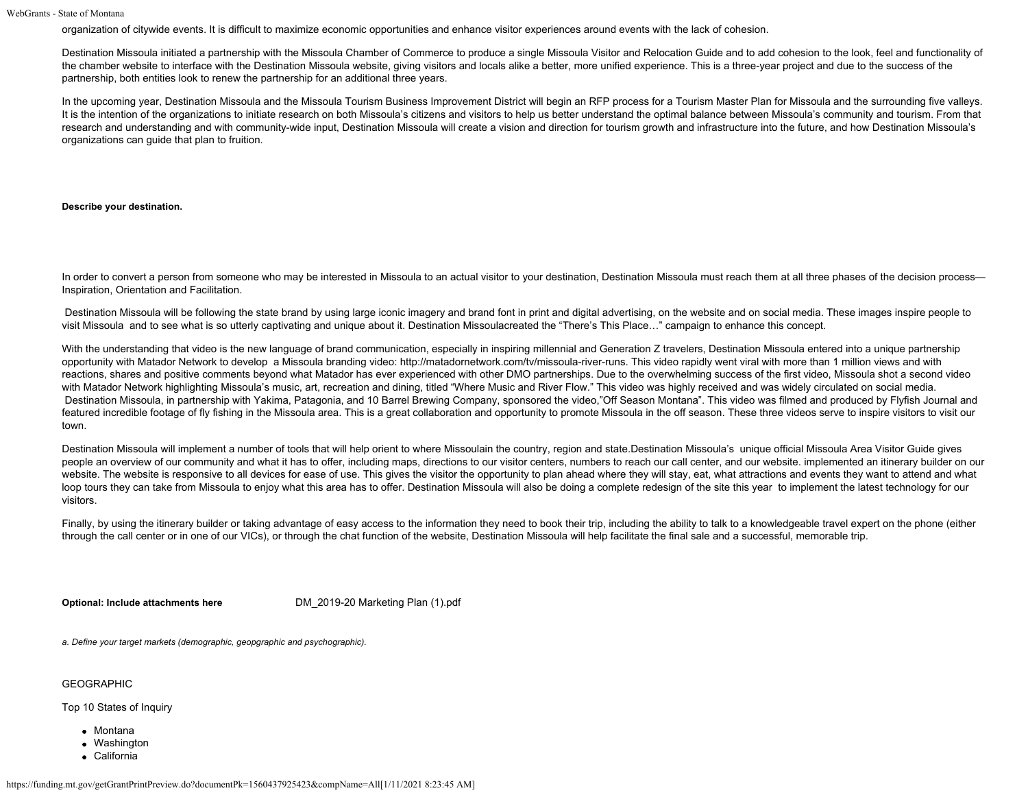organization of citywide events. It is difficult to maximize economic opportunities and enhance visitor experiences around events with the lack of cohesion.

Destination Missoula initiated a partnership with the Missoula Chamber of Commerce to produce a single Missoula Visitor and Relocation Guide and to add cohesion to the look, feel and functionality of the chamber website to interface with the Destination Missoula website, giving visitors and locals alike a better, more unified experience. This is a three-year project and due to the success of the partnership, both entities look to renew the partnership for an additional three years.

In the upcoming year, Destination Missoula and the Missoula Tourism Business Improvement District will begin an RFP process for a Tourism Master Plan for Missoula and the surrounding five valleys. It is the intention of the organizations to initiate research on both Missoula's citizens and visitors to help us better understand the optimal balance between Missoula's community and tourism. From that research and understanding and with community-wide input, Destination Missoula will create a vision and direction for tourism growth and infrastructure into the future, and how Destination Missoula's organizations can guide that plan to fruition.

**Describe your destination.**

In order to convert a person from someone who may be interested in Missoula to an actual visitor to your destination, Destination Missoula must reach them at all three phases of the decision process-Inspiration, Orientation and Facilitation.

Destination Missoula will be following the state brand by using large iconic imagery and brand font in print and digital advertising, on the website and on social media. These images inspire people to visit Missoula and to see what is so utterly captivating and unique about it. Destination Missoulacreated the "There's This Place…" campaign to enhance this concept.

With the understanding that video is the new language of brand communication, especially in inspiring millennial and Generation Z travelers, Destination Missoula entered into a unique partnership opportunity with Matador Network to develop a Missoula branding video: http://matadornetwork.com/tv/missoula-river-runs. This video rapidly went viral with more than 1 million views and with reactions, shares and positive comments beyond what Matador has ever experienced with other DMO partnerships. Due to the overwhelming success of the first video, Missoula shot a second video with Matador Network highlighting Missoula's music, art, recreation and dining, titled "Where Music and River Flow." This video was highly received and was widely circulated on social media. Destination Missoula, in partnership with Yakima, Patagonia, and 10 Barrel Brewing Company, sponsored the video,"Off Season Montana". This video was filmed and produced by Flyfish Journal and featured incredible footage of fly fishing in the Missoula area. This is a great collaboration and opportunity to promote Missoula in the off season. These three videos serve to inspire visitors to visit our town.

Destination Missoula will implement a number of tools that will help orient to where Missoulain the country, region and state.Destination Missoula's unique official Missoula Area Visitor Guide gives people an overview of our community and what it has to offer, including maps, directions to our visitor centers, numbers to reach our call center, and our website. implemented an itinerary builder on our website. The website is responsive to all devices for ease of use. This gives the visitor the opportunity to plan ahead where they will stay, eat, what attractions and events they want to attend and what loop tours they can take from Missoula to enjoy what this area has to offer. Destination Missoula will also be doing a complete redesign of the site this year to implement the latest technology for our visitors.

Finally, by using the itinerary builder or taking advantage of easy access to the information they need to book their trip, including the ability to talk to a knowledgeable travel expert on the phone (either through the call center or in one of our VICs), or through the chat function of the website, Destination Missoula will help facilitate the final sale and a successful, memorable trip.

**Optional: Include attachments here DM** 2019-20 Marketing Plan (1).pdf

*a. Define your target markets (demographic, geopgraphic and psychographic).*

GEOGRAPHIC

Top 10 States of Inquiry

- Montana
- Washington
- California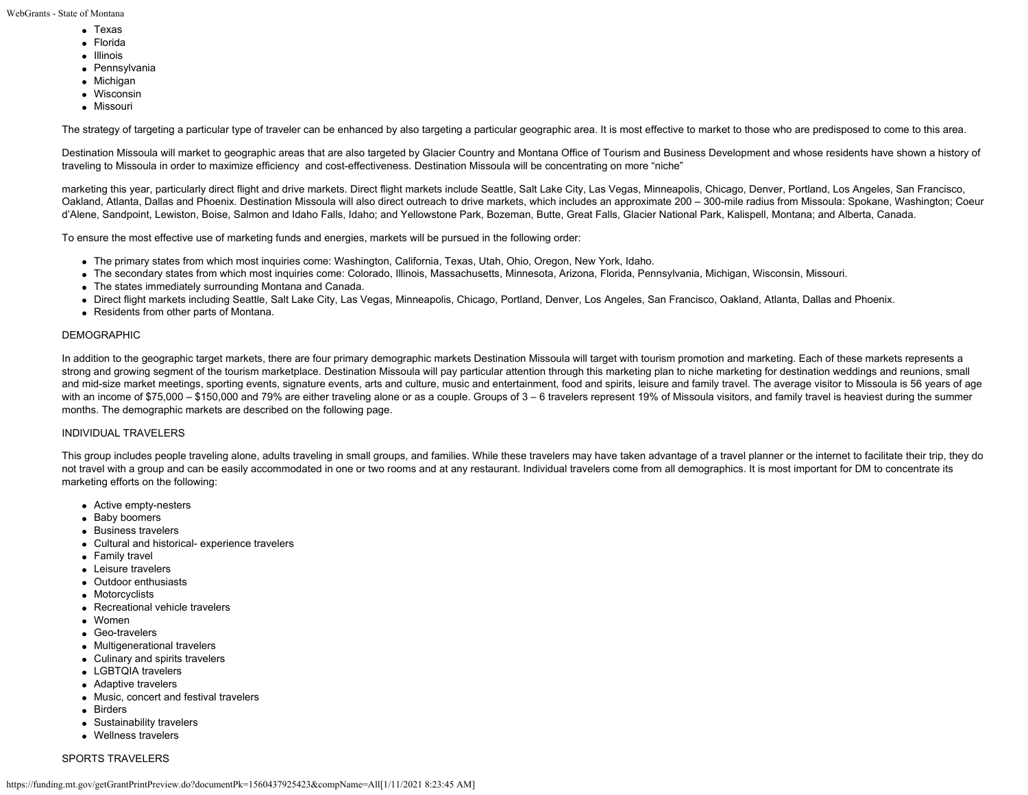- Texas
- Florida
- Illinois
- Pennsylvania
- Michigan
- Wisconsin
- **Missouri**

The strategy of targeting a particular type of traveler can be enhanced by also targeting a particular geographic area. It is most effective to market to those who are predisposed to come to this area.

Destination Missoula will market to geographic areas that are also targeted by Glacier Country and Montana Office of Tourism and Business Development and whose residents have shown a history of traveling to Missoula in order to maximize efficiency and cost-effectiveness. Destination Missoula will be concentrating on more "niche"

marketing this year, particularly direct flight and drive markets. Direct flight markets include Seattle, Salt Lake City, Las Vegas, Minneapolis, Chicago, Denver, Portland, Los Angeles, San Francisco, Oakland, Atlanta, Dallas and Phoenix. Destination Missoula will also direct outreach to drive markets, which includes an approximate 200 – 300-mile radius from Missoula: Spokane, Washington; Coeur d'Alene, Sandpoint, Lewiston, Boise, Salmon and Idaho Falls, Idaho; and Yellowstone Park, Bozeman, Butte, Great Falls, Glacier National Park, Kalispell, Montana; and Alberta, Canada.

To ensure the most effective use of marketing funds and energies, markets will be pursued in the following order:

- The primary states from which most inquiries come: Washington, California, Texas, Utah, Ohio, Oregon, New York, Idaho.
- The secondary states from which most inquiries come: Colorado, Illinois, Massachusetts, Minnesota, Arizona, Florida, Pennsylvania, Michigan, Wisconsin, Missouri.
- The states immediately surrounding Montana and Canada.
- Direct flight markets including Seattle, Salt Lake City, Las Vegas, Minneapolis, Chicago, Portland, Denver, Los Angeles, San Francisco, Oakland, Atlanta, Dallas and Phoenix.
- Residents from other parts of Montana.

### DEMOGRAPHIC

In addition to the geographic target markets, there are four primary demographic markets Destination Missoula will target with tourism promotion and marketing. Each of these markets represents a strong and growing segment of the tourism marketplace. Destination Missoula will pay particular attention through this marketing plan to niche marketing for destination weddings and reunions, small and mid-size market meetings, sporting events, signature events, arts and culture, music and entertainment, food and spirits, leisure and family travel. The average visitor to Missoula is 56 years of age with an income of \$75,000 – \$150,000 and 79% are either traveling alone or as a couple. Groups of 3 – 6 travelers represent 19% of Missoula visitors, and family travel is heaviest during the summer months. The demographic markets are described on the following page.

# INDIVIDUAL TRAVELERS

This group includes people traveling alone, adults traveling in small groups, and families. While these travelers may have taken advantage of a travel planner or the internet to facilitate their trip, they do not travel with a group and can be easily accommodated in one or two rooms and at any restaurant. Individual travelers come from all demographics. It is most important for DM to concentrate its marketing efforts on the following:

- Active empty-nesters
- Baby boomers
- Business travelers
- Cultural and historical- experience travelers
- Family travel
- Leisure travelers
- Outdoor enthusiasts
- Motorcyclists
- Recreational vehicle travelers
- Women
- Geo-travelers
- Multigenerational travelers
- Culinary and spirits travelers
- LGBTQIA travelers
- Adaptive travelers
- Music, concert and festival travelers
- Birders
- Sustainability travelers
- Wellness travelers

# SPORTS TRAVELERS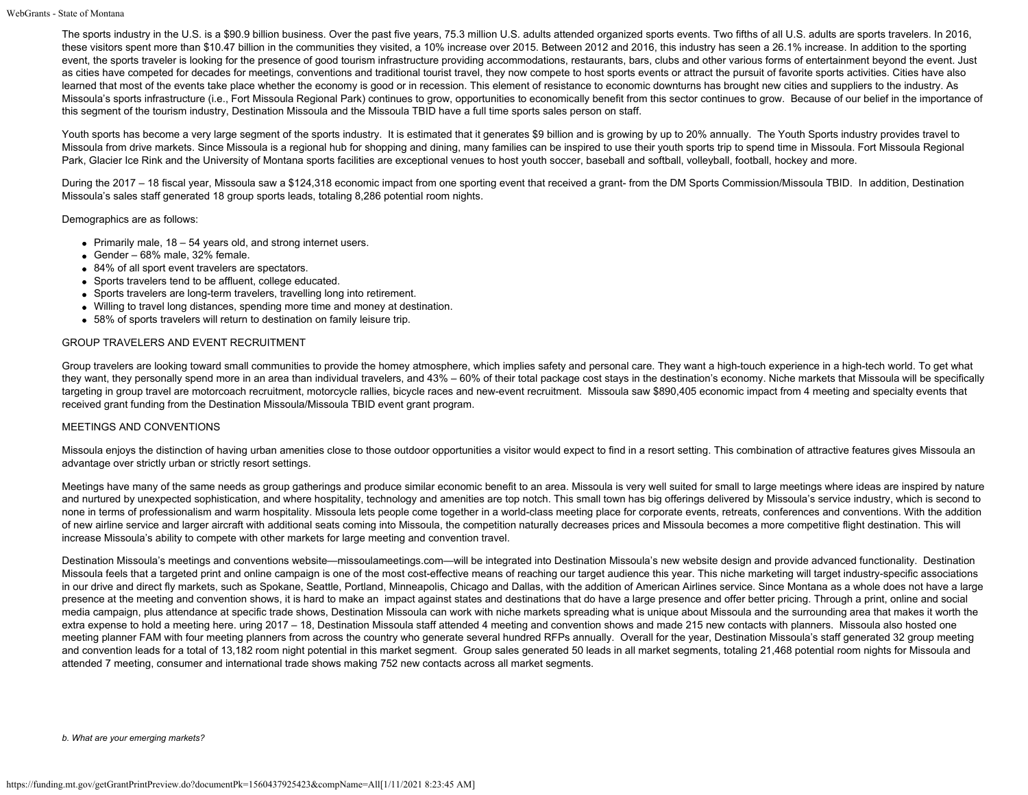The sports industry in the U.S. is a \$90.9 billion business. Over the past five years, 75.3 million U.S. adults attended organized sports events. Two fifths of all U.S. adults are sports travelers. In 2016, these visitors spent more than \$10.47 billion in the communities they visited, a 10% increase over 2015. Between 2012 and 2016, this industry has seen a 26.1% increase. In addition to the sporting event, the sports traveler is looking for the presence of good tourism infrastructure providing accommodations, restaurants, bars, clubs and other various forms of entertainment beyond the event. Just as cities have competed for decades for meetings, conventions and traditional tourist travel, they now compete to host sports events or attract the pursuit of favorite sports activities. Cities have also learned that most of the events take place whether the economy is good or in recession. This element of resistance to economic downturns has brought new cities and suppliers to the industry. As Missoula's sports infrastructure (i.e., Fort Missoula Regional Park) continues to grow, opportunities to economically benefit from this sector continues to grow. Because of our belief in the importance of this segment of the tourism industry, Destination Missoula and the Missoula TBID have a full time sports sales person on staff.

Youth sports has become a very large segment of the sports industry. It is estimated that it generates \$9 billion and is growing by up to 20% annually. The Youth Sports industry provides travel to Missoula from drive markets. Since Missoula is a regional hub for shopping and dining, many families can be inspired to use their youth sports trip to spend time in Missoula. Fort Missoula Regional Park, Glacier Ice Rink and the University of Montana sports facilities are exceptional venues to host youth soccer, baseball and softball, volleyball, football, hockey and more.

During the 2017 – 18 fiscal year, Missoula saw a \$124,318 economic impact from one sporting event that received a grant- from the DM Sports Commission/Missoula TBID. In addition, Destination Missoula's sales staff generated 18 group sports leads, totaling 8,286 potential room nights.

Demographics are as follows:

- Primarily male,  $18 54$  years old, and strong internet users.
- Gender  $68\%$  male,  $32\%$  female.
- 84% of all sport event travelers are spectators.
- Sports travelers tend to be affluent, college educated.
- Sports travelers are long-term travelers, travelling long into retirement.
- Willing to travel long distances, spending more time and money at destination.
- 58% of sports travelers will return to destination on family leisure trip.

### GROUP TRAVELERS AND EVENT RECRUITMENT

Group travelers are looking toward small communities to provide the homey atmosphere, which implies safety and personal care. They want a high-touch experience in a high-tech world. To get what they want, they personally spend more in an area than individual travelers, and 43% – 60% of their total package cost stays in the destination's economy. Niche markets that Missoula will be specifically targeting in group travel are motorcoach recruitment, motorcycle rallies, bicycle races and new-event recruitment. Missoula saw \$890,405 economic impact from 4 meeting and specialty events that received grant funding from the Destination Missoula/Missoula TBID event grant program.

### MEETINGS AND CONVENTIONS

Missoula enjoys the distinction of having urban amenities close to those outdoor opportunities a visitor would expect to find in a resort setting. This combination of attractive features gives Missoula an advantage over strictly urban or strictly resort settings.

Meetings have many of the same needs as group gatherings and produce similar economic benefit to an area. Missoula is very well suited for small to large meetings where ideas are inspired by nature and nurtured by unexpected sophistication, and where hospitality, technology and amenities are top notch. This small town has big offerings delivered by Missoula's service industry, which is second to none in terms of professionalism and warm hospitality. Missoula lets people come together in a world-class meeting place for corporate events, retreats, conferences and conventions. With the addition of new airline service and larger aircraft with additional seats coming into Missoula, the competition naturally decreases prices and Missoula becomes a more competitive flight destination. This will increase Missoula's ability to compete with other markets for large meeting and convention travel.

Destination Missoula's meetings and conventions website—missoulameetings.com—will be integrated into Destination Missoula's new website design and provide advanced functionality. Destination Missoula feels that a targeted print and online campaign is one of the most cost-effective means of reaching our target audience this year. This niche marketing will target industry-specific associations in our drive and direct fly markets, such as Spokane, Seattle, Portland, Minneapolis, Chicago and Dallas, with the addition of American Airlines service. Since Montana as a whole does not have a large presence at the meeting and convention shows, it is hard to make an impact against states and destinations that do have a large presence and offer better pricing. Through a print, online and social media campaign, plus attendance at specific trade shows, Destination Missoula can work with niche markets spreading what is unique about Missoula and the surrounding area that makes it worth the extra expense to hold a meeting here. uring 2017 – 18, Destination Missoula staff attended 4 meeting and convention shows and made 215 new contacts with planners. Missoula also hosted one meeting planner FAM with four meeting planners from across the country who generate several hundred RFPs annually. Overall for the year, Destination Missoula's staff generated 32 group meeting and convention leads for a total of 13,182 room night potential in this market segment. Group sales generated 50 leads in all market segments, totaling 21,468 potential room nights for Missoula and attended 7 meeting, consumer and international trade shows making 752 new contacts across all market segments.

*b. What are your emerging markets?*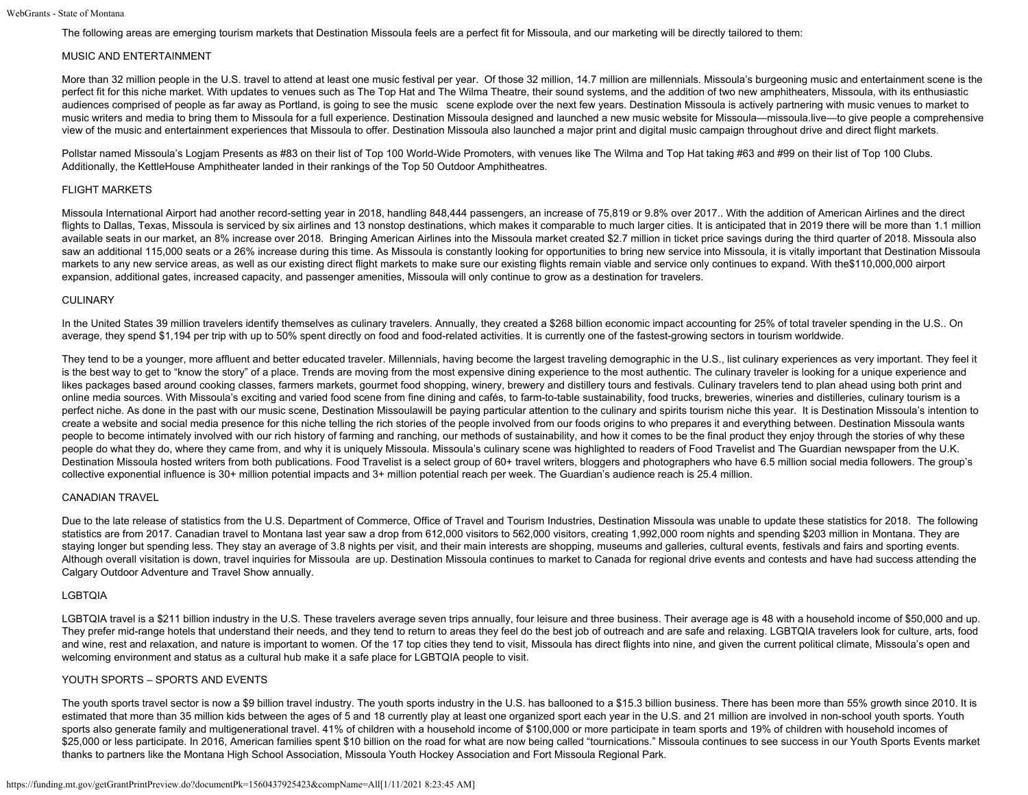The following areas are emerging tourism markets that Destination Missoula feels are a perfect fit for Missoula, and our marketing will be directly tailored to them:

## MUSIC AND ENTERTAINMENT

More than 32 million people in the U.S. travel to attend at least one music festival per year. Of those 32 million, 14.7 million are millennials. Missoula's burgeoning music and entertainment scene is the perfect fit for this niche market. With updates to venues such as The Top Hat and The Wilma Theatre, their sound systems, and the addition of two new amphitheaters, Missoula, with its enthusiastic audiences comprised of people as far away as Portland, is going to see the music scene explode over the next few years. Destination Missoula is actively partnering with music venues to market to music writers and media to bring them to Missoula for a full experience. Destination Missoula designed and launched a new music website for Missoula—missoula.live—to give people a comprehensive view of the music and entertainment experiences that Missoula to offer. Destination Missoula also launched a major print and digital music campaign throughout drive and direct flight markets.

Pollstar named Missoula's Logjam Presents as #83 on their list of Top 100 World-Wide Promoters, with venues like The Wilma and Top Hat taking #63 and #99 on their list of Top 100 Clubs. Additionally, the KettleHouse Amphitheater landed in their rankings of the Top 50 Outdoor Amphitheatres.

## FLIGHT MARKETS

Missoula International Airport had another record-setting year in 2018, handling 848,444 passengers, an increase of 75,819 or 9.8% over 2017.. With the addition of American Airlines and the direct flights to Dallas, Texas, Missoula is serviced by six airlines and 13 nonstop destinations, which makes it comparable to much larger cities. It is anticipated that in 2019 there will be more than 1.1 million available seats in our market, an 8% increase over 2018. Bringing American Airlines into the Missoula market created \$2.7 million in ticket price savings during the third quarter of 2018. Missoula also saw an additional 115,000 seats or a 26% increase during this time. As Missoula is constantly looking for opportunities to bring new service into Missoula, it is vitally important that Destination Missoula markets to any new service areas, as well as our existing direct flight markets to make sure our existing flights remain viable and service only continues to expand. With the\$110,000,000 airport expansion, additional gates, increased capacity, and passenger amenities, Missoula will only continue to grow as a destination for travelers.

## CULINARY

In the United States 39 million travelers identify themselves as culinary travelers. Annually, they created a \$268 billion economic impact accounting for 25% of total traveler spending in the U.S.. On average, they spend \$1,194 per trip with up to 50% spent directly on food and food-related activities. It is currently one of the fastest-growing sectors in tourism worldwide.

They tend to be a younger, more affluent and better educated traveler. Millennials, having become the largest traveling demographic in the U.S., list culinary experiences as very important. They feel it is the best way to get to "know the story" of a place. Trends are moving from the most expensive dining experience to the most authentic. The culinary traveler is looking for a unique experience and likes packages based around cooking classes, farmers markets, gourmet food shopping, winery, brewery and distillery tours and festivals. Culinary travelers tend to plan ahead using both print and online media sources. With Missoula's exciting and varied food scene from fine dining and cafés, to farm-to-table sustainability, food trucks, breweries, wineries and distilleries, culinary tourism is a perfect niche. As done in the past with our music scene, Destination Missoulawill be paying particular attention to the culinary and spirits tourism niche this year. It is Destination Missoula's intention to create a website and social media presence for this niche telling the rich stories of the people involved from our foods origins to who prepares it and everything between. Destination Missoula wants people to become intimately involved with our rich history of farming and ranching, our methods of sustainability, and how it comes to be the final product they enjoy through the stories of why these people do what they do, where they came from, and why it is uniquely Missoula. Missoula's culinary scene was highlighted to readers of Food Travelist and The Guardian newspaper from the U.K. Destination Missoula hosted writers from both publications. Food Travelist is a select group of 60+ travel writers, bloggers and photographers who have 6.5 million social media followers. The group's collective exponential influence is 30+ million potential impacts and 3+ million potential reach per week. The Guardian's audience reach is 25.4 million.

### CANADIAN TRAVEL

Due to the late release of statistics from the U.S. Department of Commerce, Office of Travel and Tourism Industries, Destination Missoula was unable to update these statistics for 2018. The following statistics are from 2017. Canadian travel to Montana last year saw a drop from 612,000 visitors to 562,000 visitors, creating 1,992,000 room nights and spending \$203 million in Montana. They are staying longer but spending less. They stay an average of 3.8 nights per visit, and their main interests are shopping, museums and galleries, cultural events, festivals and fairs and sporting events. Although overall visitation is down, travel inquiries for Missoula are up. Destination Missoula continues to market to Canada for regional drive events and contests and have had success attending the Calgary Outdoor Adventure and Travel Show annually.

### LGBTQIA

LGBTQIA travel is a \$211 billion industry in the U.S. These travelers average seven trips annually, four leisure and three business. Their average age is 48 with a household income of \$50,000 and up. They prefer mid-range hotels that understand their needs, and they tend to return to areas they feel do the best job of outreach and are safe and relaxing. LGBTQIA travelers look for culture, arts, food and wine, rest and relaxation, and nature is important to women. Of the 17 top cities they tend to visit, Missoula has direct flights into nine, and given the current political climate, Missoula's open and welcoming environment and status as a cultural hub make it a safe place for LGBTQIA people to visit.

# YOUTH SPORTS – SPORTS AND EVENTS

The youth sports travel sector is now a \$9 billion travel industry. The youth sports industry in the U.S. has ballooned to a \$15.3 billion business. There has been more than 55% growth since 2010. It is estimated that more than 35 million kids between the ages of 5 and 18 currently play at least one organized sport each year in the U.S. and 21 million are involved in non-school youth sports. Youth sports also generate family and multigenerational travel. 41% of children with a household income of \$100,000 or more participate in team sports and 19% of children with household incomes of \$25,000 or less participate. In 2016, American families spent \$10 billion on the road for what are now being called "tournications." Missoula continues to see success in our Youth Sports Events market thanks to partners like the Montana High School Association, Missoula Youth Hockey Association and Fort Missoula Regional Park.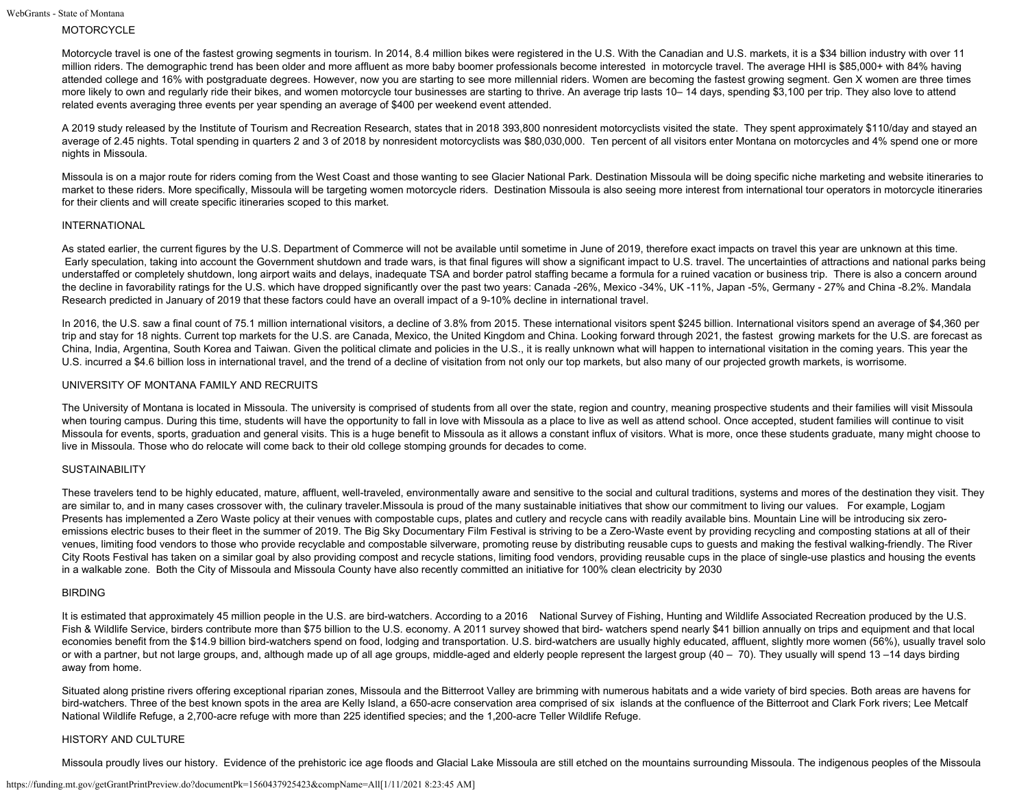# MOTORCYCLE

Motorcycle travel is one of the fastest growing segments in tourism. In 2014, 8.4 million bikes were registered in the U.S. With the Canadian and U.S. markets, it is a \$34 billion industry with over 11 million riders. The demographic trend has been older and more affluent as more baby boomer professionals become interested in motorcycle travel. The average HHI is \$85,000+ with 84% having attended college and 16% with postgraduate degrees. However, now you are starting to see more millennial riders. Women are becoming the fastest growing segment. Gen X women are three times more likely to own and regularly ride their bikes, and women motorcycle tour businesses are starting to thrive. An average trip lasts 10–14 days, spending \$3,100 per trip. They also love to attend related events averaging three events per year spending an average of \$400 per weekend event attended.

A 2019 study released by the Institute of Tourism and Recreation Research, states that in 2018 393,800 nonresident motorcyclists visited the state. They spent approximately \$110/day and stayed an average of 2.45 nights. Total spending in quarters 2 and 3 of 2018 by nonresident motorcyclists was \$80,030,000. Ten percent of all visitors enter Montana on motorcycles and 4% spend one or more nights in Missoula.

Missoula is on a major route for riders coming from the West Coast and those wanting to see Glacier National Park. Destination Missoula will be doing specific niche marketing and website itineraries to market to these riders. More specifically, Missoula will be targeting women motorcycle riders. Destination Missoula is also seeing more interest from international tour operators in motorcycle itineraries for their clients and will create specific itineraries scoped to this market.

#### INTERNATIONAL

As stated earlier, the current figures by the U.S. Department of Commerce will not be available until sometime in June of 2019, therefore exact impacts on travel this year are unknown at this time. Early speculation, taking into account the Government shutdown and trade wars, is that final figures will show a significant impact to U.S. travel. The uncertainties of attractions and national parks being understaffed or completely shutdown, long airport waits and delays, inadequate TSA and border patrol staffing became a formula for a ruined vacation or business trip. There is also a concern around the decline in favorability ratings for the U.S. which have dropped significantly over the past two years: Canada -26%, Mexico -34%, UK -11%, Japan -5%, Germany - 27% and China -8.2%. Mandala Research predicted in January of 2019 that these factors could have an overall impact of a 9-10% decline in international travel.

In 2016, the U.S. saw a final count of 75.1 million international visitors, a decline of 3.8% from 2015. These international visitors spent \$245 billion. International visitors spend an average of \$4,360 per trip and stay for 18 nights. Current top markets for the U.S. are Canada, Mexico, the United Kingdom and China. Looking forward through 2021, the fastest growing markets for the U.S. are forecast as China, India, Argentina, South Korea and Taiwan. Given the political climate and policies in the U.S., it is really unknown what will happen to international visitation in the coming years. This year the U.S. incurred a \$4.6 billion loss in international travel, and the trend of a decline of visitation from not only our top markets, but also many of our projected growth markets, is worrisome.

### UNIVERSITY OF MONTANA FAMILY AND RECRUITS

The University of Montana is located in Missoula. The university is comprised of students from all over the state, region and country, meaning prospective students and their families will visit Missoula when touring campus. During this time, students will have the opportunity to fall in love with Missoula as a place to live as well as attend school. Once accepted, student families will continue to visit Missoula for events, sports, graduation and general visits. This is a huge benefit to Missoula as it allows a constant influx of visitors. What is more, once these students graduate, many might choose to live in Missoula. Those who do relocate will come back to their old college stomping grounds for decades to come.

### **SUSTAINABILITY**

These travelers tend to be highly educated, mature, affluent, well-traveled, environmentally aware and sensitive to the social and cultural traditions, systems and mores of the destination they visit. They are similar to, and in many cases crossover with, the culinary traveler. Missoula is proud of the many sustainable initiatives that show our commitment to living our values. For example, Logiam Presents has implemented a Zero Waste policy at their venues with compostable cups, plates and cutlery and recycle cans with readily available bins. Mountain Line will be introducing six zeroemissions electric buses to their fleet in the summer of 2019. The Big Sky Documentary Film Festival is striving to be a Zero-Waste event by providing recycling and composting stations at all of their venues, limiting food vendors to those who provide recyclable and compostable silverware, promoting reuse by distributing reusable cups to guests and making the festival walking-friendly. The River City Roots Festival has taken on a similar goal by also providing compost and recycle stations, limiting food vendors, providing reusable cups in the place of single-use plastics and housing the events in a walkable zone. Both the City of Missoula and Missoula County have also recently committed an initiative for 100% clean electricity by 2030

#### BIRDING

It is estimated that approximately 45 million people in the U.S. are bird-watchers. According to a 2016 National Survey of Fishing, Hunting and Wildlife Associated Recreation produced by the U.S. Fish & Wildlife Service, birders contribute more than \$75 billion to the U.S. economy. A 2011 survey showed that bird- watchers spend nearly \$41 billion annually on trips and equipment and that local economies benefit from the \$14.9 billion bird-watchers spend on food, lodging and transportation. U.S. bird-watchers are usually highly educated, affluent, slightly more women (56%), usually travel solo or with a partner, but not large groups, and, although made up of all age groups, middle-aged and elderly people represent the largest group (40 – 70). They usually will spend 13 –14 days birding away from home.

Situated along pristine rivers offering exceptional riparian zones, Missoula and the Bitterroot Valley are brimming with numerous habitats and a wide variety of bird species. Both areas are havens for bird-watchers. Three of the best known spots in the area are Kelly Island, a 650-acre conservation area comprised of six islands at the confluence of the Bitterroot and Clark Fork rivers; Lee Metcalf National Wildlife Refuge, a 2,700-acre refuge with more than 225 identified species; and the 1,200-acre Teller Wildlife Refuge.

#### HISTORY AND CULTURE

Missoula proudly lives our history. Evidence of the prehistoric ice age floods and Glacial Lake Missoula are still etched on the mountains surrounding Missoula. The indigenous peoples of the Missoula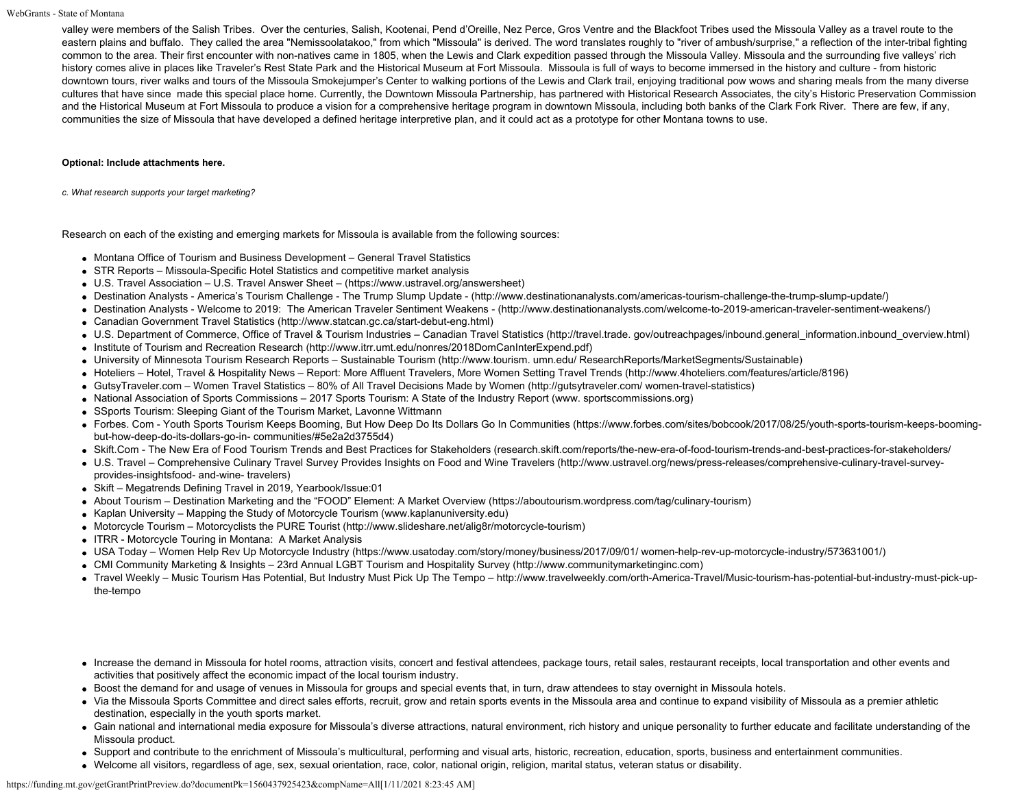valley were members of the Salish Tribes. Over the centuries, Salish, Kootenai, Pend d'Oreille, Nez Perce, Gros Ventre and the Blackfoot Tribes used the Missoula Valley as a travel route to the eastern plains and buffalo. They called the area "Nemissoolatakoo," from which "Missoula" is derived. The word translates roughly to "river of ambush/surprise," a reflection of the inter-tribal fighting common to the area. Their first encounter with non-natives came in 1805, when the Lewis and Clark expedition passed through the Missoula Valley. Missoula and the surrounding five valleys' rich history comes alive in places like Traveler's Rest State Park and the Historical Museum at Fort Missoula. Missoula is full of ways to become immersed in the history and culture - from historic downtown tours, river walks and tours of the Missoula Smokejumper's Center to walking portions of the Lewis and Clark trail, enjoying traditional pow wows and sharing meals from the many diverse cultures that have since made this special place home. Currently, the Downtown Missoula Partnership, has partnered with Historical Research Associates, the city's Historic Preservation Commission and the Historical Museum at Fort Missoula to produce a vision for a comprehensive heritage program in downtown Missoula, including both banks of the Clark Fork River. There are few, if any, communities the size of Missoula that have developed a defined heritage interpretive plan, and it could act as a prototype for other Montana towns to use.

#### **Optional: Include attachments here.**

*c. What research supports your target marketing?*

Research on each of the existing and emerging markets for Missoula is available from the following sources:

- Montana Office of Tourism and Business Development General Travel Statistics
- STR Reports Missoula-Specific Hotel Statistics and competitive market analysis
- U.S. Travel Association U.S. Travel Answer Sheet [\(https://www.ustravel.org/answersheet](https://www.ustravel.org/answersheet))
- Destination Analysts America's Tourism Challenge The Trump Slump Update ([http://www.destinationanalysts.com/americas-tourism-challenge-the-trump-slump-update/\)](http://www.destinationanalysts.com/americas-tourism-challenge-the-trump-slump-update/)
- Destination Analysts Welcome to 2019: The American Traveler Sentiment Weakens [\(http://www.destinationanalysts.com/welcome-to-2019-american-traveler-sentiment-weakens/](http://www.destinationanalysts.com/welcome-to-2019-american-traveler-sentiment-weakens/))
- Canadian Government Travel Statistics (http://www.statcan.gc.ca/start-debut-eng.html)
- U.S. Department of Commerce, Office of Travel & Tourism Industries Canadian Travel Statistics (http://travel.trade. gov/outreachpages/inbound.general\_information.inbound\_overview.html)
- Institute of Tourism and Recreation Research (http://www.itrr.umt.edu/nonres/2018DomCanInterExpend.pdf)
- University of Minnesota Tourism Research Reports Sustainable Tourism (http://www.tourism. umn.edu/ ResearchReports/MarketSegments/Sustainable)
- Hoteliers Hotel, Travel & Hospitality News Report: More Affluent Travelers, More Women Setting Travel Trends (http://www.4hoteliers.com/features/article/8196)
- GutsyTraveler.com Women Travel Statistics 80% of All Travel Decisions Made by Women (http://gutsytraveler.com/ women-travel-statistics)
- National Association of Sports Commissions 2017 Sports Tourism: A State of the Industry Report (www. sportscommissions.org)
- SSports Tourism: Sleeping Giant of the Tourism Market, Lavonne Wittmann
- Forbes. Com Youth Sports Tourism Keeps Booming, But How Deep Do Its Dollars Go In Communities (https://www.forbes.com/sites/bobcook/2017/08/25/youth-sports-tourism-keeps-boomingbut-how-deep-do-its-dollars-go-in- communities/#5e2a2d3755d4)
- Skift.Com The New Era of Food Tourism Trends and Best Practices for Stakeholders (research.skift.com/reports/the-new-era-of-food-tourism-trends-and-best-practices-for-stakeholders/
- U.S. Travel Comprehensive Culinary Travel Survey Provides Insights on Food and Wine Travelers (http://www.ustravel.org/news/press-releases/comprehensive-culinary-travel-surveyprovides-insightsfood- and-wine- travelers)
- Skift Megatrends Defining Travel in 2019, Yearbook/Issue:01
- About Tourism Destination Marketing and the "FOOD" Element: A Market Overview (https://aboutourism.wordpress.com/tag/culinary-tourism)
- Kaplan University Mapping the Study of Motorcycle Tourism (www.kaplanuniversity.edu)
- Motorcycle Tourism Motorcyclists the PURE Tourist (<http://www.slideshare.net/alig8r/motorcycle-tourism>)
- ITRR Motorcycle Touring in Montana: A Market Analysis
- USA Today Women Help Rev Up Motorcycle Industry (https://www.usatoday.com/story/money/business/2017/09/01/ women-help-rev-up-motorcycle-industry/573631001/)
- CMI Community Marketing & Insights 23rd Annual LGBT Tourism and Hospitality Survey (http://www.communitymarketinginc.com)
- Travel Weekly Music Tourism Has Potential, But Industry Must Pick Up The Tempo http://www.travelweekly.com/orth-America-Travel/Music-tourism-has-potential-but-industry-must-pick-upthe-tempo
- Increase the demand in Missoula for hotel rooms, attraction visits, concert and festival attendees, package tours, retail sales, restaurant receipts, local transportation and other events and activities that positively affect the economic impact of the local tourism industry.
- Boost the demand for and usage of venues in Missoula for groups and special events that, in turn, draw attendees to stay overnight in Missoula hotels.
- Via the Missoula Sports Committee and direct sales efforts, recruit, grow and retain sports events in the Missoula area and continue to expand visibility of Missoula as a premier athletic destination, especially in the youth sports market.
- Gain national and international media exposure for Missoula's diverse attractions, natural environment, rich history and unique personality to further educate and facilitate understanding of the Missoula product.
- Support and contribute to the enrichment of Missoula's multicultural, performing and visual arts, historic, recreation, education, sports, business and entertainment communities.
- Welcome all visitors, regardless of age, sex, sexual orientation, race, color, national origin, religion, marital status, veteran status or disability.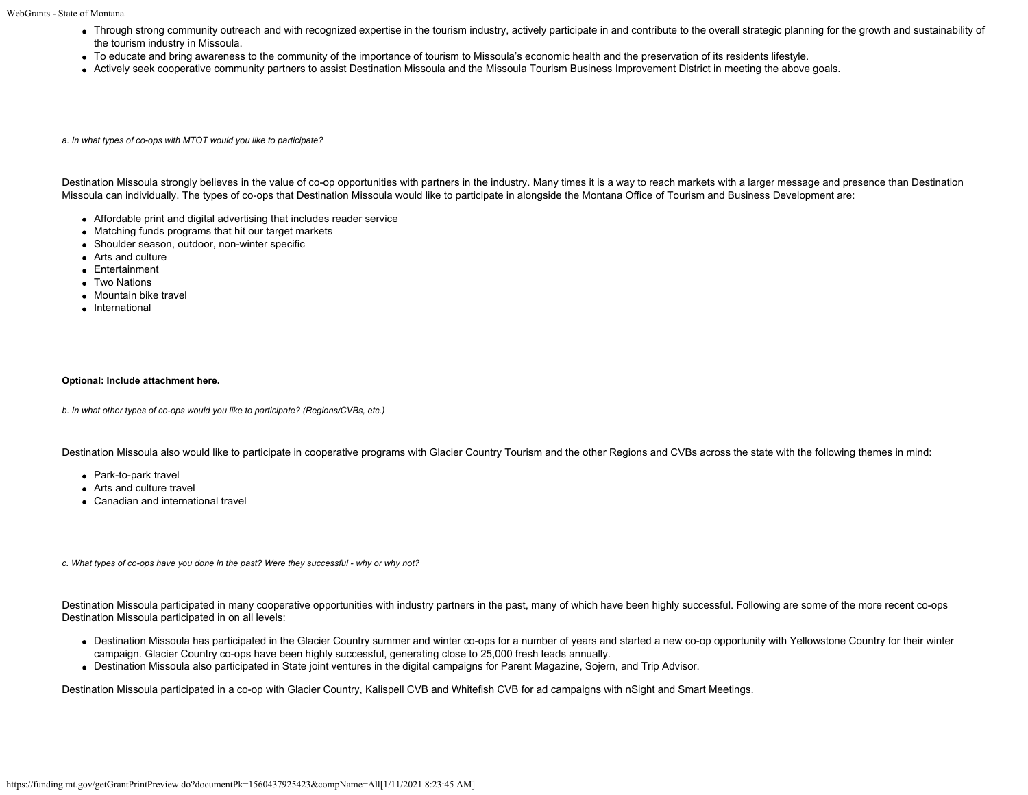- Through strong community outreach and with recognized expertise in the tourism industry, actively participate in and contribute to the overall strategic planning for the growth and sustainability of the tourism industry in Missoula.
- To educate and bring awareness to the community of the importance of tourism to Missoula's economic health and the preservation of its residents lifestyle.
- Actively seek cooperative community partners to assist Destination Missoula and the Missoula Tourism Business Improvement District in meeting the above goals.

*a. In what types of co-ops with MTOT would you like to participate?*

Destination Missoula strongly believes in the value of co-op opportunities with partners in the industry. Many times it is a way to reach markets with a larger message and presence than Destination Missoula can individually. The types of co-ops that Destination Missoula would like to participate in alongside the Montana Office of Tourism and Business Development are:

- Affordable print and digital advertising that includes reader service
- Matching funds programs that hit our target markets
- Shoulder season, outdoor, non-winter specific
- Arts and culture
- Entertainment
- Two Nations
- Mountain bike travel
- International

# **Optional: Include attachment here.**

*b. In what other types of co-ops would you like to participate? (Regions/CVBs, etc.)*

Destination Missoula also would like to participate in cooperative programs with Glacier Country Tourism and the other Regions and CVBs across the state with the following themes in mind:

- Park-to-park travel
- Arts and culture travel
- Canadian and international travel

*c. What types of co-ops have you done in the past? Were they successful - why or why not?*

Destination Missoula participated in many cooperative opportunities with industry partners in the past, many of which have been highly successful. Following are some of the more recent co-ops Destination Missoula participated in on all levels:

- Destination Missoula has participated in the Glacier Country summer and winter co-ops for a number of years and started a new co-op opportunity with Yellowstone Country for their winter campaign. Glacier Country co-ops have been highly successful, generating close to 25,000 fresh leads annually.
- Destination Missoula also participated in State joint ventures in the digital campaigns for Parent Magazine, Sojern, and Trip Advisor.

Destination Missoula participated in a co-op with Glacier Country, Kalispell CVB and Whitefish CVB for ad campaigns with nSight and Smart Meetings.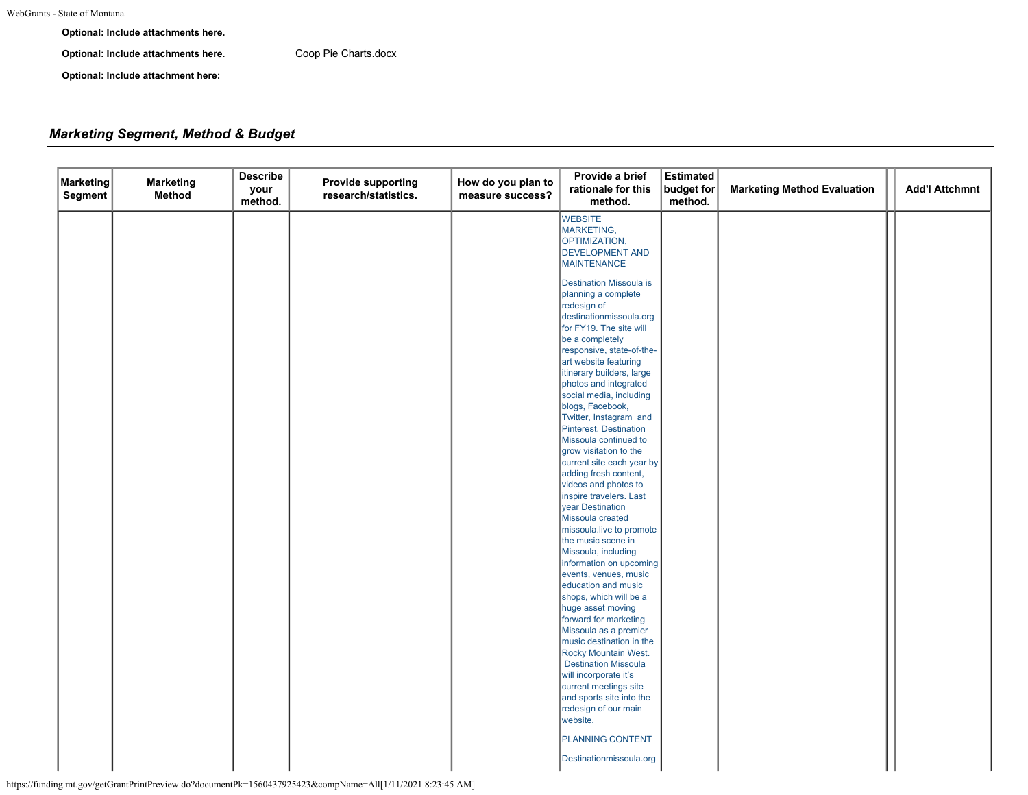**Optional: Include attachments here.**

**Optional: Include attachments here.** [Coop Pie Charts.docx](https://funding.mt.gov/fileDownload.jsp?filename=1556914931632_Coop+Pie+Charts.docx)

**Optional: Include attachment here:**

# *Marketing Segment, Method & Budget*

| <b>Marketing</b><br>Segment | <b>Marketing</b><br><b>Method</b> | <b>Describe</b><br>your<br>method. | <b>Provide supporting</b><br>research/statistics. | How do you plan to<br>measure success? | Provide a brief<br>rationale for this<br>method.                                                                                                                                                                                                                                                                                                                                                                                                                                 | <b>Estimated</b><br>budget for<br>method. | <b>Marketing Method Evaluation</b> | <b>Add'l Attchmnt</b> |
|-----------------------------|-----------------------------------|------------------------------------|---------------------------------------------------|----------------------------------------|----------------------------------------------------------------------------------------------------------------------------------------------------------------------------------------------------------------------------------------------------------------------------------------------------------------------------------------------------------------------------------------------------------------------------------------------------------------------------------|-------------------------------------------|------------------------------------|-----------------------|
|                             |                                   |                                    |                                                   |                                        | <b>WEBSITE</b><br>MARKETING,<br>OPTIMIZATION,<br><b>DEVELOPMENT AND</b><br><b>MAINTENANCE</b><br><b>Destination Missoula is</b><br>planning a complete<br>redesign of<br>destinationmissoula.org<br>for FY19. The site will<br>be a completely<br>responsive, state-of-the-<br>art website featuring<br>itinerary builders, large<br>photos and integrated<br>social media, including<br>blogs, Facebook,                                                                        |                                           |                                    |                       |
|                             |                                   |                                    |                                                   |                                        | Twitter, Instagram and<br>Pinterest. Destination<br>Missoula continued to<br>grow visitation to the<br>current site each year by<br>adding fresh content,<br>videos and photos to<br>inspire travelers. Last<br>year Destination<br>Missoula created<br>missoula.live to promote<br>the music scene in<br>Missoula, including<br>information on upcoming<br>events, venues, music<br>education and music<br>shops, which will be a<br>huge asset moving<br>forward for marketing |                                           |                                    |                       |
|                             |                                   |                                    |                                                   |                                        | Missoula as a premier<br>music destination in the<br>Rocky Mountain West.<br><b>Destination Missoula</b><br>will incorporate it's<br>current meetings site<br>and sports site into the<br>redesign of our main<br>website.<br>PLANNING CONTENT<br>Destinationmissoula.org                                                                                                                                                                                                        |                                           |                                    |                       |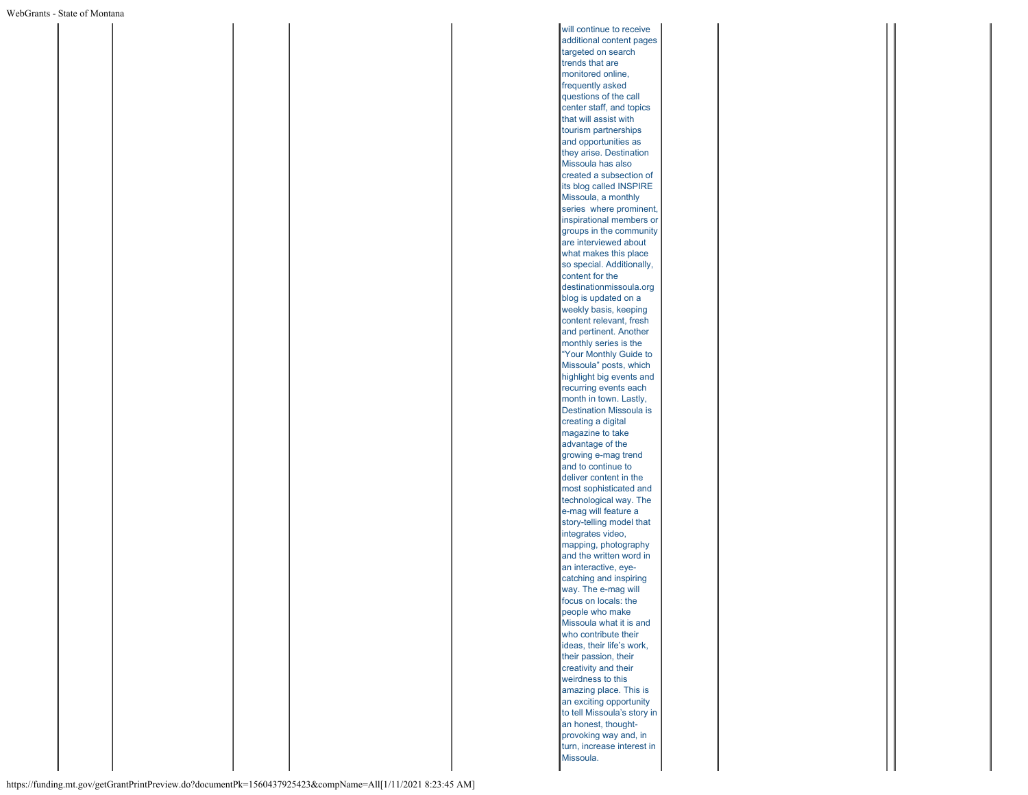will continue to receive additional content pages targeted on search trends that are monitored online, frequently asked questions of the call center staff, and topics that will assist with tourism partnerships and opportunities as they arise. Destination Missoula has also created a subsection of its blog called INSPIRE Missoula, a monthly series where prominent, inspirational members or groups in the community are interviewed about what makes this place so special. Additionally, content for the destinationmissoula.org blog is updated on a weekly basis, keeping content relevant, fresh and pertinent. Another monthly series is the "Your Monthly Guide to Missoula" posts, which highlight big events and recurring events each month in town. Lastly, Destination Missoula is creating a digital magazine to take advantage of the growing e-mag trend and to continue to deliver content in the most sophisticated and technological way. The e-mag will feature a story-telling model that integrates video, mapping, photography and the written word in an interactive, eyecatching and inspiring way. The e-mag will focus on locals: the people who make Missoula what it is and who contribute their ideas, their life's work, their passion, their creativity and their weirdness to this amazing place. This is an exciting opportunity to tell Missoula's story in an honest, thoughtprovoking way and, in turn, increase interest in Missoula.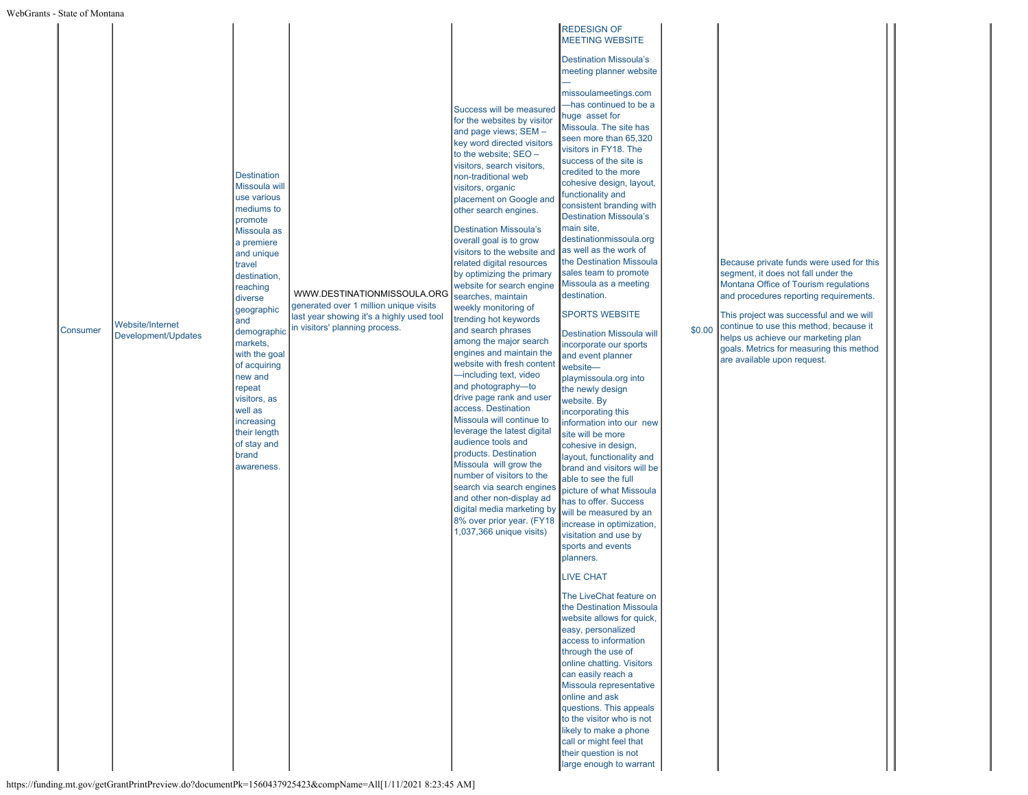| Consumer | <b>Website/Internet</b><br>Development/Updates | <b>Destination</b><br>Missoula will<br>use various<br>mediums to<br>promote<br>Missoula as<br>a premiere<br>and unique<br>travel<br>destination,<br>reaching<br>diverse<br>geographic<br>and<br>markets,<br>with the goal<br>of acquiring<br>new and<br>repeat<br>visitors, as<br>well as<br>increasing<br>their length<br>of stay and<br>brand<br>awareness. | WWW.DESTINATIONMISSOULA.ORG<br>generated over 1 million unique visits<br>last year showing it's a highly used tool<br>demographic in visitors' planning process. | Success will be measured<br>for the websites by visitor<br>and page views; SEM -<br>key word directed visitors<br>to the website; SEO -<br>visitors, search visitors,<br>non-traditional web<br>visitors, organic<br>placement on Google and<br>other search engines.<br><b>Destination Missoula's</b><br>overall goal is to grow<br>visitors to the website and<br>related digital resources<br>by optimizing the primary<br>website for search engine<br>searches, maintain<br>weekly monitoring of<br>trending hot keywords<br>and search phrases<br>among the major search<br>engines and maintain the<br>website with fresh content<br>-including text, video<br>and photography-to<br>drive page rank and user<br>access. Destination<br>Missoula will continue to<br>leverage the latest digital<br>audience tools and<br>products. Destination<br>Missoula will grow the<br>number of visitors to the<br>search via search engines<br>and other non-display ad<br>digital media marketing by<br>8% over prior year. (FY18<br>1,037,366 unique visits) | <b>Destination Missoula's</b><br>meeting planner website<br>missoulameetings.com<br>-has continued to be a<br>huge asset for<br>Missoula. The site has<br>seen more than 65,320<br>visitors in FY18. The<br>success of the site is<br>credited to the more<br>cohesive design, layout,<br>functionality and<br>consistent branding with<br><b>Destination Missoula's</b><br>main site,<br>destinationmissoula.org<br>as well as the work of<br>the Destination Missoula<br>sales team to promote<br>Missoula as a meeting<br>destination.<br><b>SPORTS WEBSITE</b><br><b>Destination Missoula will</b><br>incorporate our sports<br>and event planner<br>website-<br>playmissoula.org into<br>the newly design<br>website. By<br>incorporating this<br>information into our new<br>site will be more<br>cohesive in design,<br>layout, functionality and<br>brand and visitors will be<br>able to see the full<br>picture of what Missoula<br>has to offer. Success<br>will be measured by an<br>increase in optimization,<br>visitation and use by<br>sports and events<br>planners.<br><b>LIVE CHAT</b><br>The LiveChat feature on<br>the Destination Missoula<br>website allows for quick,<br>easy, personalized<br>access to information<br>through the use of<br>online chatting. Visitors<br>can easily reach a<br>Missoula representative<br>online and ask<br>questions. This appeals<br>to the visitor who is not<br>likely to make a phone<br>call or might feel that | \$0.00 | Because private funds were used for this<br>segment, it does not fall under the<br>Montana Office of Tourism regulations<br>and procedures reporting requirements.<br>This project was successful and we will<br>continue to use this method, because it<br>helps us achieve our marketing plan<br>goals. Metrics for measuring this method<br>are available upon request. |
|----------|------------------------------------------------|---------------------------------------------------------------------------------------------------------------------------------------------------------------------------------------------------------------------------------------------------------------------------------------------------------------------------------------------------------------|------------------------------------------------------------------------------------------------------------------------------------------------------------------|---------------------------------------------------------------------------------------------------------------------------------------------------------------------------------------------------------------------------------------------------------------------------------------------------------------------------------------------------------------------------------------------------------------------------------------------------------------------------------------------------------------------------------------------------------------------------------------------------------------------------------------------------------------------------------------------------------------------------------------------------------------------------------------------------------------------------------------------------------------------------------------------------------------------------------------------------------------------------------------------------------------------------------------------------------------|---------------------------------------------------------------------------------------------------------------------------------------------------------------------------------------------------------------------------------------------------------------------------------------------------------------------------------------------------------------------------------------------------------------------------------------------------------------------------------------------------------------------------------------------------------------------------------------------------------------------------------------------------------------------------------------------------------------------------------------------------------------------------------------------------------------------------------------------------------------------------------------------------------------------------------------------------------------------------------------------------------------------------------------------------------------------------------------------------------------------------------------------------------------------------------------------------------------------------------------------------------------------------------------------------------------------------------------------------------------------------------------------------------------------------------------------------------------------------------|--------|----------------------------------------------------------------------------------------------------------------------------------------------------------------------------------------------------------------------------------------------------------------------------------------------------------------------------------------------------------------------------|
|----------|------------------------------------------------|---------------------------------------------------------------------------------------------------------------------------------------------------------------------------------------------------------------------------------------------------------------------------------------------------------------------------------------------------------------|------------------------------------------------------------------------------------------------------------------------------------------------------------------|---------------------------------------------------------------------------------------------------------------------------------------------------------------------------------------------------------------------------------------------------------------------------------------------------------------------------------------------------------------------------------------------------------------------------------------------------------------------------------------------------------------------------------------------------------------------------------------------------------------------------------------------------------------------------------------------------------------------------------------------------------------------------------------------------------------------------------------------------------------------------------------------------------------------------------------------------------------------------------------------------------------------------------------------------------------|---------------------------------------------------------------------------------------------------------------------------------------------------------------------------------------------------------------------------------------------------------------------------------------------------------------------------------------------------------------------------------------------------------------------------------------------------------------------------------------------------------------------------------------------------------------------------------------------------------------------------------------------------------------------------------------------------------------------------------------------------------------------------------------------------------------------------------------------------------------------------------------------------------------------------------------------------------------------------------------------------------------------------------------------------------------------------------------------------------------------------------------------------------------------------------------------------------------------------------------------------------------------------------------------------------------------------------------------------------------------------------------------------------------------------------------------------------------------------------|--------|----------------------------------------------------------------------------------------------------------------------------------------------------------------------------------------------------------------------------------------------------------------------------------------------------------------------------------------------------------------------------|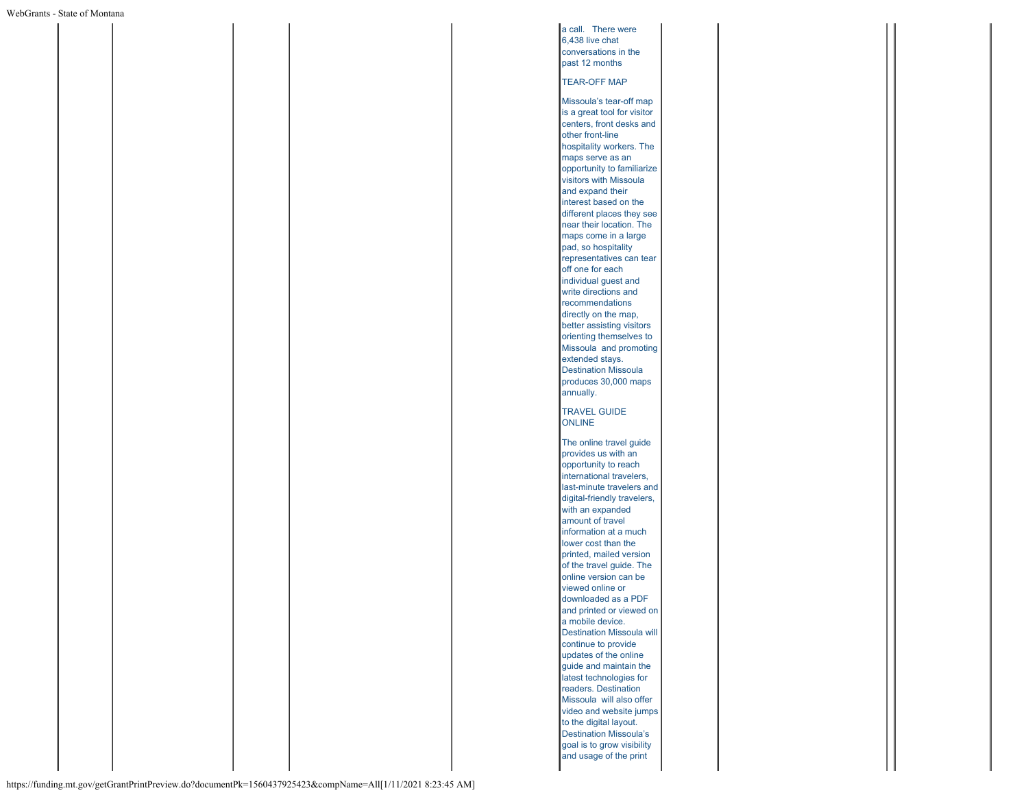a call. There were 6,438 live chat conversations in the past 12 months TEAR-OFF MAP Missoula's tear-off map is a great tool for visitor centers, front desks and other front-line hospitality workers. The maps serve as an opportunity to familiarize visitors with Missoula and expand their interest based on the different places they see near their location. The maps come in a large pad, so hospitality representatives can tear off one for each individual guest and write directions and recommendations directly on the map, better assisting visitors orienting themselves to Missoula and promoting extended stays. Destination Missoula produces 30,000 maps annually. TRAVEL GUIDE ONLINE The online travel guide provides us with an opportunity to reach international travelers, last-minute travelers and digital-friendly travelers, with an expanded amount of travel information at a much lower cost than the printed, mailed version of the travel guide. The online version can be viewed online or downloaded as a PDF and printed or viewed on a mobile device. Destination Missoula will continue to provide updates of the online guide and maintain the latest technologies for readers. Destination Missoula will also offer video and website jumps to the digital layout. Destination Missoula's goal is to grow visibility and usage of the print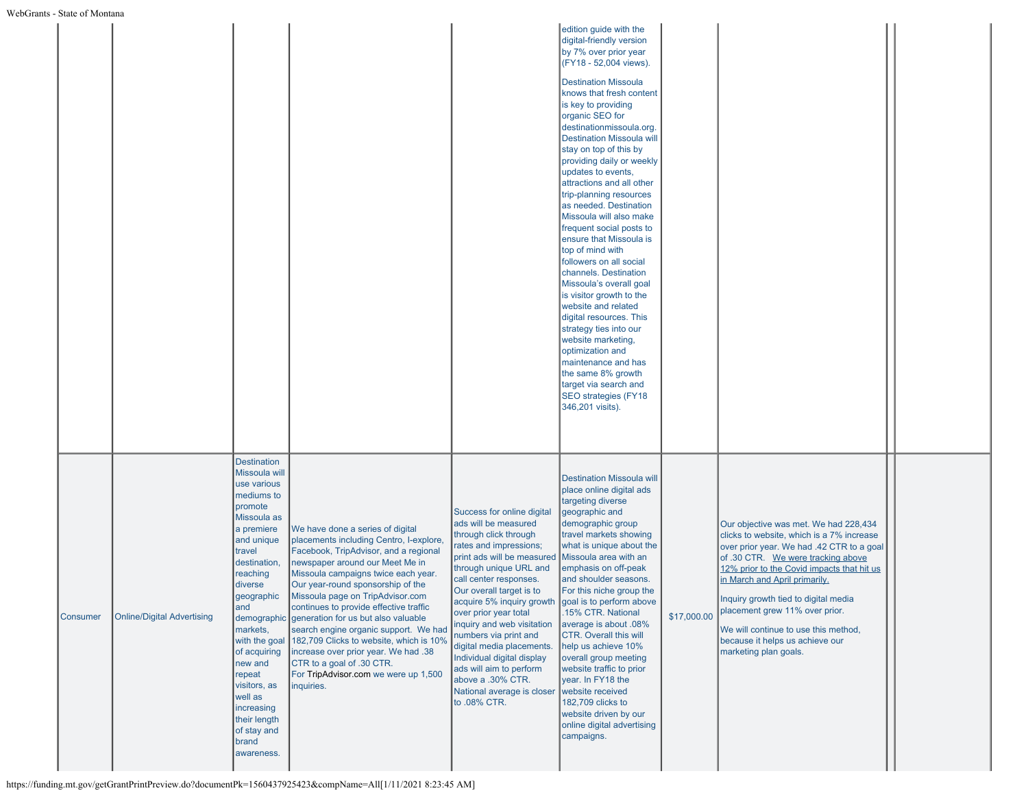|                 |                                   |                                                                                                                                                                                                                                                                                                                                                               |                                                                                                                                                                                                                                                                                                                                                                                                                                                                                                                                                                                     |                                                                                                                                                                                                                                                                                                                                                                                                                                                                                                                       | edition guide with the<br>digital-friendly version<br>by 7% over prior year<br>(FY18 - 52,004 views).<br><b>Destination Missoula</b><br>knows that fresh content<br>is key to providing<br>organic SEO for<br>destinationmissoula.org.<br><b>Destination Missoula will</b><br>stay on top of this by<br>providing daily or weekly<br>updates to events,<br>attractions and all other<br>trip-planning resources<br>as needed. Destination<br>Missoula will also make<br>frequent social posts to<br>ensure that Missoula is<br>top of mind with<br>followers on all social<br>channels. Destination<br>Missoula's overall goal<br>is visitor growth to the<br>website and related<br>digital resources. This<br>strategy ties into our<br>website marketing,<br>optimization and<br>maintenance and has<br>the same 8% growth<br>target via search and<br>SEO strategies (FY18<br>346,201 visits). |             |                                                                                                                                                                                                                                                                                                                                                                                                                                    |  |
|-----------------|-----------------------------------|---------------------------------------------------------------------------------------------------------------------------------------------------------------------------------------------------------------------------------------------------------------------------------------------------------------------------------------------------------------|-------------------------------------------------------------------------------------------------------------------------------------------------------------------------------------------------------------------------------------------------------------------------------------------------------------------------------------------------------------------------------------------------------------------------------------------------------------------------------------------------------------------------------------------------------------------------------------|-----------------------------------------------------------------------------------------------------------------------------------------------------------------------------------------------------------------------------------------------------------------------------------------------------------------------------------------------------------------------------------------------------------------------------------------------------------------------------------------------------------------------|----------------------------------------------------------------------------------------------------------------------------------------------------------------------------------------------------------------------------------------------------------------------------------------------------------------------------------------------------------------------------------------------------------------------------------------------------------------------------------------------------------------------------------------------------------------------------------------------------------------------------------------------------------------------------------------------------------------------------------------------------------------------------------------------------------------------------------------------------------------------------------------------------|-------------|------------------------------------------------------------------------------------------------------------------------------------------------------------------------------------------------------------------------------------------------------------------------------------------------------------------------------------------------------------------------------------------------------------------------------------|--|
| <b>Consumer</b> | <b>Online/Digital Advertising</b> | <b>Destination</b><br>Missoula will<br>use various<br>mediums to<br>promote<br>Missoula as<br>a premiere<br>and unique<br>travel<br>destination,<br>reaching<br>diverse<br>geographic<br>and<br>markets,<br>with the goal<br>of acquiring<br>new and<br>repeat<br>visitors, as<br>well as<br>increasing<br>their length<br>of stay and<br>brand<br>awareness. | We have done a series of digital<br>placements including Centro, I-explore,<br>Facebook, TripAdvisor, and a regional<br>newspaper around our Meet Me in<br>Missoula campaigns twice each year.<br>Our year-round sponsorship of the<br>Missoula page on TripAdvisor.com<br>continues to provide effective traffic<br>demographic generation for us but also valuable<br>search engine organic support. We had<br>182,709 Clicks to website, which is 10%<br>increase over prior year. We had .38<br>CTR to a goal of .30 CTR.<br>For TripAdvisor.com we were up 1,500<br>inquiries. | Success for online digital<br>ads will be measured<br>through click through<br>rates and impressions;<br>print ads will be measured<br>through unique URL and<br>call center responses.<br>Our overall target is to<br> acquire 5% inquiry growth ∥goal is to perform above_<br>over prior year total<br>inquiry and web visitation<br>numbers via print and<br>digital media placements.<br>Individual digital display<br>ads will aim to perform<br>above a .30% CTR.<br>National average is closer<br>to .08% CTR. | <b>Destination Missoula will</b><br>place online digital ads<br>targeting diverse<br>geographic and<br>demographic group<br>travel markets showing<br>what is unique about the<br>Missoula area with an<br>emphasis on off-peak<br>and shoulder seasons.<br>For this niche group the<br>15% CTR. National<br>average is about .08%<br><b>CTR.</b> Overall this will<br>help us achieve 10%<br>overall group meeting<br>website traffic to prior<br>year. In FY18 the<br>website received<br>182,709 clicks to<br>website driven by our<br>online digital advertising<br>campaigns.                                                                                                                                                                                                                                                                                                                 | \$17,000.00 | Our objective was met. We had 228,434<br>clicks to website, which is a 7% increase<br>over prior year. We had .42 CTR to a goal<br>of .30 CTR. We were tracking above<br>12% prior to the Covid impacts that hit us<br>in March and April primarily.<br>Inquiry growth tied to digital media<br>placement grew 11% over prior.<br>We will continue to use this method,<br>because it helps us achieve our<br>marketing plan goals. |  |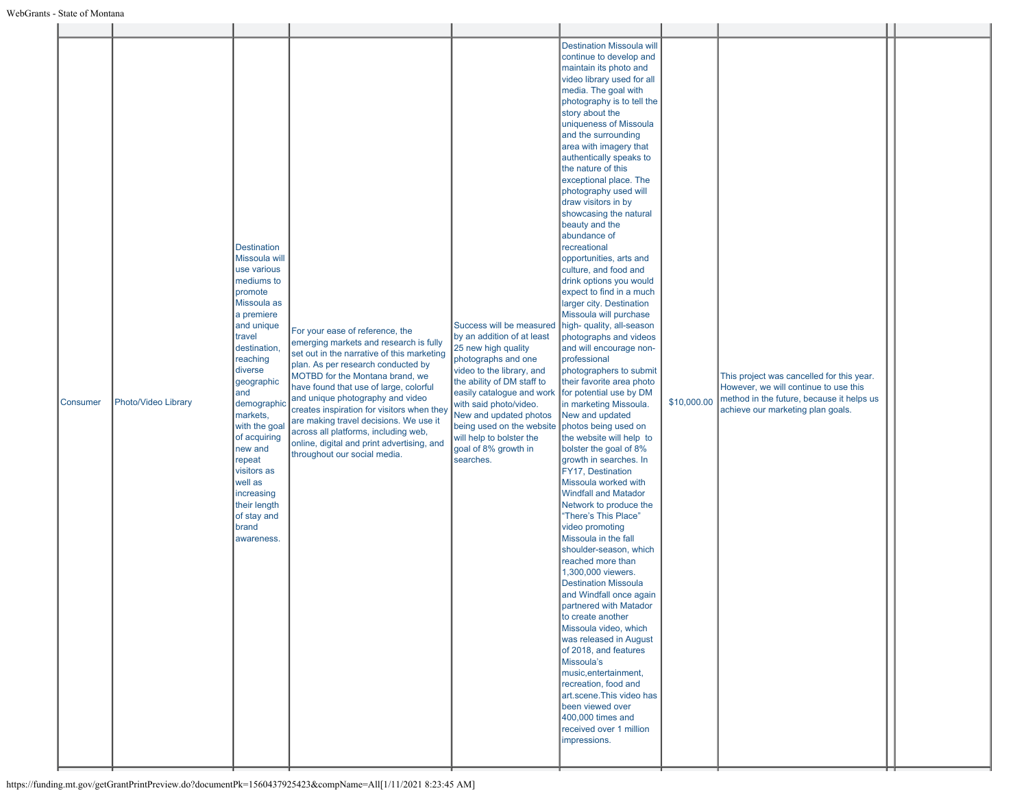| <b>Consumer</b> | Photo/Video Library | <b>Destination</b><br>Missoula will<br>use various<br>mediums to<br>promote<br>Missoula as<br>a premiere<br>and unique<br>travel<br>destination,<br>reaching<br>diverse<br>geographic<br>and<br>demographi<br>markets,<br>with the goa<br>of acquiring<br>new and<br>repeat<br>visitors as<br>well as<br>increasing<br>their length<br>of stay and<br>brand<br>awareness. | For your ease of reference, the<br>emerging markets and research is fully<br>set out in the narrative of this marketing<br>plan. As per research conducted by<br>MOTBD for the Montana brand, we<br>have found that use of large, colorful<br>and unique photography and video<br>creates inspiration for visitors when the<br>are making travel decisions. We use it<br>across all platforms, including web,<br>online, digital and print advertising, and<br>throughout our social media. | Success will be measured<br>by an addition of at least<br>25 new high quality<br>photographs and one<br>video to the library, and<br>the ability of DM staff to<br>easily catalogue and work<br>with said photo/video.<br>New and updated photos<br>being used on the website<br>will help to bolster the<br>goal of 8% growth in<br>searches. | <b>Destination Missoula will</b><br>continue to develop and<br>maintain its photo and<br>video library used for all<br>media. The goal with<br>photography is to tell the<br>story about the<br>uniqueness of Missoula<br>and the surrounding<br>area with imagery that<br>authentically speaks to<br>the nature of this<br>exceptional place. The<br>photography used will<br>draw visitors in by<br>showcasing the natural<br>beauty and the<br>abundance of<br>recreational<br>opportunities, arts and<br>culture, and food and<br>drink options you would<br>expect to find in a much<br>larger city. Destination<br>Missoula will purchase<br>high- quality, all-season<br>photographs and videos<br>and will encourage non-<br>professional<br>photographers to submit<br>their favorite area photo<br>for potential use by DM<br>in marketing Missoula.<br>New and updated<br>photos being used on<br>the website will help to<br>bolster the goal of 8%<br>growth in searches. In<br>FY17, Destination<br>Missoula worked with<br><b>Windfall and Matador</b><br>Network to produce the<br>"There's This Place"<br>video promoting<br>Missoula in the fall<br>shoulder-season, which<br>reached more than<br>1,300,000 viewers.<br><b>Destination Missoula</b><br>and Windfall once again<br>partnered with Matador<br>to create another<br>Missoula video, which<br>was released in August<br>of 2018, and features<br>Missoula's<br>music, entertainment,<br>recreation, food and<br>art.scene. This video has<br>been viewed over<br>400,000 times and<br>received over 1 million<br>impressions. | \$10,000.00 | This project was cancelled for this year.<br>However, we will continue to use this<br>method in the future, because it helps us<br>achieve our marketing plan goals. |  |
|-----------------|---------------------|---------------------------------------------------------------------------------------------------------------------------------------------------------------------------------------------------------------------------------------------------------------------------------------------------------------------------------------------------------------------------|---------------------------------------------------------------------------------------------------------------------------------------------------------------------------------------------------------------------------------------------------------------------------------------------------------------------------------------------------------------------------------------------------------------------------------------------------------------------------------------------|------------------------------------------------------------------------------------------------------------------------------------------------------------------------------------------------------------------------------------------------------------------------------------------------------------------------------------------------|--------------------------------------------------------------------------------------------------------------------------------------------------------------------------------------------------------------------------------------------------------------------------------------------------------------------------------------------------------------------------------------------------------------------------------------------------------------------------------------------------------------------------------------------------------------------------------------------------------------------------------------------------------------------------------------------------------------------------------------------------------------------------------------------------------------------------------------------------------------------------------------------------------------------------------------------------------------------------------------------------------------------------------------------------------------------------------------------------------------------------------------------------------------------------------------------------------------------------------------------------------------------------------------------------------------------------------------------------------------------------------------------------------------------------------------------------------------------------------------------------------------------------------------------------------------------------------------------------------------|-------------|----------------------------------------------------------------------------------------------------------------------------------------------------------------------|--|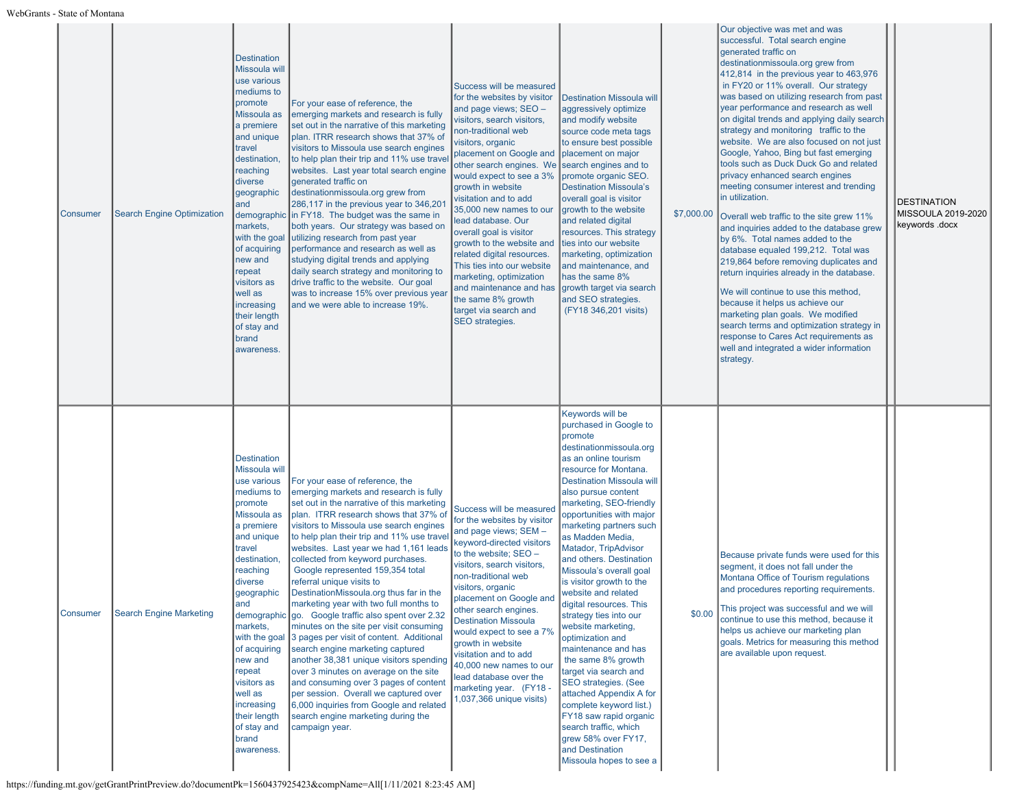| Consumer        | <b>Search Engine Optimization</b> | <b>Destination</b><br><b>Missoula will</b><br>use various<br>mediums to<br>promote<br>Missoula as<br>a premiere<br>and unique<br>travel<br>destination<br>reaching<br>diverse<br>geographic<br>and<br>markets,<br>with the goal<br>of acquiring<br>new and<br>repeat<br>visitors as<br>well as<br>increasing<br>their length<br>of stay and<br>brand<br>awareness. | For your ease of reference, the<br>emerging markets and research is fully<br>set out in the narrative of this marketing<br>plan. ITRR research shows that 37% of<br>visitors to Missoula use search engines<br>to help plan their trip and 11% use trave<br>websites. Last year total search engine<br>generated traffic on<br>destinationmissoula.org grew from<br>286,117 in the previous year to $346,20^{\circ}$<br>demographic in FY18. The budget was the same in<br>both years. Our strategy was based or<br>utilizing research from past year<br>performance and research as well as<br>studying digital trends and applying<br>daily search strategy and monitoring to<br>drive traffic to the website. Our goal<br>was to increase 15% over previous year<br>and we were able to increase 19%.                                                                                                                                                 | Success will be measured<br>for the websites by visitor<br>and page views; SEO -<br>visitors, search visitors,<br>non-traditional web<br>visitors, organic<br>placement on Google and<br>other search engines. We<br>would expect to see a 3%<br>growth in website<br>visitation and to add<br>35,000 new names to our<br>lead database. Our<br>overall goal is visitor<br>growth to the website and<br>related digital resources.<br>This ties into our website<br>marketing, optimization<br>and maintenance and has<br>the same 8% growth<br>target via search and<br>SEO strategies. | <b>Destination Missoula will</b><br>aggressively optimize<br>and modify website<br>source code meta tags<br>to ensure best possible<br>placement on major<br>search engines and to<br>promote organic SEO.<br><b>Destination Missoula's</b><br>overall goal is visitor<br>growth to the website<br>and related digital<br>resources. This strategy<br>ties into our website<br>marketing, optimization<br>and maintenance, and<br>has the same 8%<br>growth target via search<br>and SEO strategies.<br>(FY18 346,201 visits)                                                                                                                                                                                                                                                                                         | \$7,000.00 | Our objective was met and was<br>successful. Total search engine<br>generated traffic on<br>destinationmissoula.org grew from<br>412,814 in the previous year to 463,976<br>in FY20 or 11% overall. Our strategy<br>was based on utilizing research from past<br>year performance and research as well<br>on digital trends and applying daily search<br>strategy and monitoring traffic to the<br>website. We are also focused on not just<br>Google, Yahoo, Bing but fast emerging<br>tools such as Duck Duck Go and related<br>privacy enhanced search engines<br>meeting consumer interest and trending<br>in utilization.<br>Overall web traffic to the site grew 11%<br>and inquiries added to the database grew<br>by 6%. Total names added to the<br>database equaled 199,212. Total was<br>219,864 before removing duplicates and<br>return inquiries already in the database.<br>We will continue to use this method,<br>because it helps us achieve our<br>marketing plan goals. We modified<br>search terms and optimization strategy in<br>response to Cares Act requirements as<br>well and integrated a wider information<br>strategy. | <b>DESTINATION</b><br>MISSOULA 2019-2020<br>keywords .docx |
|-----------------|-----------------------------------|--------------------------------------------------------------------------------------------------------------------------------------------------------------------------------------------------------------------------------------------------------------------------------------------------------------------------------------------------------------------|----------------------------------------------------------------------------------------------------------------------------------------------------------------------------------------------------------------------------------------------------------------------------------------------------------------------------------------------------------------------------------------------------------------------------------------------------------------------------------------------------------------------------------------------------------------------------------------------------------------------------------------------------------------------------------------------------------------------------------------------------------------------------------------------------------------------------------------------------------------------------------------------------------------------------------------------------------|------------------------------------------------------------------------------------------------------------------------------------------------------------------------------------------------------------------------------------------------------------------------------------------------------------------------------------------------------------------------------------------------------------------------------------------------------------------------------------------------------------------------------------------------------------------------------------------|-----------------------------------------------------------------------------------------------------------------------------------------------------------------------------------------------------------------------------------------------------------------------------------------------------------------------------------------------------------------------------------------------------------------------------------------------------------------------------------------------------------------------------------------------------------------------------------------------------------------------------------------------------------------------------------------------------------------------------------------------------------------------------------------------------------------------|------------|-------------------------------------------------------------------------------------------------------------------------------------------------------------------------------------------------------------------------------------------------------------------------------------------------------------------------------------------------------------------------------------------------------------------------------------------------------------------------------------------------------------------------------------------------------------------------------------------------------------------------------------------------------------------------------------------------------------------------------------------------------------------------------------------------------------------------------------------------------------------------------------------------------------------------------------------------------------------------------------------------------------------------------------------------------------------------------------------------------------------------------------------------------|------------------------------------------------------------|
| <b>Consumer</b> | <b>Search Engine Marketing</b>    | <b>Destination</b><br>Missoula will<br>use various<br>mediums to<br>promote<br>Missoula as<br>a premiere<br>and unique<br>travel<br>destination<br>reaching<br>diverse<br>geographic<br>and<br>markets,<br>with the goal<br>of acquiring<br>new and<br>repeat<br>visitors as<br>well as<br>increasing<br>their length<br>of stay and<br>brand<br>awareness.        | For your ease of reference, the<br>emerging markets and research is fully<br>set out in the narrative of this marketing<br>plan. ITRR research shows that 37% of<br>visitors to Missoula use search engines<br>to help plan their trip and 11% use trave<br>websites. Last year we had 1,161 leads<br>collected from keyword purchases.<br>Google represented 159,354 total<br>referral unique visits to<br>DestinationMissoula.org thus far in the<br>marketing year with two full months to<br>demographic go. Google traffic also spent over 2.32<br>minutes on the site per visit consuming<br>3 pages per visit of content. Additional<br>search engine marketing captured<br>another 38,381 unique visitors spending<br>over 3 minutes on average on the site<br>and consuming over 3 pages of content<br>per session. Overall we captured over<br>6,000 inquiries from Google and related<br>search engine marketing during the<br>campaign year. | Success will be measured<br>for the websites by visitor<br>and page views; SEM -<br>keyword-directed visitors<br>to the website; SEO -<br>visitors, search visitors,<br>non-traditional web<br>visitors, organic<br>placement on Google and<br>other search engines.<br><b>Destination Missoula</b><br>would expect to see a 7%<br>growth in website<br>visitation and to add<br>40,000 new names to our<br>lead database over the<br>marketing year. (FY18 -<br>1,037,366 unique visits)                                                                                                | Keywords will be<br>purchased in Google to<br>promote<br>destinationmissoula.org<br>as an online tourism<br>resource for Montana.<br><b>Destination Missoula will</b><br>also pursue content<br>marketing, SEO-friendly<br>opportunities with major<br>marketing partners such<br>as Madden Media,<br><b>Matador, TripAdvisor</b><br>and others. Destination<br>Missoula's overall goal<br>is visitor growth to the<br>website and related<br>digital resources. This<br>strategy ties into our<br>website marketing,<br>optimization and<br>maintenance and has<br>the same 8% growth<br>target via search and<br>SEO strategies. (See<br>attached Appendix A for<br>complete keyword list.)<br>FY18 saw rapid organic<br>search traffic, which<br>grew 58% over FY17,<br>and Destination<br>Missoula hopes to see a | \$0.00     | Because private funds were used for this<br>segment, it does not fall under the<br>Montana Office of Tourism regulations<br>and procedures reporting requirements.<br>This project was successful and we will<br>continue to use this method, because it<br>helps us achieve our marketing plan<br>goals. Metrics for measuring this method<br>are available upon request.                                                                                                                                                                                                                                                                                                                                                                                                                                                                                                                                                                                                                                                                                                                                                                            |                                                            |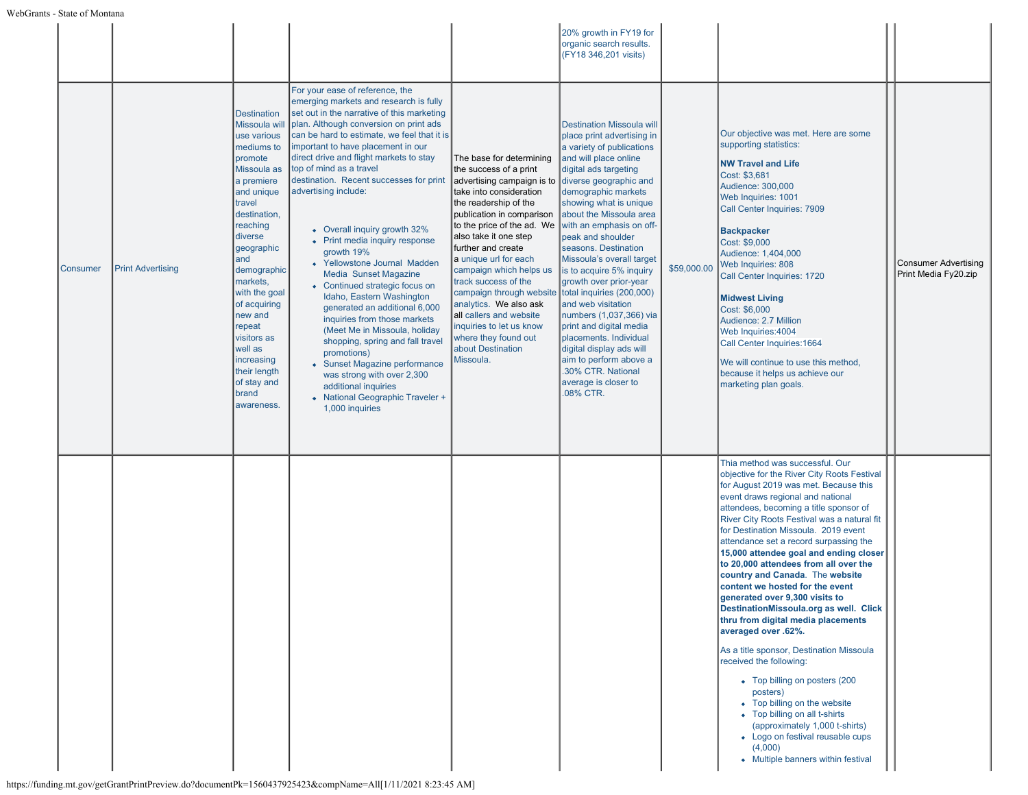|          |                          |                                                                                                                                                                                                                                                                                                                                                                            |                                                                                                                                                                                                                                                                                                                                                                                                                                                                                                                                                                                                                                                                                                                                                                                                                                                                                                            |                                                                                                                                                                                                                                                                                                                                                                                                                                                                                                                          | 20% growth in FY19 for<br>organic search results.<br>(FY18 346,201 visits)                                                                                                                                                                                                                                                                                                                                                                                                                                                                                                                                                                |             |                                                                                                                                                                                                                                                                                                                                                                                                                                                                                                                                                                                                                                                                                                                                                                                                                                                                                                                                                       |                                                     |
|----------|--------------------------|----------------------------------------------------------------------------------------------------------------------------------------------------------------------------------------------------------------------------------------------------------------------------------------------------------------------------------------------------------------------------|------------------------------------------------------------------------------------------------------------------------------------------------------------------------------------------------------------------------------------------------------------------------------------------------------------------------------------------------------------------------------------------------------------------------------------------------------------------------------------------------------------------------------------------------------------------------------------------------------------------------------------------------------------------------------------------------------------------------------------------------------------------------------------------------------------------------------------------------------------------------------------------------------------|--------------------------------------------------------------------------------------------------------------------------------------------------------------------------------------------------------------------------------------------------------------------------------------------------------------------------------------------------------------------------------------------------------------------------------------------------------------------------------------------------------------------------|-------------------------------------------------------------------------------------------------------------------------------------------------------------------------------------------------------------------------------------------------------------------------------------------------------------------------------------------------------------------------------------------------------------------------------------------------------------------------------------------------------------------------------------------------------------------------------------------------------------------------------------------|-------------|-------------------------------------------------------------------------------------------------------------------------------------------------------------------------------------------------------------------------------------------------------------------------------------------------------------------------------------------------------------------------------------------------------------------------------------------------------------------------------------------------------------------------------------------------------------------------------------------------------------------------------------------------------------------------------------------------------------------------------------------------------------------------------------------------------------------------------------------------------------------------------------------------------------------------------------------------------|-----------------------------------------------------|
| Consumer | <b>Print Advertising</b> | <b>Destination</b><br>Missoula wil<br>use various<br>mediums to<br>promote<br>Missoula as<br>a premiere<br>and unique<br>travel<br>destination,<br>reaching<br>diverse<br>geographic<br>and<br>demographic<br>markets,<br>with the goal<br>of acquiring<br>new and<br>repeat<br>visitors as<br>well as<br>increasing<br>their length<br>of stay and<br>brand<br>awareness. | For your ease of reference, the<br>emerging markets and research is fully<br>set out in the narrative of this marketing<br>plan. Although conversion on print ads<br>can be hard to estimate, we feel that it is<br>important to have placement in our<br>direct drive and flight markets to stay<br>top of mind as a travel<br>destination. Recent successes for print<br>advertising include:<br>• Overall inquiry growth 32%<br>• Print media inquiry response<br>growth 19%<br>• Yellowstone Journal Madden<br>Media Sunset Magazine<br>• Continued strategic focus on<br>Idaho, Eastern Washington<br>generated an additional 6,000<br>inquiries from those markets<br>(Meet Me in Missoula, holiday<br>shopping, spring and fall travel<br>promotions)<br>• Sunset Magazine performance<br>was strong with over 2,300<br>additional inquiries<br>• National Geographic Traveler +<br>1,000 inquiries | The base for determining<br>the success of a print<br>advertising campaign is to diverse geographic and<br>take into consideration<br>the readership of the<br>publication in comparison<br>to the price of the ad. We<br>also take it one step<br>further and create<br>a unique url for each<br>campaign which helps us<br>track success of the<br>campaign through website<br>analytics. We also ask<br>all callers and website<br>inquiries to let us know<br>where they found out<br>about Destination<br>Missoula. | <b>Destination Missoula will</b><br>place print advertising in<br>a variety of publications<br>and will place online<br>digital ads targeting<br>demographic markets<br>showing what is unique<br>about the Missoula area<br>with an emphasis on off-<br>peak and shoulder<br>seasons. Destination<br>Missoula's overall target<br>is to acquire 5% inquiry<br>growth over prior-year<br>total inquiries (200,000)<br>and web visitation<br>numbers (1,037,366) via<br>print and digital media<br>placements. Individual<br>digital display ads will<br>aim to perform above a<br>.30% CTR. National<br>average is closer to<br>.08% CTR. | \$59,000.00 | Our objective was met. Here are some<br>supporting statistics:<br><b>NW Travel and Life</b><br>Cost: \$3,681<br>Audience: 300,000<br>Web Inquiries: 1001<br>Call Center Inquiries: 7909<br><b>Backpacker</b><br>Cost: \$9,000<br>Audience: 1,404,000<br>Web Inquiries: 808<br>Call Center Inquiries: 1720<br><b>Midwest Living</b><br>Cost: \$6,000<br>Audience: 2.7 Million<br>Web Inquiries: 4004<br>Call Center Inquiries: 1664<br>We will continue to use this method,<br>because it helps us achieve our<br>marketing plan goals.                                                                                                                                                                                                                                                                                                                                                                                                                | <b>Consumer Advertising</b><br>Print Media Fy20.zip |
|          |                          |                                                                                                                                                                                                                                                                                                                                                                            |                                                                                                                                                                                                                                                                                                                                                                                                                                                                                                                                                                                                                                                                                                                                                                                                                                                                                                            |                                                                                                                                                                                                                                                                                                                                                                                                                                                                                                                          |                                                                                                                                                                                                                                                                                                                                                                                                                                                                                                                                                                                                                                           |             | Thia method was successful. Our<br>objective for the River City Roots Festival<br>for August 2019 was met. Because this<br>event draws regional and national<br>attendees, becoming a title sponsor of<br>River City Roots Festival was a natural fit<br>for Destination Missoula. 2019 event<br>attendance set a record surpassing the<br>15,000 attendee goal and ending closer<br>to 20,000 attendees from all over the<br>country and Canada. The website<br>content we hosted for the event<br>generated over 9,300 visits to<br>DestinationMissoula.org as well. Click<br>thru from digital media placements<br>averaged over .62%.<br>As a title sponsor, Destination Missoula<br>received the following:<br>• Top billing on posters (200<br>posters)<br>• Top billing on the website<br>• Top billing on all t-shirts<br>(approximately 1,000 t-shirts)<br>• Logo on festival reusable cups<br>(4,000)<br>• Multiple banners within festival |                                                     |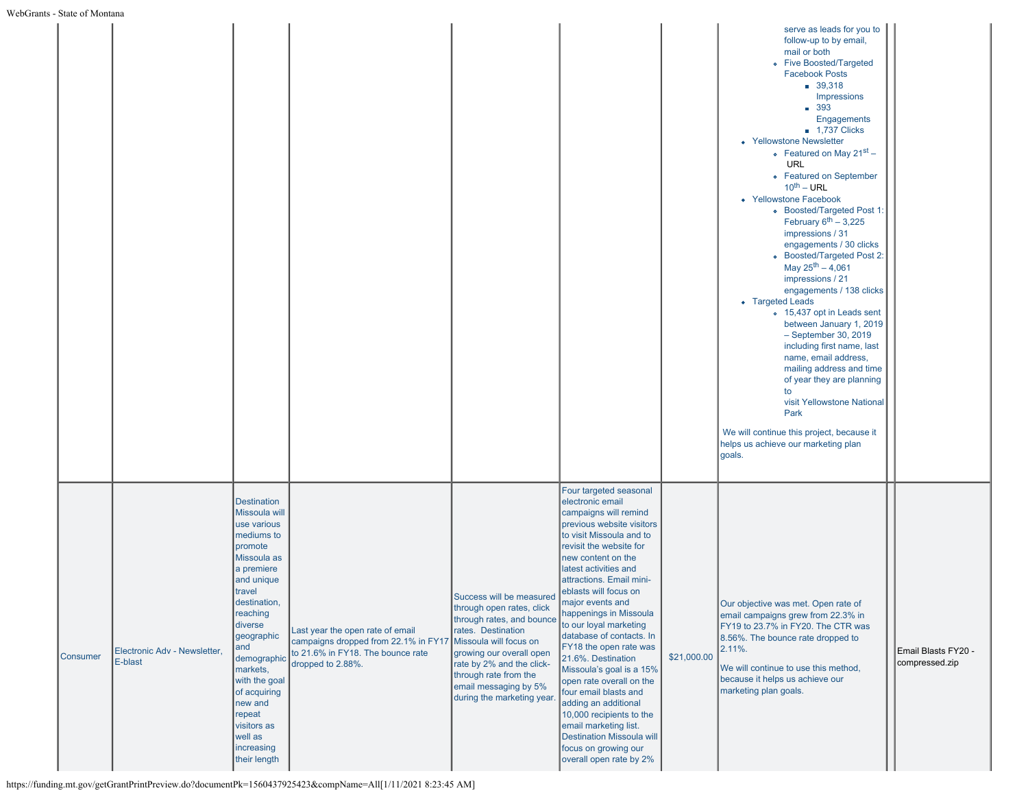|          |                                         |                                                                                                                                                                                                                                                                                                                                       |                                                                                                                                    |                                                                                                                                                                                                                                                                            |                                                                                                                                                                                                                                                                                                                                                                                                                                                                                                                                                                                                                                                               |             | serve as leads for you to<br>follow-up to by email,<br>mail or both<br>• Five Boosted/Targeted<br><b>Facebook Posts</b><br>39.318<br>Impressions<br>■ 393<br>Engagements<br><b>1,737 Clicks</b><br>• Yellowstone Newsletter<br>• Featured on May $21^{st}$ –<br><b>URL</b><br>• Featured on September<br>$10^{\text{th}} - \text{URL}$<br>• Yellowstone Facebook<br>• Boosted/Targeted Post 1:<br>February $6^{th}$ - 3,225<br>impressions / 31<br>engagements / 30 clicks<br>• Boosted/Targeted Post 2:<br>May $25^{th} - 4,061$<br>impressions / 21<br>engagements / 138 clicks<br>• Targeted Leads<br>o 15,437 opt in Leads sent<br>between January 1, 2019<br>$-$ September 30, 2019<br>including first name, last<br>name, email address,<br>mailing address and time<br>of year they are planning<br>to<br>visit Yellowstone National<br>Park<br>We will continue this project, because it<br>helps us achieve our marketing plan<br>goals. |                                       |
|----------|-----------------------------------------|---------------------------------------------------------------------------------------------------------------------------------------------------------------------------------------------------------------------------------------------------------------------------------------------------------------------------------------|------------------------------------------------------------------------------------------------------------------------------------|----------------------------------------------------------------------------------------------------------------------------------------------------------------------------------------------------------------------------------------------------------------------------|---------------------------------------------------------------------------------------------------------------------------------------------------------------------------------------------------------------------------------------------------------------------------------------------------------------------------------------------------------------------------------------------------------------------------------------------------------------------------------------------------------------------------------------------------------------------------------------------------------------------------------------------------------------|-------------|---------------------------------------------------------------------------------------------------------------------------------------------------------------------------------------------------------------------------------------------------------------------------------------------------------------------------------------------------------------------------------------------------------------------------------------------------------------------------------------------------------------------------------------------------------------------------------------------------------------------------------------------------------------------------------------------------------------------------------------------------------------------------------------------------------------------------------------------------------------------------------------------------------------------------------------------------|---------------------------------------|
| Consumer | Electronic Adv - Newsletter.<br>E-blast | <b>Destination</b><br>Missoula will<br>use various<br>mediums to<br>promote<br>Missoula as<br>a premiere<br>and unique<br>travel<br>destination,<br>reaching<br>diverse<br>geographic<br>and<br>demographic<br>markets,<br>with the goal<br>of acquiring<br>new and<br>repeat<br>visitors as<br>well as<br>increasing<br>their length | Last year the open rate of email<br>campaigns dropped from 22.1% in FY17<br>to 21.6% in FY18. The bounce rate<br>dropped to 2.88%. | Success will be measured<br>through open rates, click<br>through rates, and bounce<br>rates. Destination<br>Missoula will focus on<br>growing our overall open<br>rate by 2% and the click-<br>through rate from the<br>email messaging by 5%<br>during the marketing year | Four targeted seasonal<br>electronic email<br>campaigns will remind<br>previous website visitors<br>to visit Missoula and to<br>revisit the website for<br>new content on the<br>latest activities and<br>attractions. Email mini-<br>eblasts will focus on<br>major events and<br>happenings in Missoula<br>to our loyal marketing<br>database of contacts. In<br>FY18 the open rate was<br>21.6%. Destination<br>Missoula's goal is a 15%<br>open rate overall on the<br>four email blasts and<br>adding an additional<br>10,000 recipients to the<br>email marketing list.<br>Destination Missoula will<br>focus on growing our<br>overall open rate by 2% | \$21,000.00 | Our objective was met. Open rate of<br>email campaigns grew from 22.3% in<br>FY19 to 23.7% in FY20. The CTR was<br>8.56%. The bounce rate dropped to<br>2.11%.<br>We will continue to use this method,<br>because it helps us achieve our<br>marketing plan goals.                                                                                                                                                                                                                                                                                                                                                                                                                                                                                                                                                                                                                                                                                | Email Blasts FY20 -<br>compressed.zip |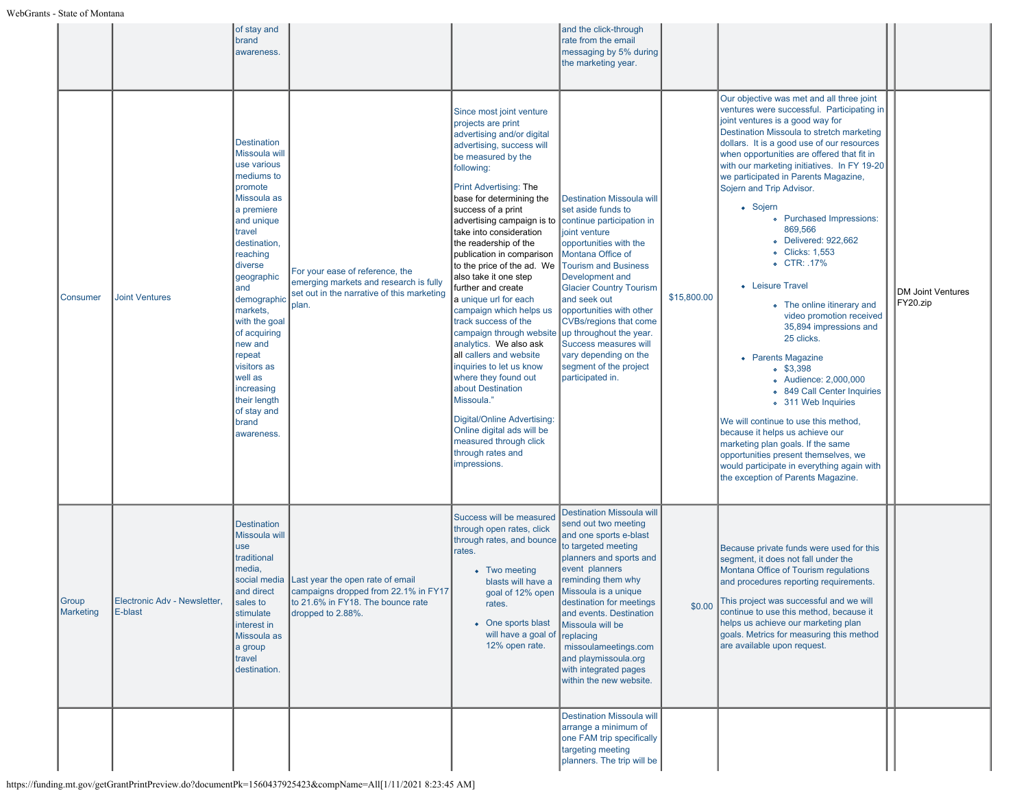|                           |                                         | of stay and<br>brand<br>awareness.                                                                                                                                                                                                                                                                                                                                         |                                                                                                                                    |                                                                                                                                                                                                                                                                                                                                                                                                                                                                                                                                                                                                                                                                                                                                                                                                                     | and the click-through<br>rate from the email<br>messaging by 5% during<br>the marketing year.                                                                                                                                                                                                                                                                                                                                                   |             |                                                                                                                                                                                                                                                                                                                                                                                                                                                                                                                                                                                                                                                                                                                                                                                                                                                                                                                                                                                                                                                     |                                      |
|---------------------------|-----------------------------------------|----------------------------------------------------------------------------------------------------------------------------------------------------------------------------------------------------------------------------------------------------------------------------------------------------------------------------------------------------------------------------|------------------------------------------------------------------------------------------------------------------------------------|---------------------------------------------------------------------------------------------------------------------------------------------------------------------------------------------------------------------------------------------------------------------------------------------------------------------------------------------------------------------------------------------------------------------------------------------------------------------------------------------------------------------------------------------------------------------------------------------------------------------------------------------------------------------------------------------------------------------------------------------------------------------------------------------------------------------|-------------------------------------------------------------------------------------------------------------------------------------------------------------------------------------------------------------------------------------------------------------------------------------------------------------------------------------------------------------------------------------------------------------------------------------------------|-------------|-----------------------------------------------------------------------------------------------------------------------------------------------------------------------------------------------------------------------------------------------------------------------------------------------------------------------------------------------------------------------------------------------------------------------------------------------------------------------------------------------------------------------------------------------------------------------------------------------------------------------------------------------------------------------------------------------------------------------------------------------------------------------------------------------------------------------------------------------------------------------------------------------------------------------------------------------------------------------------------------------------------------------------------------------------|--------------------------------------|
| Consumer                  | <b>Joint Ventures</b>                   | <b>Destination</b><br>Missoula will<br>use various<br>mediums to<br>promote<br>Missoula as<br>a premiere<br>and unique<br>travel<br>destination,<br>reaching<br>diverse<br>geographic<br>and<br>demographio<br>narkets,<br>with the goal<br>of acquiring<br>new and<br>epeat<br>visitors as<br>well as<br>increasing<br>their length<br>of stay and<br>brand<br>awareness. | For your ease of reference, the<br>emerging markets and research is fully<br>set out in the narrative of this marketing<br>plan.   | Since most joint venture<br>projects are print<br>advertising and/or digital<br>advertising, success will<br>be measured by the<br>following:<br><b>Print Advertising: The</b><br>base for determining the<br>success of a print<br>advertising campaign is to<br>take into consideration<br>the readership of the<br>publication in comparison<br>to the price of the ad. We<br>also take it one step<br>further and create<br>a unique url for each<br>campaign which helps us<br>track success of the<br>campaign through website<br>analytics. We also ask<br>all callers and website<br>inquiries to let us know<br>where they found out<br>about Destination<br>Missoula."<br><b>Digital/Online Advertising:</b><br>Online digital ads will be<br>measured through click<br>through rates and<br>impressions. | <b>Destination Missoula will</b><br>set aside funds to<br>continue participation in<br>joint venture<br>opportunities with the<br>Montana Office of<br><b>Tourism and Business</b><br>Development and<br><b>Glacier Country Tourism</b><br>and seek out<br>opportunities with other<br><b>CVBs/regions that come</b><br>up throughout the year.<br>Success measures will<br>vary depending on the<br>segment of the project<br>participated in. | \$15,800.00 | Our objective was met and all three joint<br>ventures were successful. Participating in<br>joint ventures is a good way for<br>Destination Missoula to stretch marketing<br>dollars. It is a good use of our resources<br>when opportunities are offered that fit in<br>with our marketing initiatives. In FY 19-20<br>we participated in Parents Magazine,<br>Sojern and Trip Advisor.<br>• Sojern<br><b>Purchased Impressions:</b><br>$\bullet$<br>869,566<br>Delivered: 922,662<br><b>Clicks: 1,553</b><br>$\bullet$<br>CTR: .17%<br>$\bullet$<br>• Leisure Travel<br>• The online itinerary and<br>video promotion received<br>35,894 impressions and<br>25 clicks.<br>• Parents Magazine<br>$0.$ \$3,398<br>• Audience: 2,000,000<br><sup>o</sup> 849 Call Center Inquiries<br>o 311 Web Inquiries<br>We will continue to use this method,<br>because it helps us achieve our<br>marketing plan goals. If the same<br>opportunities present themselves, we<br>would participate in everything again with<br>the exception of Parents Magazine. | <b>DM Joint Ventures</b><br>FY20.zip |
| <b>Group</b><br>Marketing | Electronic Adv - Newsletter,<br>E-blast | <b>Destination</b><br>Missoula will<br>use<br>traditional<br>media,<br>social media<br>and direct<br>sales to<br>stimulate<br>interest in<br>Missoula as<br>a group<br>travel<br>destination.                                                                                                                                                                              | Last year the open rate of email<br>campaigns dropped from 22.1% in FY17<br>to 21.6% in FY18. The bounce rate<br>dropped to 2.88%. | Success will be measured<br>through open rates, click<br>through rates, and bounce<br>rates.<br>• Two meeting<br>blasts will have a<br>goal of 12% open<br>rates.<br>• One sports blast<br>will have a goal of<br>12% open rate.                                                                                                                                                                                                                                                                                                                                                                                                                                                                                                                                                                                    | <b>Destination Missoula will</b><br>send out two meeting<br>and one sports e-blast<br>to targeted meeting<br>planners and sports and<br>event planners<br>reminding them why<br>Missoula is a unique<br>destination for meetings<br>and events. Destination<br>Missoula will be<br>replacing<br>missoulameetings.com<br>and playmissoula.org<br>with integrated pages<br>within the new website.                                                |             | Because private funds were used for this<br>segment, it does not fall under the<br>Montana Office of Tourism regulations<br>and procedures reporting requirements.<br>\$0.00 This project was successful and we will<br>continue to use this method, because it<br>helps us achieve our marketing plan<br>goals. Metrics for measuring this method<br>are available upon request.                                                                                                                                                                                                                                                                                                                                                                                                                                                                                                                                                                                                                                                                   |                                      |
|                           |                                         |                                                                                                                                                                                                                                                                                                                                                                            |                                                                                                                                    |                                                                                                                                                                                                                                                                                                                                                                                                                                                                                                                                                                                                                                                                                                                                                                                                                     | <b>Destination Missoula will</b><br>arrange a minimum of<br>one FAM trip specifically<br>targeting meeting<br>planners. The trip will be                                                                                                                                                                                                                                                                                                        |             |                                                                                                                                                                                                                                                                                                                                                                                                                                                                                                                                                                                                                                                                                                                                                                                                                                                                                                                                                                                                                                                     |                                      |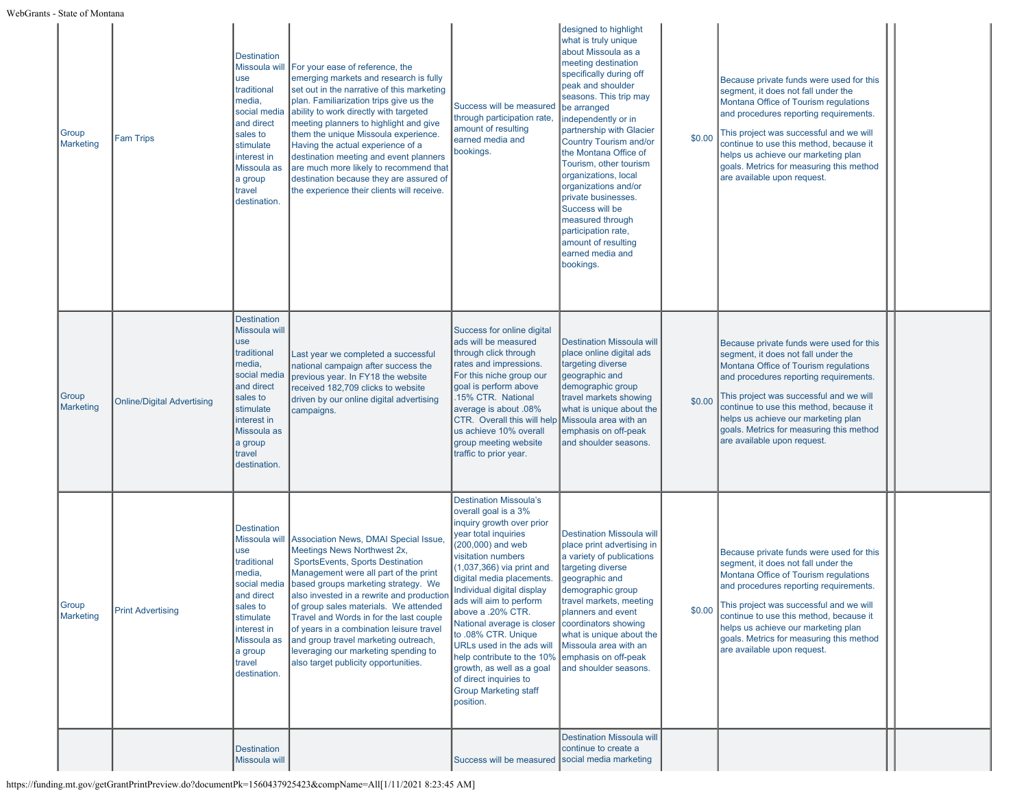WebGrants - State of Montana

| Group<br>Marketing | <b>Fam Trips</b>                  | <b>Destination</b><br>Missoula will<br>use<br>traditional<br>media,<br>social media<br>and direct<br>sales to<br>stimulate<br>interest in<br>Missoula as<br>a group<br>travel<br>destination. | For your ease of reference, the<br>emerging markets and research is fully<br>set out in the narrative of this marketing<br>plan. Familiarization trips give us the<br>ability to work directly with targeted<br>meeting planners to highlight and give<br>them the unique Missoula experience.<br>Having the actual experience of a<br>destination meeting and event planners<br>are much more likely to recommend that<br>destination because they are assured of<br>the experience their clients will receive. | Success will be measured<br>through participation rate,<br>amount of resulting<br>earned media and<br>bookings.                                                                                                                                                                                                                                                                                                                                                                                                     | designed to highlight<br>what is truly unique<br>about Missoula as a<br>meeting destination<br>specifically during off<br>peak and shoulder<br>seasons. This trip may<br>be arranged<br>independently or in<br>partnership with Glacier<br><b>Country Tourism and/or</b><br>the Montana Office of<br>Tourism, other tourism<br>organizations, local<br>organizations and/or<br>private businesses.<br>Success will be<br>measured through<br>participation rate,<br>amount of resulting<br>earned media and<br>bookings. | \$0.00 | Because private funds were used for this<br>segment, it does not fall under the<br>Montana Office of Tourism regulations<br>and procedures reporting requirements.<br>This project was successful and we will<br>continue to use this method, because it<br>helps us achieve our marketing plan<br>goals. Metrics for measuring this method<br>are available upon request. |  |
|--------------------|-----------------------------------|-----------------------------------------------------------------------------------------------------------------------------------------------------------------------------------------------|------------------------------------------------------------------------------------------------------------------------------------------------------------------------------------------------------------------------------------------------------------------------------------------------------------------------------------------------------------------------------------------------------------------------------------------------------------------------------------------------------------------|---------------------------------------------------------------------------------------------------------------------------------------------------------------------------------------------------------------------------------------------------------------------------------------------------------------------------------------------------------------------------------------------------------------------------------------------------------------------------------------------------------------------|--------------------------------------------------------------------------------------------------------------------------------------------------------------------------------------------------------------------------------------------------------------------------------------------------------------------------------------------------------------------------------------------------------------------------------------------------------------------------------------------------------------------------|--------|----------------------------------------------------------------------------------------------------------------------------------------------------------------------------------------------------------------------------------------------------------------------------------------------------------------------------------------------------------------------------|--|
| Group<br>Marketing | <b>Online/Digital Advertising</b> | <b>Destination</b><br>Missoula will<br>use<br>traditional<br>media,<br>social media<br>and direct<br>sales to<br>stimulate<br>interest in<br>Missoula as<br>a group<br>travel<br>destination. | Last year we completed a successful<br>national campaign after success the<br>previous year. In FY18 the website<br>received 182,709 clicks to website<br>driven by our online digital advertising<br>campaigns.                                                                                                                                                                                                                                                                                                 | Success for online digital<br>ads will be measured<br>through click through<br>rates and impressions.<br>For this niche group our<br>goal is perform above<br>.15% CTR. National<br>average is about .08%<br>CTR. Overall this will help<br>us achieve 10% overall<br>group meeting website<br>traffic to prior year.                                                                                                                                                                                               | <b>Destination Missoula will</b><br>place online digital ads<br>targeting diverse<br>geographic and<br>demographic group<br>travel markets showing<br>what is unique about the<br>Missoula area with an<br>emphasis on off-peak<br>and shoulder seasons.                                                                                                                                                                                                                                                                 | \$0.00 | Because private funds were used for this<br>segment, it does not fall under the<br>Montana Office of Tourism regulations<br>and procedures reporting requirements.<br>This project was successful and we will<br>continue to use this method, because it<br>helps us achieve our marketing plan<br>goals. Metrics for measuring this method<br>are available upon request. |  |
| Group<br>Marketing | <b>Print Advertising</b>          | <b>Destination</b><br>Missoula wil<br>use<br>traditional<br>media,<br>social media<br>and direct<br>sales to<br>stimulate<br>interest in<br>Missoula as<br>a group<br>travel<br>destination.  | Association News, DMAI Special Issue.<br>Meetings News Northwest 2x,<br>SportsEvents, Sports Destination<br>Management were all part of the print<br>based groups marketing strategy. We<br>also invested in a rewrite and production<br>of group sales materials. We attended<br>Travel and Words in for the last couple<br>of years in a combination leisure travel<br>and group travel marketing outreach,<br>leveraging our marketing spending to<br>also target publicity opportunities.                    | <b>Destination Missoula's</b><br>overall goal is a 3%<br>inquiry growth over prior<br>year total inquiries<br>(200,000) and web<br>visitation numbers<br>$(1,037,366)$ via print and<br>digital media placements.<br>Individual digital display<br>ads will aim to perform<br>above a .20% CTR.<br>National average is closer<br>to .08% CTR. Unique<br>URLs used in the ads will<br>help contribute to the 10%<br>growth, as well as a goal<br>of direct inquiries to<br><b>Group Marketing staff</b><br>position. | <b>Destination Missoula will</b><br>place print advertising in<br>a variety of publications<br>targeting diverse<br>geographic and<br>demographic group<br>travel markets, meeting<br>planners and event<br>coordinators showing<br>what is unique about the<br>Missoula area with an<br>emphasis on off-peak<br>and shoulder seasons.                                                                                                                                                                                   | \$0.00 | Because private funds were used for this<br>segment, it does not fall under the<br>Montana Office of Tourism regulations<br>and procedures reporting requirements.<br>This project was successful and we will<br>continue to use this method, because it<br>helps us achieve our marketing plan<br>goals. Metrics for measuring this method<br>are available upon request. |  |
|                    |                                   | <b>Destination</b><br>Missoula will                                                                                                                                                           |                                                                                                                                                                                                                                                                                                                                                                                                                                                                                                                  | Success will be measured                                                                                                                                                                                                                                                                                                                                                                                                                                                                                            | <b>Destination Missoula will</b><br>continue to create a<br>social media marketing                                                                                                                                                                                                                                                                                                                                                                                                                                       |        |                                                                                                                                                                                                                                                                                                                                                                            |  |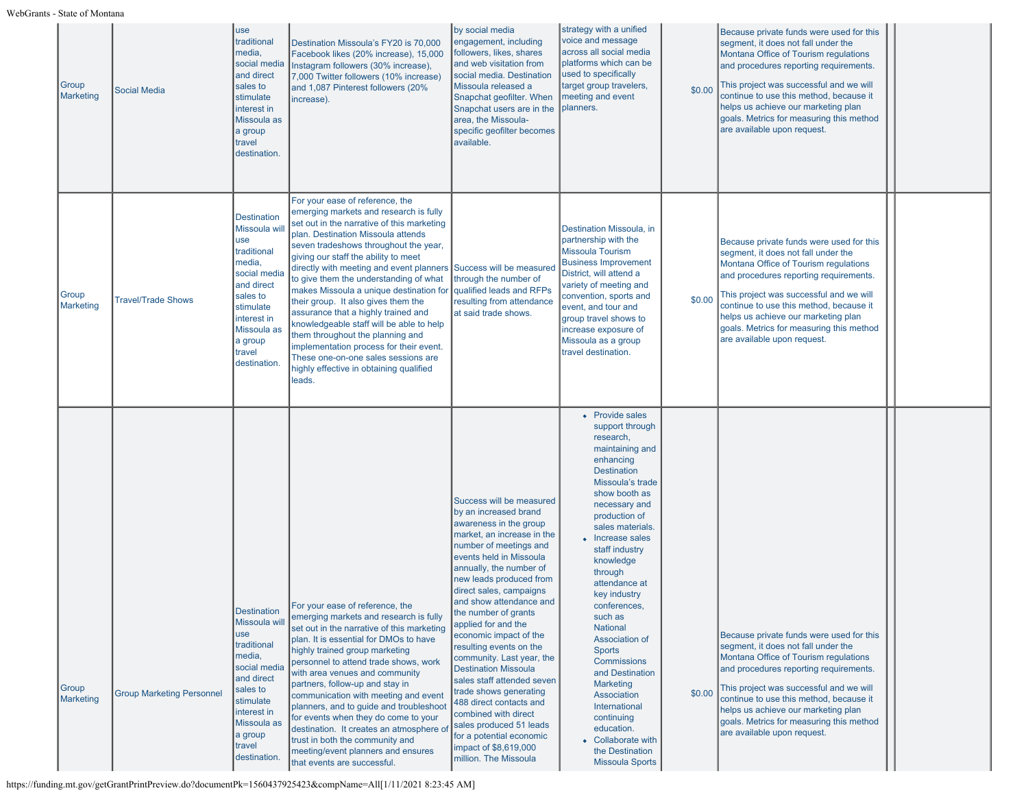| Group<br><b>Marketing</b> | <b>Social Media</b>              | use<br>traditional<br>media,<br>social media<br>and direct<br>sales to<br>stimulate<br>interest in<br>Missoula as<br>a group<br>travel<br>destination.                                       | Destination Missoula's FY20 is 70,000<br>Facebook likes (20% increase), 15,000<br>Instagram followers (30% increase),<br>7,000 Twitter followers (10% increase)<br>and 1,087 Pinterest followers (20%<br>increase).                                                                                                                                                                                                                                                                                                                                                                                                                                                                  | by social media<br>engagement, including<br>followers, likes, shares<br>and web visitation from<br>social media. Destination<br>Missoula released a<br>Snapchat geofilter. When<br>Snapchat users are in the<br>area, the Missoula-<br>specific geofilter becomes<br>available.                                                                                                                                                                                                                                                                                                                                                                                | strategy with a unified<br>voice and message<br>across all social media<br>platforms which can be<br>used to specifically<br>target group travelers,<br>meeting and event<br>planners.                                                                                                                                                                                                                                                                                                                                                                                       | \$0.00 | Because private funds were used for this<br>segment, it does not fall under the<br>Montana Office of Tourism regulations<br>and procedures reporting requirements.<br>This project was successful and we will<br>continue to use this method, because it<br>helps us achieve our marketing plan<br>goals. Metrics for measuring this method<br>are available upon request. |  |
|---------------------------|----------------------------------|----------------------------------------------------------------------------------------------------------------------------------------------------------------------------------------------|--------------------------------------------------------------------------------------------------------------------------------------------------------------------------------------------------------------------------------------------------------------------------------------------------------------------------------------------------------------------------------------------------------------------------------------------------------------------------------------------------------------------------------------------------------------------------------------------------------------------------------------------------------------------------------------|----------------------------------------------------------------------------------------------------------------------------------------------------------------------------------------------------------------------------------------------------------------------------------------------------------------------------------------------------------------------------------------------------------------------------------------------------------------------------------------------------------------------------------------------------------------------------------------------------------------------------------------------------------------|------------------------------------------------------------------------------------------------------------------------------------------------------------------------------------------------------------------------------------------------------------------------------------------------------------------------------------------------------------------------------------------------------------------------------------------------------------------------------------------------------------------------------------------------------------------------------|--------|----------------------------------------------------------------------------------------------------------------------------------------------------------------------------------------------------------------------------------------------------------------------------------------------------------------------------------------------------------------------------|--|
| Group<br>Marketing        | <b>Travel/Trade Shows</b>        | <b>Destination</b><br>Missoula wil<br>use<br>traditional<br>media,<br>social media<br>and direct<br>sales to<br>stimulate<br>interest in<br>Missoula as<br>a group<br>travel<br>destination. | For your ease of reference, the<br>emerging markets and research is fully<br>set out in the narrative of this marketing<br>plan. Destination Missoula attends<br>seven tradeshows throughout the year,<br>giving our staff the ability to meet<br>directly with meeting and event planners<br>to give them the understanding of what<br>makes Missoula a unique destination for<br>their group. It also gives them the<br>assurance that a highly trained and<br>knowledgeable staff will be able to help<br>them throughout the planning and<br>implementation process for their event.<br>These one-on-one sales sessions are<br>highly effective in obtaining qualified<br>leads. | Success will be measured<br>through the number of<br>qualified leads and RFPs<br>resulting from attendance<br>at said trade shows.                                                                                                                                                                                                                                                                                                                                                                                                                                                                                                                             | Destination Missoula, in<br>partnership with the<br><b>Missoula Tourism</b><br><b>Business Improvement</b><br>District, will attend a<br>variety of meeting and<br>convention, sports and<br>event, and tour and<br>group travel shows to<br>increase exposure of<br>Missoula as a group<br>travel destination.                                                                                                                                                                                                                                                              | \$0.00 | Because private funds were used for this<br>segment, it does not fall under the<br>Montana Office of Tourism regulations<br>and procedures reporting requirements.<br>This project was successful and we will<br>continue to use this method, because it<br>helps us achieve our marketing plan<br>goals. Metrics for measuring this method<br>are available upon request. |  |
| Group<br><b>Marketing</b> | <b>Group Marketing Personnel</b> | <b>Destination</b><br>Missoula wil<br>use<br>traditional<br>media,<br>social media<br>and direct<br>sales to<br>stimulate<br>interest in<br>Missoula as<br>a group<br>travel<br>destination. | For your ease of reference, the<br>emerging markets and research is fully<br>set out in the narrative of this marketing<br>plan. It is essential for DMOs to have<br>highly trained group marketing<br>personnel to attend trade shows, work<br>with area venues and community<br>partners, follow-up and stay in<br>communication with meeting and event<br>planners, and to guide and troubleshoot<br>for events when they do come to your<br>destination. It creates an atmosphere of<br>trust in both the community and<br>meeting/event planners and ensures<br>that events are successful.                                                                                     | Success will be measured<br>by an increased brand<br>awareness in the group<br>market, an increase in the<br>number of meetings and<br>events held in Missoula<br>annually, the number of<br>new leads produced from<br>direct sales, campaigns<br>and show attendance and<br>the number of grants<br>applied for and the<br>economic impact of the<br>resulting events on the<br>community. Last year, the<br><b>Destination Missoula</b><br>sales staff attended seven<br>trade shows generating<br>488 direct contacts and<br>combined with direct<br>sales produced 51 leads<br>for a potential economic<br>impact of \$8,619,000<br>million. The Missoula | • Provide sales<br>support through<br>research,<br>maintaining and<br>enhancing<br><b>Destination</b><br>Missoula's trade<br>show booth as<br>necessary and<br>production of<br>sales materials.<br>• Increase sales<br>staff industry<br>knowledge<br>through<br>attendance at<br>key industry<br>conferences,<br>such as<br><b>National</b><br>Association of<br><b>Sports</b><br><b>Commissions</b><br>and Destination<br><b>Marketing</b><br>Association<br>International<br>continuing<br>education.<br>• Collaborate with<br>the Destination<br><b>Missoula Sports</b> | \$0.00 | Because private funds were used for this<br>segment, it does not fall under the<br>Montana Office of Tourism regulations<br>and procedures reporting requirements.<br>This project was successful and we will<br>continue to use this method, because it<br>helps us achieve our marketing plan<br>goals. Metrics for measuring this method<br>are available upon request. |  |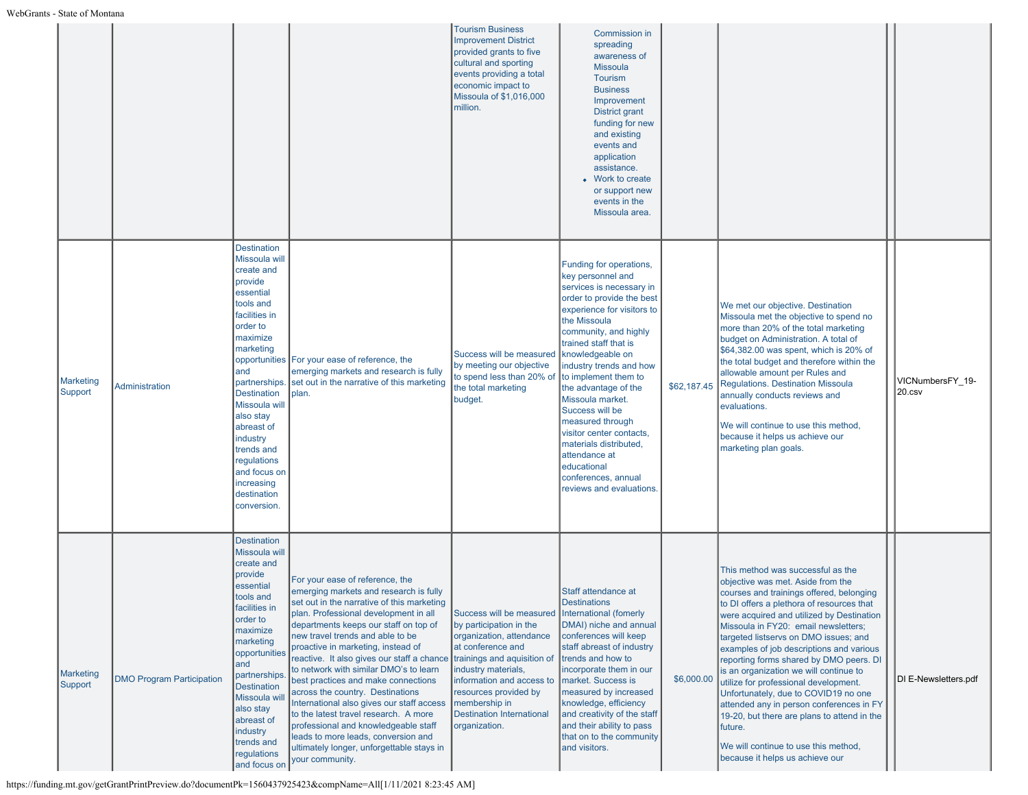|                             |                                  |                                                                                                                                                                                                                                                                                                                                             |                                                                                                                                                                                                                                                                                                                                                                                                                                                                                                                                                                                                                                                                                             | <b>Tourism Business</b><br><b>Improvement District</b><br>provided grants to five<br>cultural and sporting<br>events providing a total<br>economic impact to<br>Missoula of \$1,016,000<br>million.                                                                                    | <b>Commission in</b><br>spreading<br>awareness of<br><b>Missoula</b><br><b>Tourism</b><br><b>Business</b><br>Improvement<br>District grant<br>funding for new<br>and existing<br>events and<br>application<br>assistance.<br>Work to create<br>or support new<br>events in the<br>Missoula area.                                                                                                                                                                                                         |             |                                                                                                                                                                                                                                                                                                                                                                                                                                                                                                                                                                                                                                                                                                  |                               |
|-----------------------------|----------------------------------|---------------------------------------------------------------------------------------------------------------------------------------------------------------------------------------------------------------------------------------------------------------------------------------------------------------------------------------------|---------------------------------------------------------------------------------------------------------------------------------------------------------------------------------------------------------------------------------------------------------------------------------------------------------------------------------------------------------------------------------------------------------------------------------------------------------------------------------------------------------------------------------------------------------------------------------------------------------------------------------------------------------------------------------------------|----------------------------------------------------------------------------------------------------------------------------------------------------------------------------------------------------------------------------------------------------------------------------------------|----------------------------------------------------------------------------------------------------------------------------------------------------------------------------------------------------------------------------------------------------------------------------------------------------------------------------------------------------------------------------------------------------------------------------------------------------------------------------------------------------------|-------------|--------------------------------------------------------------------------------------------------------------------------------------------------------------------------------------------------------------------------------------------------------------------------------------------------------------------------------------------------------------------------------------------------------------------------------------------------------------------------------------------------------------------------------------------------------------------------------------------------------------------------------------------------------------------------------------------------|-------------------------------|
| <b>Marketing</b><br>Support | <b>Administration</b>            | <b>Destination</b><br>Missoula will<br>create and<br>provide<br>essential<br>tools and<br>facilities in<br>order to<br>maximize<br>marketing<br>and<br>partnerships.<br><b>Destination</b><br>Missoula will<br>also stay<br>abreast of<br>industry<br>trends and<br>regulations<br>and focus on<br>increasing<br>destination<br>conversion. | opportunities For your ease of reference, the<br>emerging markets and research is fully<br>set out in the narrative of this marketing<br>plan.                                                                                                                                                                                                                                                                                                                                                                                                                                                                                                                                              | Success will be measured<br>by meeting our objective<br>to spend less than 20% of<br>the total marketing<br>budget.                                                                                                                                                                    | Funding for operations,<br>key personnel and<br>services is necessary in<br>order to provide the best<br>experience for visitors to<br>the Missoula<br>community, and highly<br>trained staff that is<br>knowledgeable on<br>industry trends and how<br>to implement them to<br>the advantage of the<br>Missoula market.<br>Success will be<br>measured through<br>visitor center contacts,<br>materials distributed,<br>attendance at<br>educational<br>conferences, annual<br>reviews and evaluations. | \$62,187.45 | We met our objective. Destination<br>Missoula met the objective to spend no<br>more than 20% of the total marketing<br>budget on Administration. A total of<br>\$64,382.00 was spent, which is 20% of<br>the total budget and therefore within the<br>allowable amount per Rules and<br>Regulations. Destination Missoula<br>annually conducts reviews and<br>evaluations.<br>We will continue to use this method,<br>because it helps us achieve our<br>marketing plan goals.                                                                                                                                                                                                                   | VICNumbersFY 19-<br>$20$ .csv |
| Marketing<br>Support        | <b>DMO Program Participation</b> | <b>Destination</b><br>Missoula will<br>create and<br>provide<br>essential<br>tools and<br>facilities in<br>order to<br>maximize<br>marketing<br>opportunities<br>and<br>partnerships<br><b>Destination</b><br>Missoula wil<br>also stay<br>abreast of<br>industry<br>trends and<br>regulations<br>and focus on                              | For your ease of reference, the<br>emerging markets and research is fully<br>set out in the narrative of this marketing<br>plan. Professional development in all<br>departments keeps our staff on top of<br>new travel trends and able to be<br>proactive in marketing, instead of<br>reactive. It also gives our staff a chance<br>to network with similar DMO's to learn<br>best practices and make connections<br>across the country. Destinations<br>International also gives our staff access<br>to the latest travel research. A more<br>professional and knowledgeable staff<br>leads to more leads, conversion and<br>ultimately longer, unforgettable stays in<br>your community. | Success will be measured<br>by participation in the<br>organization, attendance<br>at conference and<br>trainings and aquisition of<br>industry materials,<br>information and access to<br>resources provided by<br>membership in<br><b>Destination International</b><br>organization. | Staff attendance at<br><b>Destinations</b><br>International (fomerly<br>DMAI) niche and annual<br>conferences will keep<br>staff abreast of industry<br>trends and how to<br>incorporate them in our<br>market. Success is<br>measured by increased<br>knowledge, efficiency<br>and creativity of the staff<br>and their ability to pass<br>that on to the community<br>and visitors.                                                                                                                    | \$6,000.00  | This method was successful as the<br>objective was met. Aside from the<br>courses and trainings offered, belonging<br>to DI offers a plethora of resources that<br>were acquired and utilized by Destination<br>Missoula in FY20: email newsletters;<br>targeted listservs on DMO issues; and<br>examples of job descriptions and various<br>reporting forms shared by DMO peers. DI<br>is an organization we will continue to<br>utilize for professional development.<br>Unfortunately, due to COVID19 no one<br>attended any in person conferences in FY<br>19-20, but there are plans to attend in the<br>future.<br>We will continue to use this method,<br>because it helps us achieve our | DI E-Newsletters.pdf          |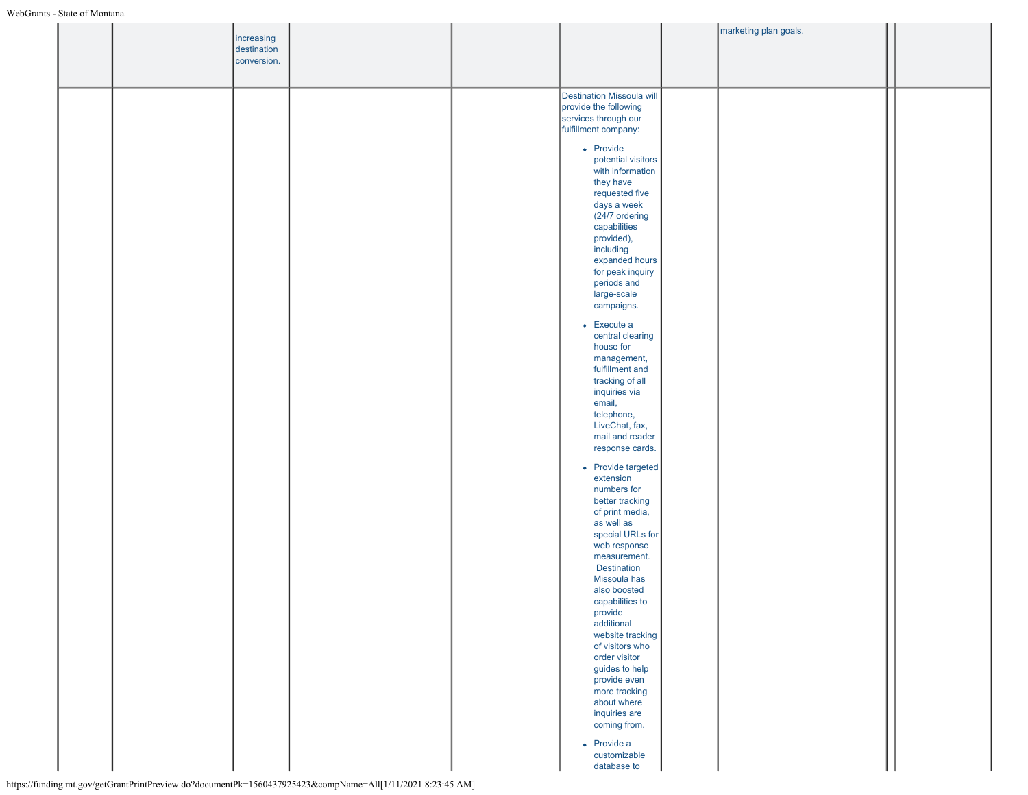|  |            |                           |                                                              |                                    | marketing plan goals. |  |
|--|------------|---------------------------|--------------------------------------------------------------|------------------------------------|-----------------------|--|
|  |            | increasing<br>destination |                                                              |                                    |                       |  |
|  |            | conversion.               |                                                              |                                    |                       |  |
|  |            |                           |                                                              |                                    |                       |  |
|  |            |                           |                                                              |                                    |                       |  |
|  |            |                           |                                                              | Destination Missoula will          |                       |  |
|  |            |                           |                                                              | provide the following              |                       |  |
|  |            |                           |                                                              | services through our               |                       |  |
|  |            |                           |                                                              | fulfillment company:               |                       |  |
|  |            |                           |                                                              | • Provide                          |                       |  |
|  |            |                           |                                                              | potential visitors                 |                       |  |
|  |            |                           |                                                              | with information                   |                       |  |
|  |            |                           |                                                              | they have                          |                       |  |
|  |            |                           |                                                              | requested five                     |                       |  |
|  |            |                           |                                                              | days a week                        |                       |  |
|  |            |                           |                                                              | (24/7 ordering                     |                       |  |
|  |            |                           |                                                              | capabilities                       |                       |  |
|  |            |                           |                                                              | provided),<br>including            |                       |  |
|  |            |                           |                                                              | expanded hours                     |                       |  |
|  |            |                           |                                                              | for peak inquiry                   |                       |  |
|  |            |                           |                                                              | periods and                        |                       |  |
|  |            |                           |                                                              | large-scale                        |                       |  |
|  |            |                           |                                                              | campaigns.                         |                       |  |
|  |            |                           |                                                              | $\bullet$ Execute a                |                       |  |
|  |            |                           |                                                              | central clearing                   |                       |  |
|  |            |                           |                                                              | house for                          |                       |  |
|  |            |                           |                                                              | management,                        |                       |  |
|  |            |                           |                                                              | fulfillment and                    |                       |  |
|  |            |                           |                                                              | tracking of all                    |                       |  |
|  |            |                           |                                                              | inquiries via                      |                       |  |
|  |            |                           |                                                              | email,                             |                       |  |
|  |            |                           |                                                              | telephone,<br>LiveChat, fax,       |                       |  |
|  |            |                           |                                                              | mail and reader                    |                       |  |
|  |            |                           |                                                              | response cards.                    |                       |  |
|  |            |                           |                                                              |                                    |                       |  |
|  |            |                           |                                                              | • Provide targeted                 |                       |  |
|  |            |                           |                                                              | extension<br>numbers for           |                       |  |
|  |            |                           |                                                              | better tracking                    |                       |  |
|  |            |                           |                                                              | of print media,                    |                       |  |
|  |            |                           |                                                              | as well as                         |                       |  |
|  |            |                           |                                                              | special URLs for                   |                       |  |
|  |            |                           |                                                              | web response                       |                       |  |
|  |            |                           |                                                              | measurement.                       |                       |  |
|  |            |                           |                                                              | <b>Destination</b><br>Missoula has |                       |  |
|  |            |                           |                                                              | also boosted                       |                       |  |
|  |            |                           |                                                              | capabilities to                    |                       |  |
|  |            |                           |                                                              | provide                            |                       |  |
|  |            |                           |                                                              | additional                         |                       |  |
|  |            |                           |                                                              | website tracking                   |                       |  |
|  |            |                           |                                                              | of visitors who                    |                       |  |
|  |            |                           |                                                              | order visitor<br>guides to help    |                       |  |
|  |            |                           |                                                              | provide even                       |                       |  |
|  |            |                           |                                                              | more tracking                      |                       |  |
|  |            |                           |                                                              | about where                        |                       |  |
|  |            |                           |                                                              | inquiries are                      |                       |  |
|  |            |                           |                                                              | coming from.                       |                       |  |
|  |            |                           |                                                              | $\bullet$ Provide a                |                       |  |
|  |            |                           |                                                              | customizable                       |                       |  |
|  |            |                           |                                                              | database to                        |                       |  |
|  | $\sqrt{D}$ | 15604270254220            | $\lambda$ 1151/11/2021 0.22 45 $\lambda$ 347<br>$\mathbf{X}$ |                                    |                       |  |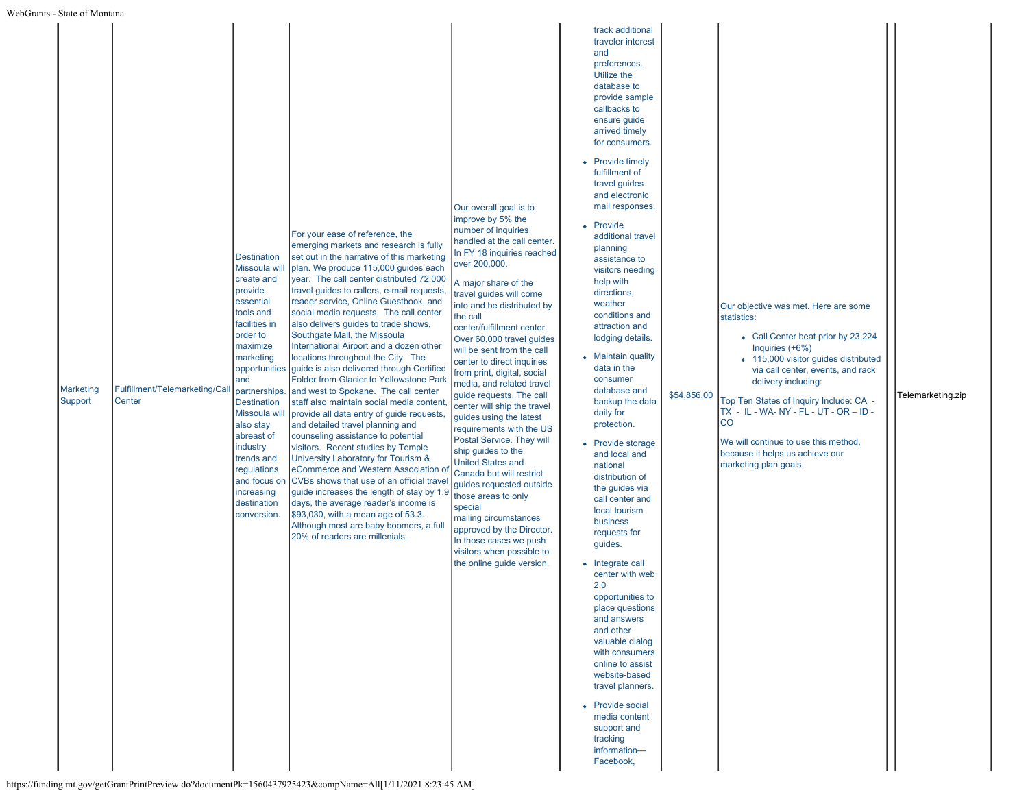| Marketing<br>Support | Fulfillment/Telemarketing/Call<br>Center | <b>Destination</b><br>Missoula will<br>create and<br>provide<br>essential<br>tools and<br>facilities in<br>order to<br>maximize<br>marketing<br>and<br><b>Destination</b><br>Missoula will<br>also stay<br>abreast of<br>industry<br>trends and<br>regulations<br>and focus on<br>increasing<br>destination<br>conversion. | For your ease of reference, the<br>emerging markets and research is fully<br>set out in the narrative of this marketing<br>plan. We produce 115,000 guides each<br>year. The call center distributed 72,000<br>travel guides to callers, e-mail requests,<br>reader service, Online Guestbook, and<br>social media requests. The call center<br>also delivers guides to trade shows,<br>Southgate Mall, the Missoula<br>International Airport and a dozen other<br>locations throughout the City. The<br>opportunities guide is also delivered through Certified<br>Folder from Glacier to Yellowstone Park<br>partnerships. and west to Spokane. The call center<br>staff also maintain social media content,<br>provide all data entry of guide requests,<br>and detailed travel planning and<br>counseling assistance to potential<br>visitors. Recent studies by Temple<br>University Laboratory for Tourism &<br>eCommerce and Western Association of<br>CVBs shows that use of an official travel<br>guide increases the length of stay by 1.9<br>days, the average reader's income is<br>\$93,030, with a mean age of 53.3.<br>Although most are baby boomers, a full<br>20% of readers are millenials.<br>$\frac{1}{2}$ of gov/getCraptDriptDraview do?documentDk=1560427025422 from Name=All[1/11/2021 8:22:45 AM] | Our overall goal is to<br>improve by 5% the<br>number of inquiries<br>handled at the call center.<br>In FY 18 inquiries reached<br>over 200,000.<br>A major share of the<br>travel guides will come<br>into and be distributed by<br>the call<br>center/fulfillment center.<br>Over 60,000 travel guides<br>will be sent from the call<br>center to direct inquiries<br>from print, digital, social<br>media, and related travel<br>quide requests. The call<br>center will ship the travel<br>guides using the latest<br>requirements with the US<br>Postal Service. They will<br>ship guides to the<br>United States and<br>Canada but will restrict<br>guides requested outside<br>those areas to only<br>special<br>mailing circumstances<br>approved by the Director.<br>In those cases we push<br>visitors when possible to<br>the online quide version. | track additional<br>traveler interest<br>and<br>preferences.<br>Utilize the<br>database to<br>provide sample<br>callbacks to<br>ensure guide<br>arrived timely<br>for consumers.<br>• Provide timely<br>fulfillment of<br>travel guides<br>and electronic<br>mail responses.<br>• Provide<br>additional travel<br>planning<br>assistance to<br>visitors needing<br>help with<br>directions,<br>weather<br>conditions and<br>attraction and<br>lodging details.<br>• Maintain quality<br>data in the<br>consumer<br>database and<br>backup the data<br>daily for<br>protection.<br>• Provide storage<br>and local and<br>national<br>distribution of<br>the guides via<br>call center and<br>local tourism<br>business<br>requests for<br>guides.<br>• Integrate call<br>center with web<br>2.0<br>opportunities to<br>place questions<br>and answers<br>and other<br>valuable dialog<br>with consumers<br>online to assist<br>website-based<br>travel planners.<br>• Provide social<br>media content<br>support and<br>tracking<br>information-<br>Facebook, | \$54,856.00 | Our objective was met. Here are some<br>statistics:<br>• Call Center beat prior by 23,224<br>Inquiries (+6%)<br>• 115,000 visitor guides distributed<br>via call center, events, and rack<br>delivery including:<br>Top Ten States of Inquiry Include: CA -<br>$TX - IL - WA - NY - FL - UT - OR - ID -$<br>CO<br>We will continue to use this method,<br>because it helps us achieve our<br>marketing plan goals. | Telemarketing.zip |
|----------------------|------------------------------------------|----------------------------------------------------------------------------------------------------------------------------------------------------------------------------------------------------------------------------------------------------------------------------------------------------------------------------|-----------------------------------------------------------------------------------------------------------------------------------------------------------------------------------------------------------------------------------------------------------------------------------------------------------------------------------------------------------------------------------------------------------------------------------------------------------------------------------------------------------------------------------------------------------------------------------------------------------------------------------------------------------------------------------------------------------------------------------------------------------------------------------------------------------------------------------------------------------------------------------------------------------------------------------------------------------------------------------------------------------------------------------------------------------------------------------------------------------------------------------------------------------------------------------------------------------------------------------------------------------------------------------------------------------------------------|----------------------------------------------------------------------------------------------------------------------------------------------------------------------------------------------------------------------------------------------------------------------------------------------------------------------------------------------------------------------------------------------------------------------------------------------------------------------------------------------------------------------------------------------------------------------------------------------------------------------------------------------------------------------------------------------------------------------------------------------------------------------------------------------------------------------------------------------------------------|--------------------------------------------------------------------------------------------------------------------------------------------------------------------------------------------------------------------------------------------------------------------------------------------------------------------------------------------------------------------------------------------------------------------------------------------------------------------------------------------------------------------------------------------------------------------------------------------------------------------------------------------------------------------------------------------------------------------------------------------------------------------------------------------------------------------------------------------------------------------------------------------------------------------------------------------------------------------------------------------------------------------------------------------------------------|-------------|--------------------------------------------------------------------------------------------------------------------------------------------------------------------------------------------------------------------------------------------------------------------------------------------------------------------------------------------------------------------------------------------------------------------|-------------------|
|----------------------|------------------------------------------|----------------------------------------------------------------------------------------------------------------------------------------------------------------------------------------------------------------------------------------------------------------------------------------------------------------------------|-----------------------------------------------------------------------------------------------------------------------------------------------------------------------------------------------------------------------------------------------------------------------------------------------------------------------------------------------------------------------------------------------------------------------------------------------------------------------------------------------------------------------------------------------------------------------------------------------------------------------------------------------------------------------------------------------------------------------------------------------------------------------------------------------------------------------------------------------------------------------------------------------------------------------------------------------------------------------------------------------------------------------------------------------------------------------------------------------------------------------------------------------------------------------------------------------------------------------------------------------------------------------------------------------------------------------------|----------------------------------------------------------------------------------------------------------------------------------------------------------------------------------------------------------------------------------------------------------------------------------------------------------------------------------------------------------------------------------------------------------------------------------------------------------------------------------------------------------------------------------------------------------------------------------------------------------------------------------------------------------------------------------------------------------------------------------------------------------------------------------------------------------------------------------------------------------------|--------------------------------------------------------------------------------------------------------------------------------------------------------------------------------------------------------------------------------------------------------------------------------------------------------------------------------------------------------------------------------------------------------------------------------------------------------------------------------------------------------------------------------------------------------------------------------------------------------------------------------------------------------------------------------------------------------------------------------------------------------------------------------------------------------------------------------------------------------------------------------------------------------------------------------------------------------------------------------------------------------------------------------------------------------------|-------------|--------------------------------------------------------------------------------------------------------------------------------------------------------------------------------------------------------------------------------------------------------------------------------------------------------------------------------------------------------------------------------------------------------------------|-------------------|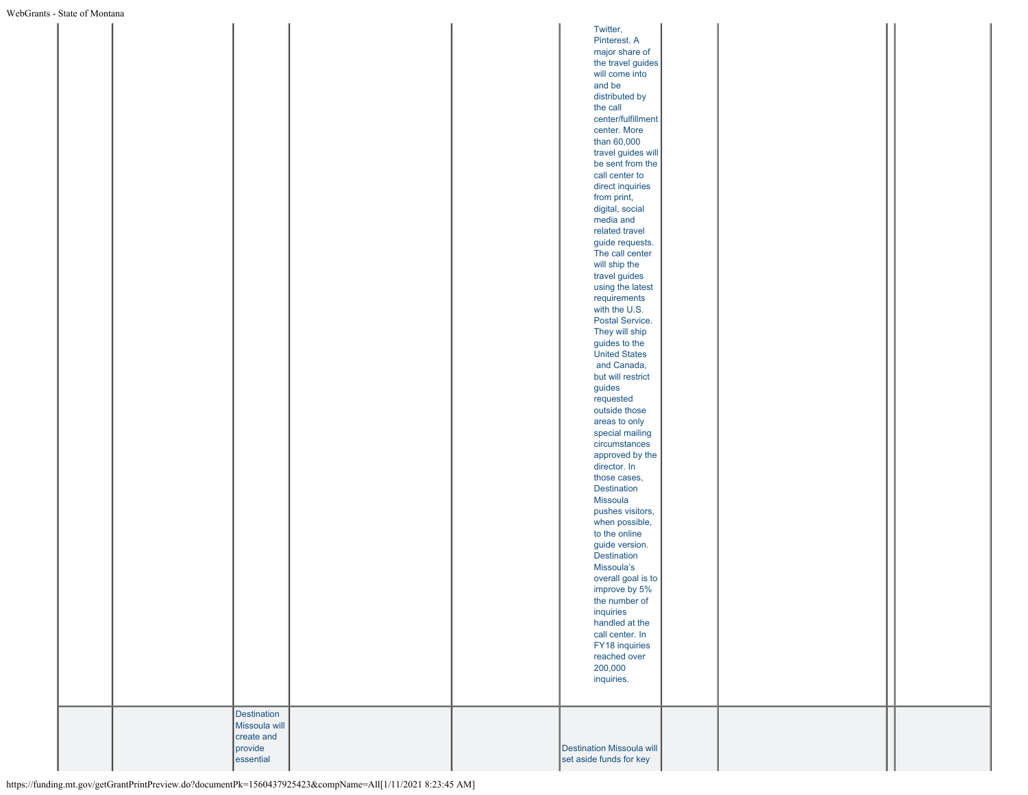| s - State of Montana |               |  |                                  |  |  |
|----------------------|---------------|--|----------------------------------|--|--|
|                      |               |  | Twitter,                         |  |  |
|                      |               |  |                                  |  |  |
|                      |               |  | Pinterest. A                     |  |  |
|                      |               |  | major share of                   |  |  |
|                      |               |  | the travel guides                |  |  |
|                      |               |  | will come into                   |  |  |
|                      |               |  | and be                           |  |  |
|                      |               |  |                                  |  |  |
|                      |               |  | distributed by                   |  |  |
|                      |               |  | the call                         |  |  |
|                      |               |  | center/fulfillment               |  |  |
|                      |               |  | center. More                     |  |  |
|                      |               |  | than 60,000                      |  |  |
|                      |               |  | travel guides will               |  |  |
|                      |               |  |                                  |  |  |
|                      |               |  | be sent from the                 |  |  |
|                      |               |  | call center to                   |  |  |
|                      |               |  | direct inquiries                 |  |  |
|                      |               |  | from print,                      |  |  |
|                      |               |  | digital, social                  |  |  |
|                      |               |  | media and                        |  |  |
|                      |               |  | related travel                   |  |  |
|                      |               |  |                                  |  |  |
|                      |               |  | guide requests.                  |  |  |
|                      |               |  | The call center                  |  |  |
|                      |               |  | will ship the                    |  |  |
|                      |               |  | travel guides                    |  |  |
|                      |               |  | using the latest                 |  |  |
|                      |               |  | requirements                     |  |  |
|                      |               |  | with the U.S.                    |  |  |
|                      |               |  |                                  |  |  |
|                      |               |  | Postal Service.                  |  |  |
|                      |               |  | They will ship                   |  |  |
|                      |               |  | guides to the                    |  |  |
|                      |               |  | <b>United States</b>             |  |  |
|                      |               |  | and Canada,                      |  |  |
|                      |               |  | but will restrict                |  |  |
|                      |               |  | guides                           |  |  |
|                      |               |  |                                  |  |  |
|                      |               |  | requested                        |  |  |
|                      |               |  | outside those                    |  |  |
|                      |               |  | areas to only                    |  |  |
|                      |               |  | special mailing                  |  |  |
|                      |               |  | circumstances                    |  |  |
|                      |               |  | approved by the                  |  |  |
|                      |               |  | director. In                     |  |  |
|                      |               |  | those cases,                     |  |  |
|                      |               |  |                                  |  |  |
|                      |               |  | Destination                      |  |  |
|                      |               |  | Missoula                         |  |  |
|                      |               |  | pushes visitors,                 |  |  |
|                      |               |  | when possible,                   |  |  |
|                      |               |  | to the online                    |  |  |
|                      |               |  | guide version.                   |  |  |
|                      |               |  | Destination                      |  |  |
|                      |               |  | Missoula's                       |  |  |
|                      |               |  |                                  |  |  |
|                      |               |  | overall goal is to               |  |  |
|                      |               |  | improve by 5%                    |  |  |
|                      |               |  | the number of                    |  |  |
|                      |               |  | inquiries                        |  |  |
|                      |               |  | handled at the                   |  |  |
|                      |               |  | call center. In                  |  |  |
|                      |               |  | FY18 inquiries                   |  |  |
|                      |               |  | reached over                     |  |  |
|                      |               |  |                                  |  |  |
|                      |               |  | 200,000                          |  |  |
|                      |               |  | inquiries.                       |  |  |
|                      |               |  |                                  |  |  |
|                      |               |  |                                  |  |  |
|                      | Destination   |  |                                  |  |  |
|                      | Missoula will |  |                                  |  |  |
|                      | create and    |  |                                  |  |  |
|                      | provide       |  | <b>Destination Missoula will</b> |  |  |
|                      | essential     |  | set aside funds for key          |  |  |
|                      |               |  |                                  |  |  |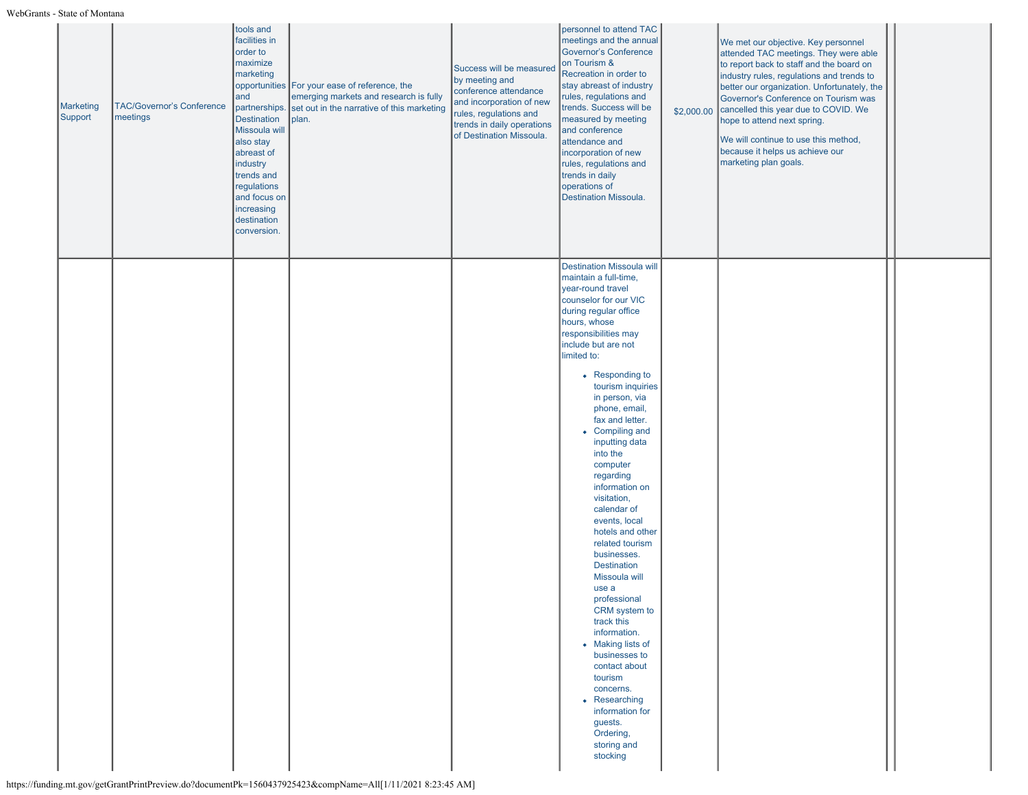| <b>Marketing</b><br>Support | <b>TAC/Governor's Conference</b><br>meetings | tools and<br>facilities in<br>order to<br>maximize<br>marketing<br>and<br>partnerships.<br><b>Destination</b><br>Missoula will<br>also stay<br>abreast of<br>industry<br>trends and<br>regulations<br>and focus on<br>increasing<br>destination<br>conversion. | opportunities For your ease of reference, the<br>emerging markets and research is fully<br>set out in the narrative of this marketing<br>plan. | Success will be measured<br>by meeting and<br>conference attendance<br>and incorporation of new<br>rules, regulations and<br>trends in daily operations<br>of Destination Missoula. | personnel to attend TAC<br>meetings and the annual<br>Governor's Conference<br>on Tourism &<br>Recreation in order to<br>stay abreast of industry<br>rules, regulations and<br>trends. Success will be<br>measured by meeting<br>and conference<br>attendance and<br>incorporation of new<br>rules, regulations and<br>trends in daily<br>operations of<br>Destination Missoula.                                                                                                                                                                                                                                                                  | \$2,000.00 | We met our objective. Key personnel<br>attended TAC meetings. They were able<br>to report back to staff and the board on<br>industry rules, regulations and trends to<br>better our organization. Unfortunately, the<br>Governor's Conference on Tourism was<br>cancelled this year due to COVID. We<br>hope to attend next spring.<br>We will continue to use this method,<br>because it helps us achieve our<br>marketing plan goals. |  |
|-----------------------------|----------------------------------------------|----------------------------------------------------------------------------------------------------------------------------------------------------------------------------------------------------------------------------------------------------------------|------------------------------------------------------------------------------------------------------------------------------------------------|-------------------------------------------------------------------------------------------------------------------------------------------------------------------------------------|---------------------------------------------------------------------------------------------------------------------------------------------------------------------------------------------------------------------------------------------------------------------------------------------------------------------------------------------------------------------------------------------------------------------------------------------------------------------------------------------------------------------------------------------------------------------------------------------------------------------------------------------------|------------|-----------------------------------------------------------------------------------------------------------------------------------------------------------------------------------------------------------------------------------------------------------------------------------------------------------------------------------------------------------------------------------------------------------------------------------------|--|
|                             |                                              |                                                                                                                                                                                                                                                                |                                                                                                                                                |                                                                                                                                                                                     | <b>Destination Missoula will</b><br>maintain a full-time,<br>year-round travel<br>counselor for our VIC<br>during regular office<br>hours, whose<br>responsibilities may<br>include but are not<br>limited to:<br>• Responding to<br>tourism inquiries<br>in person, via<br>phone, email,<br>fax and letter.<br>• Compiling and<br>inputting data<br>into the<br>computer<br>regarding<br>information on<br>visitation,<br>calendar of<br>events, local<br>hotels and other<br>related tourism<br>businesses.<br><b>Destination</b><br>Missoula will<br>use a<br>professional<br>CRM system to<br>track this<br>information.<br>• Making lists of |            |                                                                                                                                                                                                                                                                                                                                                                                                                                         |  |
|                             |                                              |                                                                                                                                                                                                                                                                |                                                                                                                                                |                                                                                                                                                                                     | contact about<br>tourism<br>concerns.<br>• Researching<br>information for<br>guests.<br>Ordering,<br>storing and<br>stocking                                                                                                                                                                                                                                                                                                                                                                                                                                                                                                                      |            |                                                                                                                                                                                                                                                                                                                                                                                                                                         |  |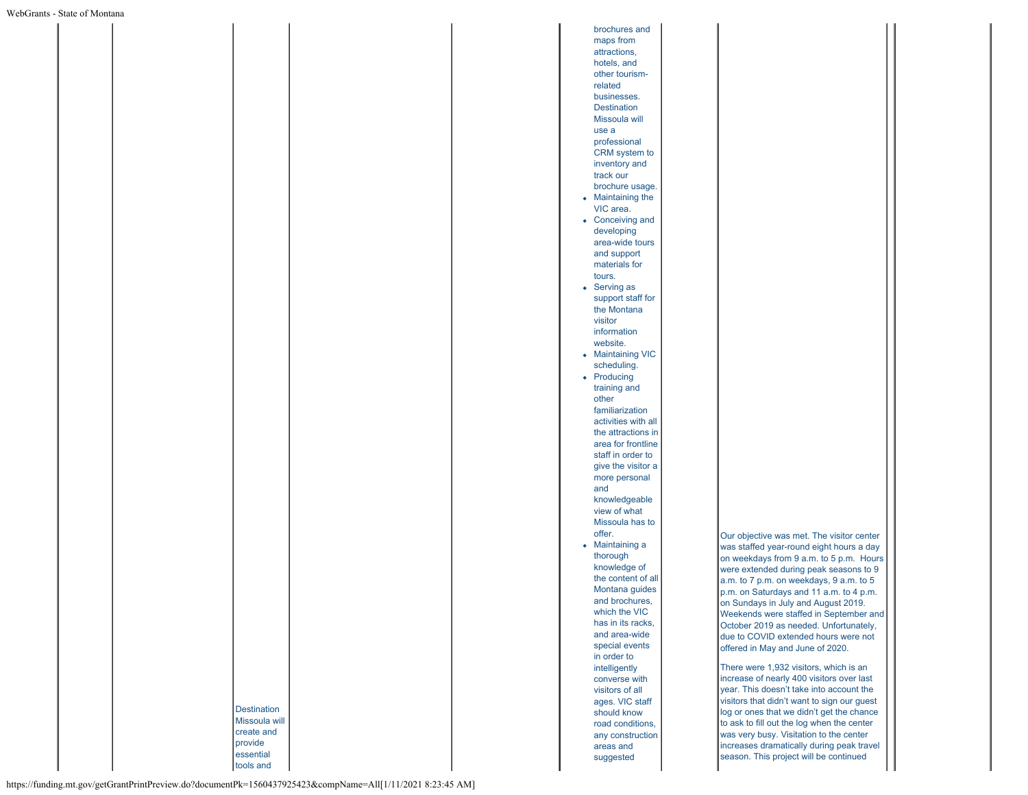brochures and maps from attractions, hotels, and other tourismrelated businesses. **Destination** Missoula will use a professional CRM system to inventory and track our brochure usage. • Maintaining the VIC area. • Conceiving and developing area-wide tours and support materials for tours. • Serving as support staff for the Montana visitor information website. • Maintaining VIC scheduling. • Producing training and other familiarization activities with all the attractions in area for frontline staff in order to give the visitor a more personal and knowledgeable view of what Missoula has to offer. Maintaining a thorough knowledge of the content of all Montana guides and brochures, which the VIC has in its racks, and area-wide special events in order to intelligently converse with visitors of all ages. VIC staff should know road conditions, any construction areas and suggested

Our objective was met. The visitor center was staffed year-round eight hours a day on weekdays from 9 a.m. to 5 p.m. Hours were extended during peak seasons to 9 a.m. to 7 p.m. on weekdays, 9 a.m. to 5 p.m. on Saturdays and 11 a.m. to 4 p.m. on Sundays in July and August 2019. Weekends were staffed in September and October 2019 as needed. Unfortunately, due to COVID extended hours were not offered in May and June of 2020.

There were 1,932 visitors, which is an increase of nearly 400 visitors over last year. This doesn't take into account the visitors that didn't want to sign our guest log or ones that we didn't get the chance to ask to fill out the log when the center was very busy. Visitation to the center increases dramatically during peak travel season. This project will be continued

https://funding.mt.gov/getGrantPrintPreview.do?documentPk=1560437925423&compName=All[1/11/2021 8:23:45 AM]

**Destination** Missoula will create and provide essential tools and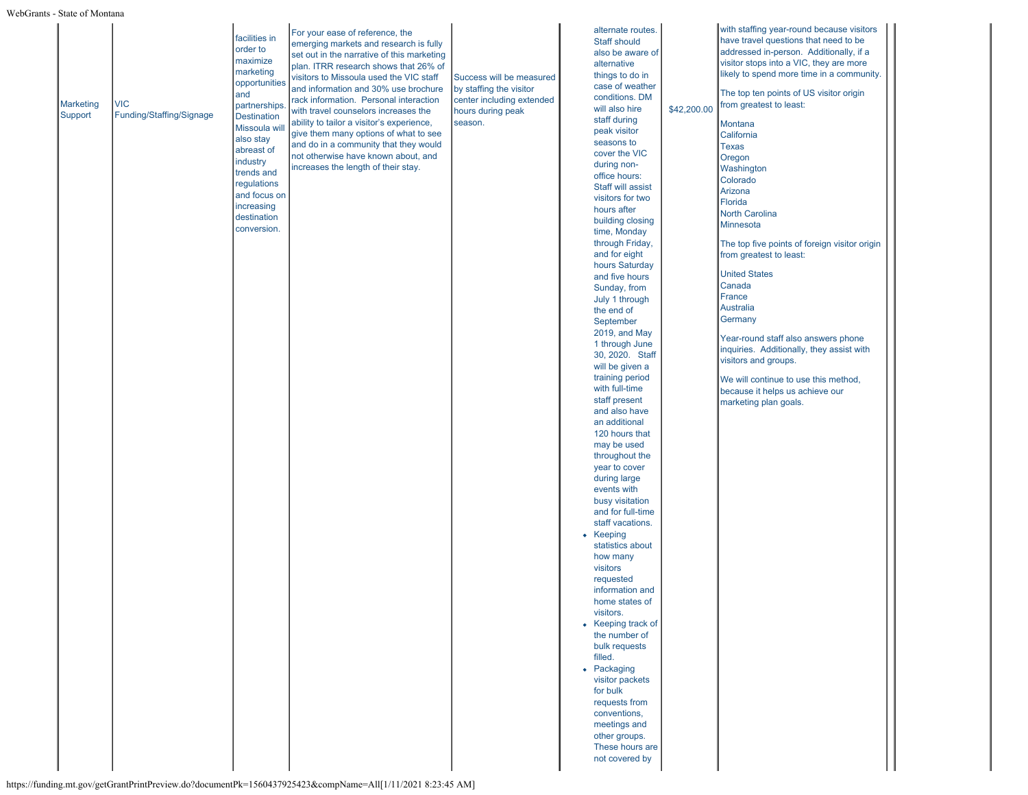| <b>Marketing</b><br>Support | <b>VIC</b><br>Funding/Staffing/Signage | facilities in<br>order to<br>maximize<br>marketing<br>opportunities<br>and<br>partnerships<br><b>Destination</b><br>Missoula wi<br>also stay<br>abreast of<br>industry<br>trends and<br>regulations | For your ease of reference, the<br>emerging markets and research is fully<br>set out in the narrative of this marketing<br>plan. ITRR research shows that 26% of<br>visitors to Missoula used the VIC staff<br>and information and 30% use brochure<br>rack information. Personal interaction<br>with travel counselors increases the<br>ability to tailor a visitor's experience,<br>give them many options of what to see<br>and do in a community that they would<br>not otherwise have known about, and<br>increases the length of their stay. | Success will be measured<br>by staffing the visitor<br>center including extended<br>hours during peak<br>season. | alternate routes.<br>Staff should<br>also be aware of<br>alternative<br>things to do in<br>case of weather<br>conditions. DM<br>will also hire<br>staff during<br>peak visitor<br>seasons to<br>cover the VIC<br>during non-<br>office hours:<br>Staff will assist | \$42,200.00 | with staffing year-round because visitors<br>have travel questions that need to be<br>addressed in-person. Additionally, if a<br>visitor stops into a VIC, they are more<br>likely to spend more time in a community.<br>The top ten points of US visitor origin<br>from greatest to least:<br>Montana<br>California<br>Texas<br>Oregon<br>Washington<br>Colorado<br>Arizona |  |
|-----------------------------|----------------------------------------|-----------------------------------------------------------------------------------------------------------------------------------------------------------------------------------------------------|----------------------------------------------------------------------------------------------------------------------------------------------------------------------------------------------------------------------------------------------------------------------------------------------------------------------------------------------------------------------------------------------------------------------------------------------------------------------------------------------------------------------------------------------------|------------------------------------------------------------------------------------------------------------------|--------------------------------------------------------------------------------------------------------------------------------------------------------------------------------------------------------------------------------------------------------------------|-------------|------------------------------------------------------------------------------------------------------------------------------------------------------------------------------------------------------------------------------------------------------------------------------------------------------------------------------------------------------------------------------|--|
|                             |                                        | and focus on<br>increasing<br>destination<br>conversion.                                                                                                                                            |                                                                                                                                                                                                                                                                                                                                                                                                                                                                                                                                                    |                                                                                                                  | visitors for two<br>hours after<br>building closing<br>time, Monday<br>through Friday,<br>and for eight<br>hours Saturday<br>and five hours<br>Sunday, from<br>July 1 through<br>the end of<br>September<br>2019, and May                                          |             | Florida<br><b>North Carolina</b><br>Minnesota<br>The top five points of foreign visitor origin<br>from greatest to least:<br><b>United States</b><br>Canada<br>France<br><b>Australia</b><br>Germany                                                                                                                                                                         |  |
|                             |                                        |                                                                                                                                                                                                     |                                                                                                                                                                                                                                                                                                                                                                                                                                                                                                                                                    |                                                                                                                  | 1 through June<br>30, 2020. Staff<br>will be given a<br>training period<br>with full-time<br>staff present<br>and also have<br>an additional<br>120 hours that<br>may be used<br>throughout the                                                                    |             | Year-round staff also answers phone<br>inquiries. Additionally, they assist with<br>visitors and groups.<br>We will continue to use this method,<br>because it helps us achieve our<br>marketing plan goals.                                                                                                                                                                 |  |
|                             |                                        |                                                                                                                                                                                                     |                                                                                                                                                                                                                                                                                                                                                                                                                                                                                                                                                    |                                                                                                                  | year to cover<br>during large<br>events with<br>busy visitation<br>and for full-time<br>staff vacations.<br>• Keeping<br>statistics about<br>how many<br>visitors<br>requested<br>information and                                                                  |             |                                                                                                                                                                                                                                                                                                                                                                              |  |
|                             |                                        |                                                                                                                                                                                                     |                                                                                                                                                                                                                                                                                                                                                                                                                                                                                                                                                    |                                                                                                                  | home states of<br>visitors.<br>• Keeping track of<br>the number of<br>bulk requests<br>filled.<br>• Packaging<br>visitor packets<br>for bulk<br>requests from<br>conventions,                                                                                      |             |                                                                                                                                                                                                                                                                                                                                                                              |  |
|                             |                                        |                                                                                                                                                                                                     |                                                                                                                                                                                                                                                                                                                                                                                                                                                                                                                                                    |                                                                                                                  | meetings and<br>other groups.<br>These hours are<br>not covered by                                                                                                                                                                                                 |             |                                                                                                                                                                                                                                                                                                                                                                              |  |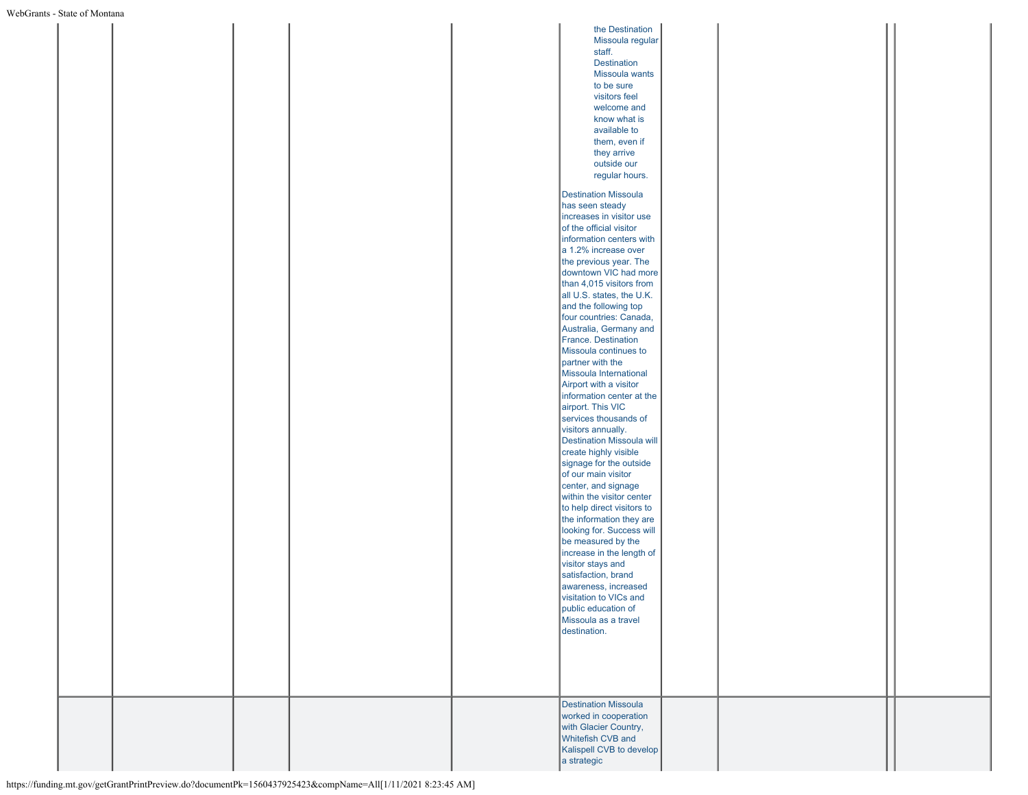| - State of Montana |  |  |                                            |  |  |
|--------------------|--|--|--------------------------------------------|--|--|
|                    |  |  | the Destination                            |  |  |
|                    |  |  |                                            |  |  |
|                    |  |  | Missoula regular                           |  |  |
|                    |  |  | staff.                                     |  |  |
|                    |  |  | <b>Destination</b>                         |  |  |
|                    |  |  | Missoula wants                             |  |  |
|                    |  |  | to be sure                                 |  |  |
|                    |  |  | visitors feel                              |  |  |
|                    |  |  | welcome and                                |  |  |
|                    |  |  | know what is                               |  |  |
|                    |  |  |                                            |  |  |
|                    |  |  | available to                               |  |  |
|                    |  |  | them, even if                              |  |  |
|                    |  |  | they arrive                                |  |  |
|                    |  |  | outside our                                |  |  |
|                    |  |  | regular hours.                             |  |  |
|                    |  |  |                                            |  |  |
|                    |  |  | <b>Destination Missoula</b>                |  |  |
|                    |  |  | has seen steady                            |  |  |
|                    |  |  | increases in visitor use                   |  |  |
|                    |  |  | of the official visitor                    |  |  |
|                    |  |  |                                            |  |  |
|                    |  |  | information centers with                   |  |  |
|                    |  |  | a 1.2% increase over                       |  |  |
|                    |  |  | the previous year. The                     |  |  |
|                    |  |  | downtown VIC had more                      |  |  |
|                    |  |  | than 4,015 visitors from                   |  |  |
|                    |  |  | all U.S. states, the U.K.                  |  |  |
|                    |  |  | and the following top                      |  |  |
|                    |  |  | four countries: Canada,                    |  |  |
|                    |  |  |                                            |  |  |
|                    |  |  | Australia, Germany and                     |  |  |
|                    |  |  | France. Destination                        |  |  |
|                    |  |  | Missoula continues to                      |  |  |
|                    |  |  | partner with the                           |  |  |
|                    |  |  | Missoula International                     |  |  |
|                    |  |  | Airport with a visitor                     |  |  |
|                    |  |  | information center at the                  |  |  |
|                    |  |  |                                            |  |  |
|                    |  |  | airport. This VIC                          |  |  |
|                    |  |  | services thousands of                      |  |  |
|                    |  |  | visitors annually.                         |  |  |
|                    |  |  | <b>Destination Missoula will</b>           |  |  |
|                    |  |  | create highly visible                      |  |  |
|                    |  |  | signage for the outside                    |  |  |
|                    |  |  | of our main visitor                        |  |  |
|                    |  |  | center, and signage                        |  |  |
|                    |  |  |                                            |  |  |
|                    |  |  | within the visitor center                  |  |  |
|                    |  |  | to help direct visitors to                 |  |  |
|                    |  |  | the information they are                   |  |  |
|                    |  |  | looking for. Success will                  |  |  |
|                    |  |  | be measured by the                         |  |  |
|                    |  |  | increase in the length of                  |  |  |
|                    |  |  | visitor stays and                          |  |  |
|                    |  |  | satisfaction, brand                        |  |  |
|                    |  |  | awareness, increased                       |  |  |
|                    |  |  |                                            |  |  |
|                    |  |  | visitation to VICs and                     |  |  |
|                    |  |  | public education of                        |  |  |
|                    |  |  | Missoula as a travel                       |  |  |
|                    |  |  | destination.                               |  |  |
|                    |  |  |                                            |  |  |
|                    |  |  |                                            |  |  |
|                    |  |  |                                            |  |  |
|                    |  |  |                                            |  |  |
|                    |  |  |                                            |  |  |
|                    |  |  |                                            |  |  |
|                    |  |  | <b>Destination Missoula</b>                |  |  |
|                    |  |  | worked in cooperation                      |  |  |
|                    |  |  |                                            |  |  |
|                    |  |  | with Glacier Country,<br>Whitefish CVB and |  |  |
|                    |  |  |                                            |  |  |
|                    |  |  |                                            |  |  |
|                    |  |  | Kalispell CVB to develop<br>a strategic    |  |  |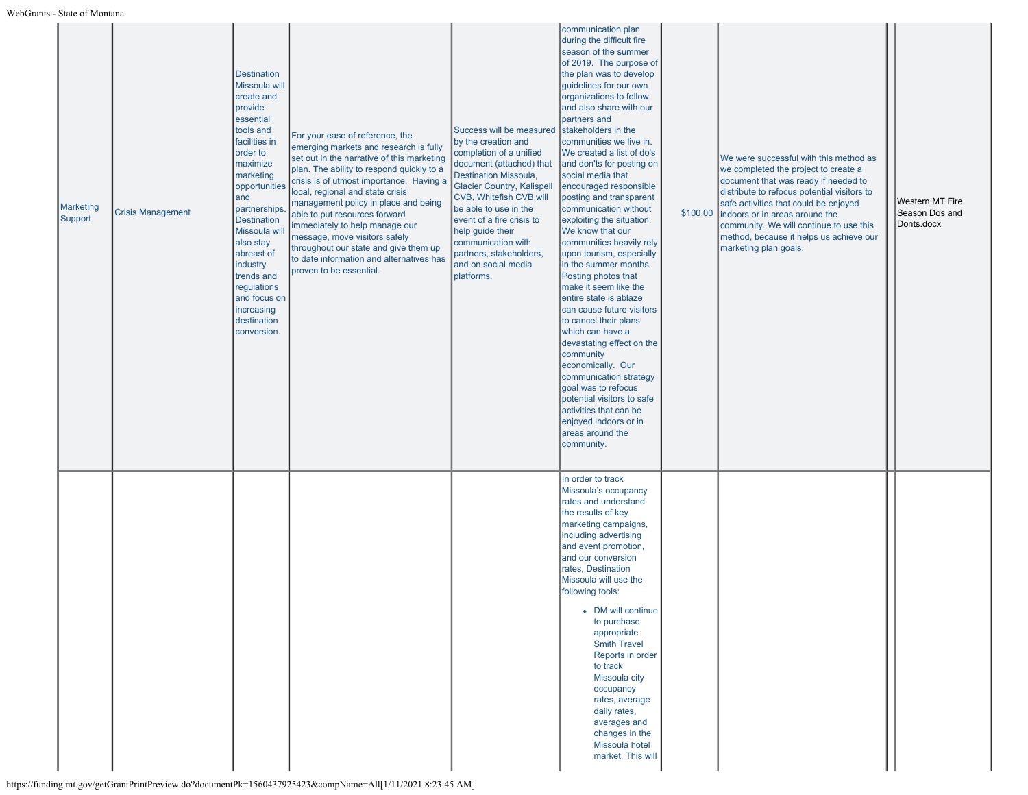| <b>Marketing</b><br>Support | <b>Crisis Management</b> | <b>Destination</b><br>Missoula will<br>create and<br>provide<br>essential<br>tools and<br>facilities in<br>order to<br>maximize<br>marketing<br>opportunities<br>and<br>partnerships.<br><b>Destination</b><br>Missoula wil<br>also stay<br>abreast of<br>industry<br>trends and<br>regulations<br>and focus on<br>increasing<br>destination<br>conversion. | For your ease of reference, the<br>emerging markets and research is fully<br>set out in the narrative of this marketing<br>plan. The ability to respond quickly to a<br>crisis is of utmost importance. Having a<br>local, regional and state crisis<br>management policy in place and being<br>able to put resources forward<br>immediately to help manage our<br>message, move visitors safely<br>throughout our state and give them up<br>to date information and alternatives has<br>proven to be essential. | Success will be measured<br>by the creation and<br>completion of a unified<br>document (attached) that<br>Destination Missoula,<br><b>Glacier Country, Kalispell</b><br>CVB, Whitefish CVB will<br>be able to use in the<br>event of a fire crisis to<br>help guide their<br>communication with<br>partners, stakeholders,<br>and on social media<br>platforms. | communication plan<br>during the difficult fire<br>season of the summer<br>of 2019. The purpose of<br>the plan was to develop<br>guidelines for our own<br>organizations to follow<br>and also share with our<br>partners and<br>stakeholders in the<br>communities we live in.<br>We created a list of do's<br>and don'ts for posting on<br>social media that<br>encouraged responsible<br>posting and transparent<br>communication without<br>exploiting the situation.<br>We know that our<br>communities heavily rely<br>upon tourism, especially<br>in the summer months.<br>Posting photos that<br>make it seem like the<br>entire state is ablaze<br>can cause future visitors<br>to cancel their plans<br>which can have a<br>devastating effect on the<br>community<br>economically. Our<br>communication strategy<br>goal was to refocus<br>potential visitors to safe<br>activities that can be<br>enjoyed indoors or in<br>areas around the<br>community. | \$100.00 | We were successful with this method as<br>we completed the project to create a<br>document that was ready if needed to<br>distribute to refocus potential visitors to<br>safe activities that could be enjoyed<br>indoors or in areas around the<br>community. We will continue to use this<br>method, because it helps us achieve our<br>marketing plan goals. | Western MT Fire<br>Season Dos and<br>Donts.docx |
|-----------------------------|--------------------------|-------------------------------------------------------------------------------------------------------------------------------------------------------------------------------------------------------------------------------------------------------------------------------------------------------------------------------------------------------------|------------------------------------------------------------------------------------------------------------------------------------------------------------------------------------------------------------------------------------------------------------------------------------------------------------------------------------------------------------------------------------------------------------------------------------------------------------------------------------------------------------------|-----------------------------------------------------------------------------------------------------------------------------------------------------------------------------------------------------------------------------------------------------------------------------------------------------------------------------------------------------------------|-----------------------------------------------------------------------------------------------------------------------------------------------------------------------------------------------------------------------------------------------------------------------------------------------------------------------------------------------------------------------------------------------------------------------------------------------------------------------------------------------------------------------------------------------------------------------------------------------------------------------------------------------------------------------------------------------------------------------------------------------------------------------------------------------------------------------------------------------------------------------------------------------------------------------------------------------------------------------|----------|-----------------------------------------------------------------------------------------------------------------------------------------------------------------------------------------------------------------------------------------------------------------------------------------------------------------------------------------------------------------|-------------------------------------------------|
|                             |                          |                                                                                                                                                                                                                                                                                                                                                             |                                                                                                                                                                                                                                                                                                                                                                                                                                                                                                                  |                                                                                                                                                                                                                                                                                                                                                                 | In order to track<br>Missoula's occupancy<br>rates and understand<br>the results of key<br>marketing campaigns,<br>including advertising<br>and event promotion,<br>and our conversion<br>rates, Destination<br>Missoula will use the<br>following tools:<br>• DM will continue<br>to purchase<br>appropriate<br><b>Smith Travel</b><br>Reports in order<br>to track<br>Missoula city<br>occupancy<br>rates, average<br>daily rates,<br>averages and<br>changes in the<br>Missoula hotel<br>market. This will                                                                                                                                                                                                                                                                                                                                                                                                                                                         |          |                                                                                                                                                                                                                                                                                                                                                                 |                                                 |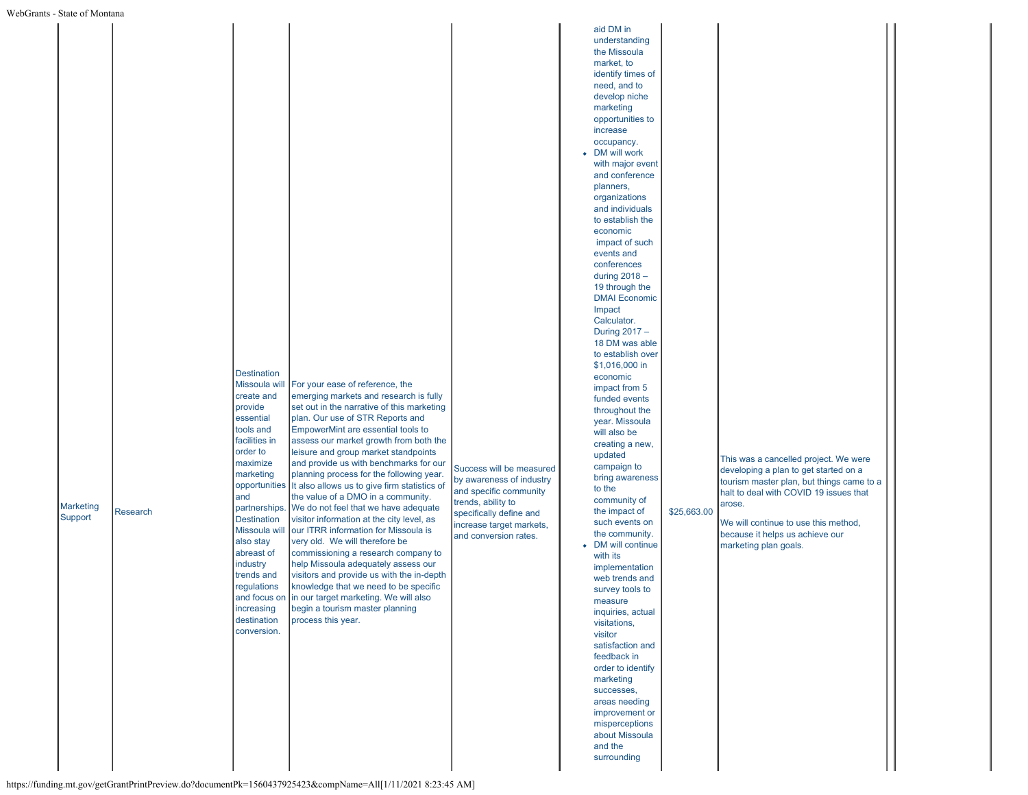| aid DM in<br>understanding<br>the Missoula<br>market, to<br>identify times of<br>need, and to<br>develop niche<br>marketing<br>opportunities to<br>increase<br>occupancy.<br>• DM will work<br>with major event<br>and conference<br>planners,<br>organizations<br>and individuals<br>to establish the<br>economic<br>impact of such<br>events and<br>conferences<br>during 2018 -<br>19 through the<br><b>DMAI</b> Economic<br>Impact<br>Calculator.<br>During 2017 -<br>18 DM was able<br>to establish over<br>\$1,016,000 in<br><b>Destination</b><br>economic<br>Missoula wil<br>For your ease of reference, the<br>impact from 5<br>create and<br>emerging markets and research is fully<br>funded events<br>provide<br>set out in the narrative of this marketing<br>throughout the<br>essential<br>plan. Our use of STR Reports and<br>year. Missoula<br>tools and<br>EmpowerMint are essential tools to<br>will also be<br>facilities in<br>assess our market growth from both the<br>creating a new,<br>order to<br>leisure and group market standpoints<br>updated<br>This was a cancelled project. We were<br>maximize<br>and provide us with benchmarks for our<br>campaign to<br>Success will be measured<br>developing a plan to get started on a<br>marketing<br>planning process for the following year.<br>bring awareness<br>by awareness of industry<br>tourism master plan, but things came to a<br>opportunities It also allows us to give firm statistics of<br>to the<br>and specific community<br>halt to deal with COVID 19 issues that<br>the value of a DMO in a community.<br>and<br>community of<br>trends, ability to<br>arose.<br><b>Marketing</b><br>partnerships. We do not feel that we have adequate<br>the impact of<br>\$25,663.00<br>Research<br>specifically define and<br>Support<br><b>Destination</b><br>visitor information at the city level, as<br>such events on<br>We will continue to use this method,<br>increase target markets,<br>Missoula will<br>our ITRR information for Missoula is<br>the community.<br>because it helps us achieve our<br>and conversion rates.<br>also stay<br>very old. We will therefore be<br>DM will continue<br>marketing plan goals.<br>abreast of<br>commissioning a research company to<br>with its<br>industry<br>help Missoula adequately assess our<br>implementation<br>trends and<br>visitors and provide us with the in-depth<br>web trends and<br>knowledge that we need to be specific<br>regulations<br>survey tools to<br>and focus on in our target marketing. We will also<br>measure<br>increasing<br>begin a tourism master planning<br>inquiries, actual<br>destination<br>process this year.<br>visitations,<br>conversion.<br>visitor<br>satisfaction and<br>feedback in<br>order to identify<br>marketing<br>successes,<br>areas needing<br>improvement or<br>misperceptions<br>about Missoula<br>and the<br>surrounding | nio - Diale of Montana |  |  |  |  |
|-------------------------------------------------------------------------------------------------------------------------------------------------------------------------------------------------------------------------------------------------------------------------------------------------------------------------------------------------------------------------------------------------------------------------------------------------------------------------------------------------------------------------------------------------------------------------------------------------------------------------------------------------------------------------------------------------------------------------------------------------------------------------------------------------------------------------------------------------------------------------------------------------------------------------------------------------------------------------------------------------------------------------------------------------------------------------------------------------------------------------------------------------------------------------------------------------------------------------------------------------------------------------------------------------------------------------------------------------------------------------------------------------------------------------------------------------------------------------------------------------------------------------------------------------------------------------------------------------------------------------------------------------------------------------------------------------------------------------------------------------------------------------------------------------------------------------------------------------------------------------------------------------------------------------------------------------------------------------------------------------------------------------------------------------------------------------------------------------------------------------------------------------------------------------------------------------------------------------------------------------------------------------------------------------------------------------------------------------------------------------------------------------------------------------------------------------------------------------------------------------------------------------------------------------------------------------------------------------------------------------------------------------------------------------------------------------------------------------------------------------------------------------------------------------------------------------------------------------------------------------------------------------------------------------------|------------------------|--|--|--|--|
|                                                                                                                                                                                                                                                                                                                                                                                                                                                                                                                                                                                                                                                                                                                                                                                                                                                                                                                                                                                                                                                                                                                                                                                                                                                                                                                                                                                                                                                                                                                                                                                                                                                                                                                                                                                                                                                                                                                                                                                                                                                                                                                                                                                                                                                                                                                                                                                                                                                                                                                                                                                                                                                                                                                                                                                                                                                                                                                               |                        |  |  |  |  |
|                                                                                                                                                                                                                                                                                                                                                                                                                                                                                                                                                                                                                                                                                                                                                                                                                                                                                                                                                                                                                                                                                                                                                                                                                                                                                                                                                                                                                                                                                                                                                                                                                                                                                                                                                                                                                                                                                                                                                                                                                                                                                                                                                                                                                                                                                                                                                                                                                                                                                                                                                                                                                                                                                                                                                                                                                                                                                                                               |                        |  |  |  |  |
|                                                                                                                                                                                                                                                                                                                                                                                                                                                                                                                                                                                                                                                                                                                                                                                                                                                                                                                                                                                                                                                                                                                                                                                                                                                                                                                                                                                                                                                                                                                                                                                                                                                                                                                                                                                                                                                                                                                                                                                                                                                                                                                                                                                                                                                                                                                                                                                                                                                                                                                                                                                                                                                                                                                                                                                                                                                                                                                               |                        |  |  |  |  |
|                                                                                                                                                                                                                                                                                                                                                                                                                                                                                                                                                                                                                                                                                                                                                                                                                                                                                                                                                                                                                                                                                                                                                                                                                                                                                                                                                                                                                                                                                                                                                                                                                                                                                                                                                                                                                                                                                                                                                                                                                                                                                                                                                                                                                                                                                                                                                                                                                                                                                                                                                                                                                                                                                                                                                                                                                                                                                                                               |                        |  |  |  |  |
|                                                                                                                                                                                                                                                                                                                                                                                                                                                                                                                                                                                                                                                                                                                                                                                                                                                                                                                                                                                                                                                                                                                                                                                                                                                                                                                                                                                                                                                                                                                                                                                                                                                                                                                                                                                                                                                                                                                                                                                                                                                                                                                                                                                                                                                                                                                                                                                                                                                                                                                                                                                                                                                                                                                                                                                                                                                                                                                               |                        |  |  |  |  |
|                                                                                                                                                                                                                                                                                                                                                                                                                                                                                                                                                                                                                                                                                                                                                                                                                                                                                                                                                                                                                                                                                                                                                                                                                                                                                                                                                                                                                                                                                                                                                                                                                                                                                                                                                                                                                                                                                                                                                                                                                                                                                                                                                                                                                                                                                                                                                                                                                                                                                                                                                                                                                                                                                                                                                                                                                                                                                                                               |                        |  |  |  |  |
|                                                                                                                                                                                                                                                                                                                                                                                                                                                                                                                                                                                                                                                                                                                                                                                                                                                                                                                                                                                                                                                                                                                                                                                                                                                                                                                                                                                                                                                                                                                                                                                                                                                                                                                                                                                                                                                                                                                                                                                                                                                                                                                                                                                                                                                                                                                                                                                                                                                                                                                                                                                                                                                                                                                                                                                                                                                                                                                               |                        |  |  |  |  |
|                                                                                                                                                                                                                                                                                                                                                                                                                                                                                                                                                                                                                                                                                                                                                                                                                                                                                                                                                                                                                                                                                                                                                                                                                                                                                                                                                                                                                                                                                                                                                                                                                                                                                                                                                                                                                                                                                                                                                                                                                                                                                                                                                                                                                                                                                                                                                                                                                                                                                                                                                                                                                                                                                                                                                                                                                                                                                                                               |                        |  |  |  |  |
|                                                                                                                                                                                                                                                                                                                                                                                                                                                                                                                                                                                                                                                                                                                                                                                                                                                                                                                                                                                                                                                                                                                                                                                                                                                                                                                                                                                                                                                                                                                                                                                                                                                                                                                                                                                                                                                                                                                                                                                                                                                                                                                                                                                                                                                                                                                                                                                                                                                                                                                                                                                                                                                                                                                                                                                                                                                                                                                               |                        |  |  |  |  |
|                                                                                                                                                                                                                                                                                                                                                                                                                                                                                                                                                                                                                                                                                                                                                                                                                                                                                                                                                                                                                                                                                                                                                                                                                                                                                                                                                                                                                                                                                                                                                                                                                                                                                                                                                                                                                                                                                                                                                                                                                                                                                                                                                                                                                                                                                                                                                                                                                                                                                                                                                                                                                                                                                                                                                                                                                                                                                                                               |                        |  |  |  |  |
|                                                                                                                                                                                                                                                                                                                                                                                                                                                                                                                                                                                                                                                                                                                                                                                                                                                                                                                                                                                                                                                                                                                                                                                                                                                                                                                                                                                                                                                                                                                                                                                                                                                                                                                                                                                                                                                                                                                                                                                                                                                                                                                                                                                                                                                                                                                                                                                                                                                                                                                                                                                                                                                                                                                                                                                                                                                                                                                               |                        |  |  |  |  |
|                                                                                                                                                                                                                                                                                                                                                                                                                                                                                                                                                                                                                                                                                                                                                                                                                                                                                                                                                                                                                                                                                                                                                                                                                                                                                                                                                                                                                                                                                                                                                                                                                                                                                                                                                                                                                                                                                                                                                                                                                                                                                                                                                                                                                                                                                                                                                                                                                                                                                                                                                                                                                                                                                                                                                                                                                                                                                                                               |                        |  |  |  |  |
|                                                                                                                                                                                                                                                                                                                                                                                                                                                                                                                                                                                                                                                                                                                                                                                                                                                                                                                                                                                                                                                                                                                                                                                                                                                                                                                                                                                                                                                                                                                                                                                                                                                                                                                                                                                                                                                                                                                                                                                                                                                                                                                                                                                                                                                                                                                                                                                                                                                                                                                                                                                                                                                                                                                                                                                                                                                                                                                               |                        |  |  |  |  |
|                                                                                                                                                                                                                                                                                                                                                                                                                                                                                                                                                                                                                                                                                                                                                                                                                                                                                                                                                                                                                                                                                                                                                                                                                                                                                                                                                                                                                                                                                                                                                                                                                                                                                                                                                                                                                                                                                                                                                                                                                                                                                                                                                                                                                                                                                                                                                                                                                                                                                                                                                                                                                                                                                                                                                                                                                                                                                                                               |                        |  |  |  |  |
|                                                                                                                                                                                                                                                                                                                                                                                                                                                                                                                                                                                                                                                                                                                                                                                                                                                                                                                                                                                                                                                                                                                                                                                                                                                                                                                                                                                                                                                                                                                                                                                                                                                                                                                                                                                                                                                                                                                                                                                                                                                                                                                                                                                                                                                                                                                                                                                                                                                                                                                                                                                                                                                                                                                                                                                                                                                                                                                               |                        |  |  |  |  |
|                                                                                                                                                                                                                                                                                                                                                                                                                                                                                                                                                                                                                                                                                                                                                                                                                                                                                                                                                                                                                                                                                                                                                                                                                                                                                                                                                                                                                                                                                                                                                                                                                                                                                                                                                                                                                                                                                                                                                                                                                                                                                                                                                                                                                                                                                                                                                                                                                                                                                                                                                                                                                                                                                                                                                                                                                                                                                                                               |                        |  |  |  |  |
|                                                                                                                                                                                                                                                                                                                                                                                                                                                                                                                                                                                                                                                                                                                                                                                                                                                                                                                                                                                                                                                                                                                                                                                                                                                                                                                                                                                                                                                                                                                                                                                                                                                                                                                                                                                                                                                                                                                                                                                                                                                                                                                                                                                                                                                                                                                                                                                                                                                                                                                                                                                                                                                                                                                                                                                                                                                                                                                               |                        |  |  |  |  |
|                                                                                                                                                                                                                                                                                                                                                                                                                                                                                                                                                                                                                                                                                                                                                                                                                                                                                                                                                                                                                                                                                                                                                                                                                                                                                                                                                                                                                                                                                                                                                                                                                                                                                                                                                                                                                                                                                                                                                                                                                                                                                                                                                                                                                                                                                                                                                                                                                                                                                                                                                                                                                                                                                                                                                                                                                                                                                                                               |                        |  |  |  |  |
|                                                                                                                                                                                                                                                                                                                                                                                                                                                                                                                                                                                                                                                                                                                                                                                                                                                                                                                                                                                                                                                                                                                                                                                                                                                                                                                                                                                                                                                                                                                                                                                                                                                                                                                                                                                                                                                                                                                                                                                                                                                                                                                                                                                                                                                                                                                                                                                                                                                                                                                                                                                                                                                                                                                                                                                                                                                                                                                               |                        |  |  |  |  |
|                                                                                                                                                                                                                                                                                                                                                                                                                                                                                                                                                                                                                                                                                                                                                                                                                                                                                                                                                                                                                                                                                                                                                                                                                                                                                                                                                                                                                                                                                                                                                                                                                                                                                                                                                                                                                                                                                                                                                                                                                                                                                                                                                                                                                                                                                                                                                                                                                                                                                                                                                                                                                                                                                                                                                                                                                                                                                                                               |                        |  |  |  |  |
|                                                                                                                                                                                                                                                                                                                                                                                                                                                                                                                                                                                                                                                                                                                                                                                                                                                                                                                                                                                                                                                                                                                                                                                                                                                                                                                                                                                                                                                                                                                                                                                                                                                                                                                                                                                                                                                                                                                                                                                                                                                                                                                                                                                                                                                                                                                                                                                                                                                                                                                                                                                                                                                                                                                                                                                                                                                                                                                               |                        |  |  |  |  |
|                                                                                                                                                                                                                                                                                                                                                                                                                                                                                                                                                                                                                                                                                                                                                                                                                                                                                                                                                                                                                                                                                                                                                                                                                                                                                                                                                                                                                                                                                                                                                                                                                                                                                                                                                                                                                                                                                                                                                                                                                                                                                                                                                                                                                                                                                                                                                                                                                                                                                                                                                                                                                                                                                                                                                                                                                                                                                                                               |                        |  |  |  |  |
|                                                                                                                                                                                                                                                                                                                                                                                                                                                                                                                                                                                                                                                                                                                                                                                                                                                                                                                                                                                                                                                                                                                                                                                                                                                                                                                                                                                                                                                                                                                                                                                                                                                                                                                                                                                                                                                                                                                                                                                                                                                                                                                                                                                                                                                                                                                                                                                                                                                                                                                                                                                                                                                                                                                                                                                                                                                                                                                               |                        |  |  |  |  |
|                                                                                                                                                                                                                                                                                                                                                                                                                                                                                                                                                                                                                                                                                                                                                                                                                                                                                                                                                                                                                                                                                                                                                                                                                                                                                                                                                                                                                                                                                                                                                                                                                                                                                                                                                                                                                                                                                                                                                                                                                                                                                                                                                                                                                                                                                                                                                                                                                                                                                                                                                                                                                                                                                                                                                                                                                                                                                                                               |                        |  |  |  |  |
|                                                                                                                                                                                                                                                                                                                                                                                                                                                                                                                                                                                                                                                                                                                                                                                                                                                                                                                                                                                                                                                                                                                                                                                                                                                                                                                                                                                                                                                                                                                                                                                                                                                                                                                                                                                                                                                                                                                                                                                                                                                                                                                                                                                                                                                                                                                                                                                                                                                                                                                                                                                                                                                                                                                                                                                                                                                                                                                               |                        |  |  |  |  |
|                                                                                                                                                                                                                                                                                                                                                                                                                                                                                                                                                                                                                                                                                                                                                                                                                                                                                                                                                                                                                                                                                                                                                                                                                                                                                                                                                                                                                                                                                                                                                                                                                                                                                                                                                                                                                                                                                                                                                                                                                                                                                                                                                                                                                                                                                                                                                                                                                                                                                                                                                                                                                                                                                                                                                                                                                                                                                                                               |                        |  |  |  |  |
|                                                                                                                                                                                                                                                                                                                                                                                                                                                                                                                                                                                                                                                                                                                                                                                                                                                                                                                                                                                                                                                                                                                                                                                                                                                                                                                                                                                                                                                                                                                                                                                                                                                                                                                                                                                                                                                                                                                                                                                                                                                                                                                                                                                                                                                                                                                                                                                                                                                                                                                                                                                                                                                                                                                                                                                                                                                                                                                               |                        |  |  |  |  |
|                                                                                                                                                                                                                                                                                                                                                                                                                                                                                                                                                                                                                                                                                                                                                                                                                                                                                                                                                                                                                                                                                                                                                                                                                                                                                                                                                                                                                                                                                                                                                                                                                                                                                                                                                                                                                                                                                                                                                                                                                                                                                                                                                                                                                                                                                                                                                                                                                                                                                                                                                                                                                                                                                                                                                                                                                                                                                                                               |                        |  |  |  |  |
|                                                                                                                                                                                                                                                                                                                                                                                                                                                                                                                                                                                                                                                                                                                                                                                                                                                                                                                                                                                                                                                                                                                                                                                                                                                                                                                                                                                                                                                                                                                                                                                                                                                                                                                                                                                                                                                                                                                                                                                                                                                                                                                                                                                                                                                                                                                                                                                                                                                                                                                                                                                                                                                                                                                                                                                                                                                                                                                               |                        |  |  |  |  |
|                                                                                                                                                                                                                                                                                                                                                                                                                                                                                                                                                                                                                                                                                                                                                                                                                                                                                                                                                                                                                                                                                                                                                                                                                                                                                                                                                                                                                                                                                                                                                                                                                                                                                                                                                                                                                                                                                                                                                                                                                                                                                                                                                                                                                                                                                                                                                                                                                                                                                                                                                                                                                                                                                                                                                                                                                                                                                                                               |                        |  |  |  |  |
|                                                                                                                                                                                                                                                                                                                                                                                                                                                                                                                                                                                                                                                                                                                                                                                                                                                                                                                                                                                                                                                                                                                                                                                                                                                                                                                                                                                                                                                                                                                                                                                                                                                                                                                                                                                                                                                                                                                                                                                                                                                                                                                                                                                                                                                                                                                                                                                                                                                                                                                                                                                                                                                                                                                                                                                                                                                                                                                               |                        |  |  |  |  |
|                                                                                                                                                                                                                                                                                                                                                                                                                                                                                                                                                                                                                                                                                                                                                                                                                                                                                                                                                                                                                                                                                                                                                                                                                                                                                                                                                                                                                                                                                                                                                                                                                                                                                                                                                                                                                                                                                                                                                                                                                                                                                                                                                                                                                                                                                                                                                                                                                                                                                                                                                                                                                                                                                                                                                                                                                                                                                                                               |                        |  |  |  |  |
|                                                                                                                                                                                                                                                                                                                                                                                                                                                                                                                                                                                                                                                                                                                                                                                                                                                                                                                                                                                                                                                                                                                                                                                                                                                                                                                                                                                                                                                                                                                                                                                                                                                                                                                                                                                                                                                                                                                                                                                                                                                                                                                                                                                                                                                                                                                                                                                                                                                                                                                                                                                                                                                                                                                                                                                                                                                                                                                               |                        |  |  |  |  |
|                                                                                                                                                                                                                                                                                                                                                                                                                                                                                                                                                                                                                                                                                                                                                                                                                                                                                                                                                                                                                                                                                                                                                                                                                                                                                                                                                                                                                                                                                                                                                                                                                                                                                                                                                                                                                                                                                                                                                                                                                                                                                                                                                                                                                                                                                                                                                                                                                                                                                                                                                                                                                                                                                                                                                                                                                                                                                                                               |                        |  |  |  |  |
|                                                                                                                                                                                                                                                                                                                                                                                                                                                                                                                                                                                                                                                                                                                                                                                                                                                                                                                                                                                                                                                                                                                                                                                                                                                                                                                                                                                                                                                                                                                                                                                                                                                                                                                                                                                                                                                                                                                                                                                                                                                                                                                                                                                                                                                                                                                                                                                                                                                                                                                                                                                                                                                                                                                                                                                                                                                                                                                               |                        |  |  |  |  |
|                                                                                                                                                                                                                                                                                                                                                                                                                                                                                                                                                                                                                                                                                                                                                                                                                                                                                                                                                                                                                                                                                                                                                                                                                                                                                                                                                                                                                                                                                                                                                                                                                                                                                                                                                                                                                                                                                                                                                                                                                                                                                                                                                                                                                                                                                                                                                                                                                                                                                                                                                                                                                                                                                                                                                                                                                                                                                                                               |                        |  |  |  |  |
|                                                                                                                                                                                                                                                                                                                                                                                                                                                                                                                                                                                                                                                                                                                                                                                                                                                                                                                                                                                                                                                                                                                                                                                                                                                                                                                                                                                                                                                                                                                                                                                                                                                                                                                                                                                                                                                                                                                                                                                                                                                                                                                                                                                                                                                                                                                                                                                                                                                                                                                                                                                                                                                                                                                                                                                                                                                                                                                               |                        |  |  |  |  |
|                                                                                                                                                                                                                                                                                                                                                                                                                                                                                                                                                                                                                                                                                                                                                                                                                                                                                                                                                                                                                                                                                                                                                                                                                                                                                                                                                                                                                                                                                                                                                                                                                                                                                                                                                                                                                                                                                                                                                                                                                                                                                                                                                                                                                                                                                                                                                                                                                                                                                                                                                                                                                                                                                                                                                                                                                                                                                                                               |                        |  |  |  |  |
|                                                                                                                                                                                                                                                                                                                                                                                                                                                                                                                                                                                                                                                                                                                                                                                                                                                                                                                                                                                                                                                                                                                                                                                                                                                                                                                                                                                                                                                                                                                                                                                                                                                                                                                                                                                                                                                                                                                                                                                                                                                                                                                                                                                                                                                                                                                                                                                                                                                                                                                                                                                                                                                                                                                                                                                                                                                                                                                               |                        |  |  |  |  |
|                                                                                                                                                                                                                                                                                                                                                                                                                                                                                                                                                                                                                                                                                                                                                                                                                                                                                                                                                                                                                                                                                                                                                                                                                                                                                                                                                                                                                                                                                                                                                                                                                                                                                                                                                                                                                                                                                                                                                                                                                                                                                                                                                                                                                                                                                                                                                                                                                                                                                                                                                                                                                                                                                                                                                                                                                                                                                                                               |                        |  |  |  |  |
|                                                                                                                                                                                                                                                                                                                                                                                                                                                                                                                                                                                                                                                                                                                                                                                                                                                                                                                                                                                                                                                                                                                                                                                                                                                                                                                                                                                                                                                                                                                                                                                                                                                                                                                                                                                                                                                                                                                                                                                                                                                                                                                                                                                                                                                                                                                                                                                                                                                                                                                                                                                                                                                                                                                                                                                                                                                                                                                               |                        |  |  |  |  |
|                                                                                                                                                                                                                                                                                                                                                                                                                                                                                                                                                                                                                                                                                                                                                                                                                                                                                                                                                                                                                                                                                                                                                                                                                                                                                                                                                                                                                                                                                                                                                                                                                                                                                                                                                                                                                                                                                                                                                                                                                                                                                                                                                                                                                                                                                                                                                                                                                                                                                                                                                                                                                                                                                                                                                                                                                                                                                                                               |                        |  |  |  |  |
|                                                                                                                                                                                                                                                                                                                                                                                                                                                                                                                                                                                                                                                                                                                                                                                                                                                                                                                                                                                                                                                                                                                                                                                                                                                                                                                                                                                                                                                                                                                                                                                                                                                                                                                                                                                                                                                                                                                                                                                                                                                                                                                                                                                                                                                                                                                                                                                                                                                                                                                                                                                                                                                                                                                                                                                                                                                                                                                               |                        |  |  |  |  |
|                                                                                                                                                                                                                                                                                                                                                                                                                                                                                                                                                                                                                                                                                                                                                                                                                                                                                                                                                                                                                                                                                                                                                                                                                                                                                                                                                                                                                                                                                                                                                                                                                                                                                                                                                                                                                                                                                                                                                                                                                                                                                                                                                                                                                                                                                                                                                                                                                                                                                                                                                                                                                                                                                                                                                                                                                                                                                                                               |                        |  |  |  |  |
|                                                                                                                                                                                                                                                                                                                                                                                                                                                                                                                                                                                                                                                                                                                                                                                                                                                                                                                                                                                                                                                                                                                                                                                                                                                                                                                                                                                                                                                                                                                                                                                                                                                                                                                                                                                                                                                                                                                                                                                                                                                                                                                                                                                                                                                                                                                                                                                                                                                                                                                                                                                                                                                                                                                                                                                                                                                                                                                               |                        |  |  |  |  |
|                                                                                                                                                                                                                                                                                                                                                                                                                                                                                                                                                                                                                                                                                                                                                                                                                                                                                                                                                                                                                                                                                                                                                                                                                                                                                                                                                                                                                                                                                                                                                                                                                                                                                                                                                                                                                                                                                                                                                                                                                                                                                                                                                                                                                                                                                                                                                                                                                                                                                                                                                                                                                                                                                                                                                                                                                                                                                                                               |                        |  |  |  |  |
|                                                                                                                                                                                                                                                                                                                                                                                                                                                                                                                                                                                                                                                                                                                                                                                                                                                                                                                                                                                                                                                                                                                                                                                                                                                                                                                                                                                                                                                                                                                                                                                                                                                                                                                                                                                                                                                                                                                                                                                                                                                                                                                                                                                                                                                                                                                                                                                                                                                                                                                                                                                                                                                                                                                                                                                                                                                                                                                               |                        |  |  |  |  |
|                                                                                                                                                                                                                                                                                                                                                                                                                                                                                                                                                                                                                                                                                                                                                                                                                                                                                                                                                                                                                                                                                                                                                                                                                                                                                                                                                                                                                                                                                                                                                                                                                                                                                                                                                                                                                                                                                                                                                                                                                                                                                                                                                                                                                                                                                                                                                                                                                                                                                                                                                                                                                                                                                                                                                                                                                                                                                                                               |                        |  |  |  |  |
|                                                                                                                                                                                                                                                                                                                                                                                                                                                                                                                                                                                                                                                                                                                                                                                                                                                                                                                                                                                                                                                                                                                                                                                                                                                                                                                                                                                                                                                                                                                                                                                                                                                                                                                                                                                                                                                                                                                                                                                                                                                                                                                                                                                                                                                                                                                                                                                                                                                                                                                                                                                                                                                                                                                                                                                                                                                                                                                               |                        |  |  |  |  |
|                                                                                                                                                                                                                                                                                                                                                                                                                                                                                                                                                                                                                                                                                                                                                                                                                                                                                                                                                                                                                                                                                                                                                                                                                                                                                                                                                                                                                                                                                                                                                                                                                                                                                                                                                                                                                                                                                                                                                                                                                                                                                                                                                                                                                                                                                                                                                                                                                                                                                                                                                                                                                                                                                                                                                                                                                                                                                                                               |                        |  |  |  |  |
|                                                                                                                                                                                                                                                                                                                                                                                                                                                                                                                                                                                                                                                                                                                                                                                                                                                                                                                                                                                                                                                                                                                                                                                                                                                                                                                                                                                                                                                                                                                                                                                                                                                                                                                                                                                                                                                                                                                                                                                                                                                                                                                                                                                                                                                                                                                                                                                                                                                                                                                                                                                                                                                                                                                                                                                                                                                                                                                               |                        |  |  |  |  |
|                                                                                                                                                                                                                                                                                                                                                                                                                                                                                                                                                                                                                                                                                                                                                                                                                                                                                                                                                                                                                                                                                                                                                                                                                                                                                                                                                                                                                                                                                                                                                                                                                                                                                                                                                                                                                                                                                                                                                                                                                                                                                                                                                                                                                                                                                                                                                                                                                                                                                                                                                                                                                                                                                                                                                                                                                                                                                                                               |                        |  |  |  |  |
|                                                                                                                                                                                                                                                                                                                                                                                                                                                                                                                                                                                                                                                                                                                                                                                                                                                                                                                                                                                                                                                                                                                                                                                                                                                                                                                                                                                                                                                                                                                                                                                                                                                                                                                                                                                                                                                                                                                                                                                                                                                                                                                                                                                                                                                                                                                                                                                                                                                                                                                                                                                                                                                                                                                                                                                                                                                                                                                               |                        |  |  |  |  |
|                                                                                                                                                                                                                                                                                                                                                                                                                                                                                                                                                                                                                                                                                                                                                                                                                                                                                                                                                                                                                                                                                                                                                                                                                                                                                                                                                                                                                                                                                                                                                                                                                                                                                                                                                                                                                                                                                                                                                                                                                                                                                                                                                                                                                                                                                                                                                                                                                                                                                                                                                                                                                                                                                                                                                                                                                                                                                                                               |                        |  |  |  |  |
|                                                                                                                                                                                                                                                                                                                                                                                                                                                                                                                                                                                                                                                                                                                                                                                                                                                                                                                                                                                                                                                                                                                                                                                                                                                                                                                                                                                                                                                                                                                                                                                                                                                                                                                                                                                                                                                                                                                                                                                                                                                                                                                                                                                                                                                                                                                                                                                                                                                                                                                                                                                                                                                                                                                                                                                                                                                                                                                               |                        |  |  |  |  |
|                                                                                                                                                                                                                                                                                                                                                                                                                                                                                                                                                                                                                                                                                                                                                                                                                                                                                                                                                                                                                                                                                                                                                                                                                                                                                                                                                                                                                                                                                                                                                                                                                                                                                                                                                                                                                                                                                                                                                                                                                                                                                                                                                                                                                                                                                                                                                                                                                                                                                                                                                                                                                                                                                                                                                                                                                                                                                                                               |                        |  |  |  |  |
|                                                                                                                                                                                                                                                                                                                                                                                                                                                                                                                                                                                                                                                                                                                                                                                                                                                                                                                                                                                                                                                                                                                                                                                                                                                                                                                                                                                                                                                                                                                                                                                                                                                                                                                                                                                                                                                                                                                                                                                                                                                                                                                                                                                                                                                                                                                                                                                                                                                                                                                                                                                                                                                                                                                                                                                                                                                                                                                               |                        |  |  |  |  |
|                                                                                                                                                                                                                                                                                                                                                                                                                                                                                                                                                                                                                                                                                                                                                                                                                                                                                                                                                                                                                                                                                                                                                                                                                                                                                                                                                                                                                                                                                                                                                                                                                                                                                                                                                                                                                                                                                                                                                                                                                                                                                                                                                                                                                                                                                                                                                                                                                                                                                                                                                                                                                                                                                                                                                                                                                                                                                                                               |                        |  |  |  |  |
|                                                                                                                                                                                                                                                                                                                                                                                                                                                                                                                                                                                                                                                                                                                                                                                                                                                                                                                                                                                                                                                                                                                                                                                                                                                                                                                                                                                                                                                                                                                                                                                                                                                                                                                                                                                                                                                                                                                                                                                                                                                                                                                                                                                                                                                                                                                                                                                                                                                                                                                                                                                                                                                                                                                                                                                                                                                                                                                               |                        |  |  |  |  |
|                                                                                                                                                                                                                                                                                                                                                                                                                                                                                                                                                                                                                                                                                                                                                                                                                                                                                                                                                                                                                                                                                                                                                                                                                                                                                                                                                                                                                                                                                                                                                                                                                                                                                                                                                                                                                                                                                                                                                                                                                                                                                                                                                                                                                                                                                                                                                                                                                                                                                                                                                                                                                                                                                                                                                                                                                                                                                                                               |                        |  |  |  |  |
|                                                                                                                                                                                                                                                                                                                                                                                                                                                                                                                                                                                                                                                                                                                                                                                                                                                                                                                                                                                                                                                                                                                                                                                                                                                                                                                                                                                                                                                                                                                                                                                                                                                                                                                                                                                                                                                                                                                                                                                                                                                                                                                                                                                                                                                                                                                                                                                                                                                                                                                                                                                                                                                                                                                                                                                                                                                                                                                               |                        |  |  |  |  |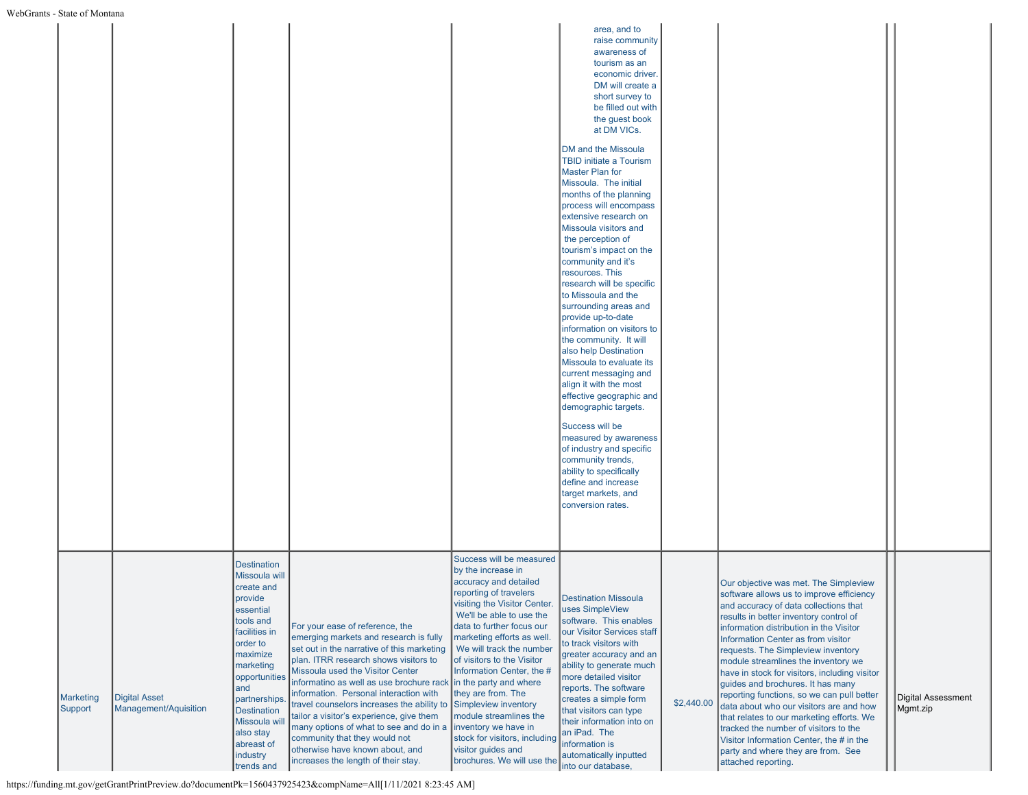| ns - State of Montana       |                                               |                                                                                                                                                                                                                                                                                  |                                                                                                                                                                                                                                                                                                                                                                                                                                                                                                                                                                 |                                                                                                                                                                                                                                                                                                                                                                                                                                                                            |                                                                                                                                                                                                                                                                                                                                                                                                                                                                                                                                                                                                                                                                                                                                                                                                                                                                                                                                                                                                   |            |                                                                                                                                                                                                                                                                                                                                                                                                                                                                                                                                                                                                                                                                                                                  |                                |
|-----------------------------|-----------------------------------------------|----------------------------------------------------------------------------------------------------------------------------------------------------------------------------------------------------------------------------------------------------------------------------------|-----------------------------------------------------------------------------------------------------------------------------------------------------------------------------------------------------------------------------------------------------------------------------------------------------------------------------------------------------------------------------------------------------------------------------------------------------------------------------------------------------------------------------------------------------------------|----------------------------------------------------------------------------------------------------------------------------------------------------------------------------------------------------------------------------------------------------------------------------------------------------------------------------------------------------------------------------------------------------------------------------------------------------------------------------|---------------------------------------------------------------------------------------------------------------------------------------------------------------------------------------------------------------------------------------------------------------------------------------------------------------------------------------------------------------------------------------------------------------------------------------------------------------------------------------------------------------------------------------------------------------------------------------------------------------------------------------------------------------------------------------------------------------------------------------------------------------------------------------------------------------------------------------------------------------------------------------------------------------------------------------------------------------------------------------------------|------------|------------------------------------------------------------------------------------------------------------------------------------------------------------------------------------------------------------------------------------------------------------------------------------------------------------------------------------------------------------------------------------------------------------------------------------------------------------------------------------------------------------------------------------------------------------------------------------------------------------------------------------------------------------------------------------------------------------------|--------------------------------|
|                             |                                               |                                                                                                                                                                                                                                                                                  |                                                                                                                                                                                                                                                                                                                                                                                                                                                                                                                                                                 | Success will be measured                                                                                                                                                                                                                                                                                                                                                                                                                                                   | area, and to<br>raise community<br>awareness of<br>tourism as an<br>economic driver.<br>DM will create a<br>short survey to<br>be filled out with<br>the guest book<br>at DM VICs.<br>DM and the Missoula<br>TBID initiate a Tourism<br>Master Plan for<br>Missoula. The initial<br>months of the planning<br>process will encompass<br>extensive research on<br>Missoula visitors and<br>the perception of<br>tourism's impact on the<br>community and it's<br>resources. This<br>research will be specific<br>to Missoula and the<br>surrounding areas and<br>provide up-to-date<br>information on visitors to<br>the community. It will<br>also help Destination<br>Missoula to evaluate its<br>current messaging and<br>align it with the most<br>effective geographic and<br>demographic targets.<br>Success will be<br>measured by awareness<br>of industry and specific<br>community trends,<br>ability to specifically<br>define and increase<br>target markets, and<br>conversion rates. |            |                                                                                                                                                                                                                                                                                                                                                                                                                                                                                                                                                                                                                                                                                                                  |                                |
| <b>Marketing</b><br>Support | <b>Digital Asset</b><br>Management/Aquisition | <b>Destination</b><br>Missoula will<br>create and<br>provide<br>essential<br>tools and<br>facilities in<br>order to<br>maximize<br>marketing<br>opportunities<br>and<br>partnerships<br><b>Destination</b><br>Missoula will<br>also stay<br>abreast of<br>industry<br>trends and | For your ease of reference, the<br>emerging markets and research is fully<br>set out in the narrative of this marketing<br>plan. ITRR research shows visitors to<br>Missoula used the Visitor Center<br>informatino as well as use brochure rack<br>information. Personal interaction with<br>travel counselors increases the ability to Simpleview inventory<br>tailor a visitor's experience, give them<br>many options of what to see and do in a<br>community that they would not<br>otherwise have known about, and<br>increases the length of their stay. | by the increase in<br>accuracy and detailed<br>reporting of travelers<br>visiting the Visitor Center.<br>We'll be able to use the<br>data to further focus our<br>marketing efforts as well.<br>We will track the number<br>of visitors to the Visitor<br>Information Center, the #<br>in the party and where<br>they are from. The<br>module streamlines the<br>inventory we have in<br>stock for visitors, including<br>visitor guides and<br>brochures. We will use the | <b>Destination Missoula</b><br>uses SimpleView<br>software. This enables<br>our Visitor Services staff<br>to track visitors with<br>greater accuracy and an<br>ability to generate much<br>more detailed visitor<br>reports. The software<br>creates a simple form<br>that visitors can type<br>their information into on<br>an iPad. The<br>information is<br>automatically inputted<br>into our database,                                                                                                                                                                                                                                                                                                                                                                                                                                                                                                                                                                                       | \$2,440.00 | Our objective was met. The Simpleview<br>software allows us to improve efficiency<br>and accuracy of data collections that<br>results in better inventory control of<br>information distribution in the Visitor<br>Information Center as from visitor<br>requests. The Simpleview inventory<br>module streamlines the inventory we<br>have in stock for visitors, including visitor<br>guides and brochures. It has many<br>reporting functions, so we can pull better<br>data about who our visitors are and how<br>that relates to our marketing efforts. We<br>tracked the number of visitors to the<br>Visitor Information Center, the # in the<br>party and where they are from. See<br>attached reporting. | Digital Assessment<br>Mgmt.zip |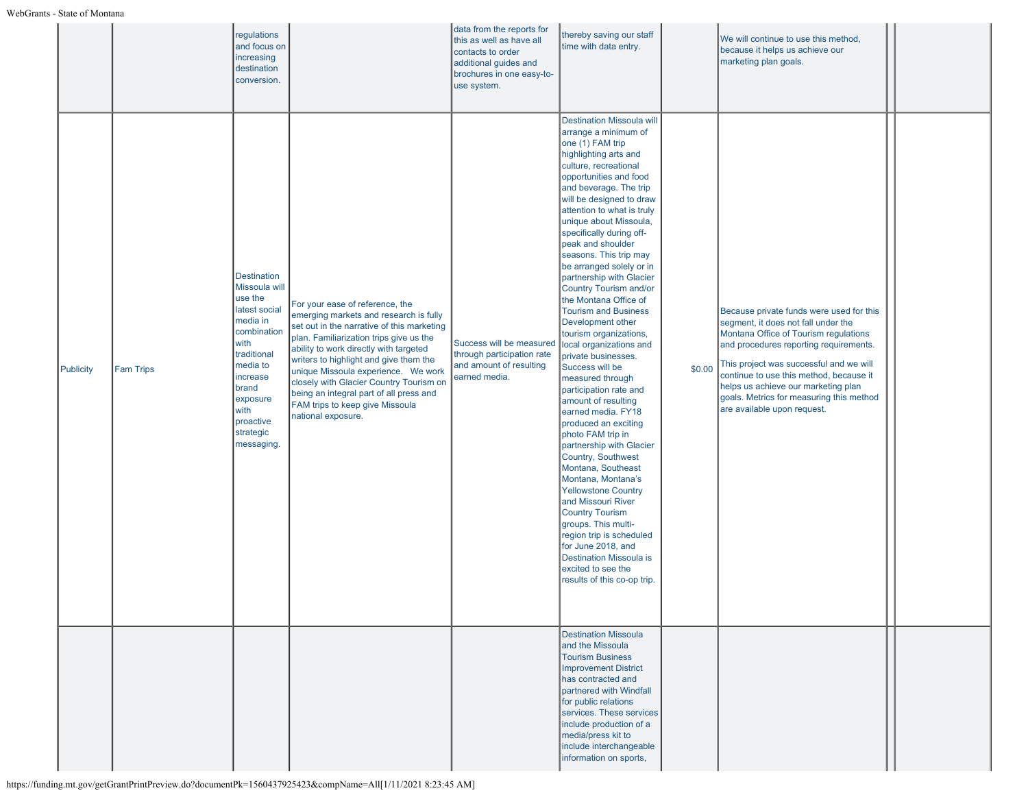|                  |                  | regulations<br>and focus on<br>increasing<br>destination<br>conversion.                                                                                                                                        |                                                                                                                                                                                                                                                                                                                                                                                                                                              | data from the reports for<br>this as well as have all<br>contacts to order<br>additional guides and<br>brochures in one easy-to-<br>use system. | thereby saving our staff<br>time with data entry.                                                                                                                                                                                                                                                                                                                                                                                                                                                                                                                                                                                                                                                                                                                                                                                                                                                                                                                                                                                                                                                          |        | We will continue to use this method,<br>because it helps us achieve our<br>marketing plan goals.                                                                                                                                                                                                                                                                           |  |
|------------------|------------------|----------------------------------------------------------------------------------------------------------------------------------------------------------------------------------------------------------------|----------------------------------------------------------------------------------------------------------------------------------------------------------------------------------------------------------------------------------------------------------------------------------------------------------------------------------------------------------------------------------------------------------------------------------------------|-------------------------------------------------------------------------------------------------------------------------------------------------|------------------------------------------------------------------------------------------------------------------------------------------------------------------------------------------------------------------------------------------------------------------------------------------------------------------------------------------------------------------------------------------------------------------------------------------------------------------------------------------------------------------------------------------------------------------------------------------------------------------------------------------------------------------------------------------------------------------------------------------------------------------------------------------------------------------------------------------------------------------------------------------------------------------------------------------------------------------------------------------------------------------------------------------------------------------------------------------------------------|--------|----------------------------------------------------------------------------------------------------------------------------------------------------------------------------------------------------------------------------------------------------------------------------------------------------------------------------------------------------------------------------|--|
| <b>Publicity</b> | <b>Fam Trips</b> | <b>Destination</b><br>Missoula will<br>use the<br>latest social<br>media in<br>combination<br>with<br>traditional<br>media to<br>increase<br>brand<br>exposure<br>with<br>proactive<br>strategic<br>messaging. | For your ease of reference, the<br>emerging markets and research is fully<br>set out in the narrative of this marketing<br>plan. Familiarization trips give us the<br>ability to work directly with targeted<br>writers to highlight and give them the<br>unique Missoula experience. We work<br>closely with Glacier Country Tourism on<br>being an integral part of all press and<br>FAM trips to keep give Missoula<br>national exposure. | Success will be measured<br>through participation rate<br>and amount of resulting<br>earned media.                                              | <b>Destination Missoula will</b><br>arrange a minimum of<br>one (1) FAM trip<br>highlighting arts and<br>culture, recreational<br>opportunities and food<br>and beverage. The trip<br>will be designed to draw<br>attention to what is truly<br>unique about Missoula,<br>specifically during off-<br>peak and shoulder<br>seasons. This trip may<br>be arranged solely or in<br>partnership with Glacier<br><b>Country Tourism and/or</b><br>the Montana Office of<br><b>Tourism and Business</b><br>Development other<br>tourism organizations,<br>local organizations and<br>private businesses.<br>Success will be<br>measured through<br>participation rate and<br>amount of resulting<br>earned media. FY18<br>produced an exciting<br>photo FAM trip in<br>partnership with Glacier<br>Country, Southwest<br>Montana, Southeast<br>Montana, Montana's<br><b>Yellowstone Country</b><br>and Missouri River<br><b>Country Tourism</b><br>groups. This multi-<br>region trip is scheduled<br>for June 2018, and<br><b>Destination Missoula is</b><br>excited to see the<br>results of this co-op trip. | \$0.00 | Because private funds were used for this<br>segment, it does not fall under the<br>Montana Office of Tourism regulations<br>and procedures reporting requirements.<br>This project was successful and we will<br>continue to use this method, because it<br>helps us achieve our marketing plan<br>goals. Metrics for measuring this method<br>are available upon request. |  |
|                  |                  |                                                                                                                                                                                                                |                                                                                                                                                                                                                                                                                                                                                                                                                                              |                                                                                                                                                 | <b>Destination Missoula</b><br>and the Missoula<br><b>Tourism Business</b><br><b>Improvement District</b><br>has contracted and<br>partnered with Windfall<br>for public relations<br>services. These services<br>include production of a<br>media/press kit to<br>include interchangeable<br>information on sports,                                                                                                                                                                                                                                                                                                                                                                                                                                                                                                                                                                                                                                                                                                                                                                                       |        |                                                                                                                                                                                                                                                                                                                                                                            |  |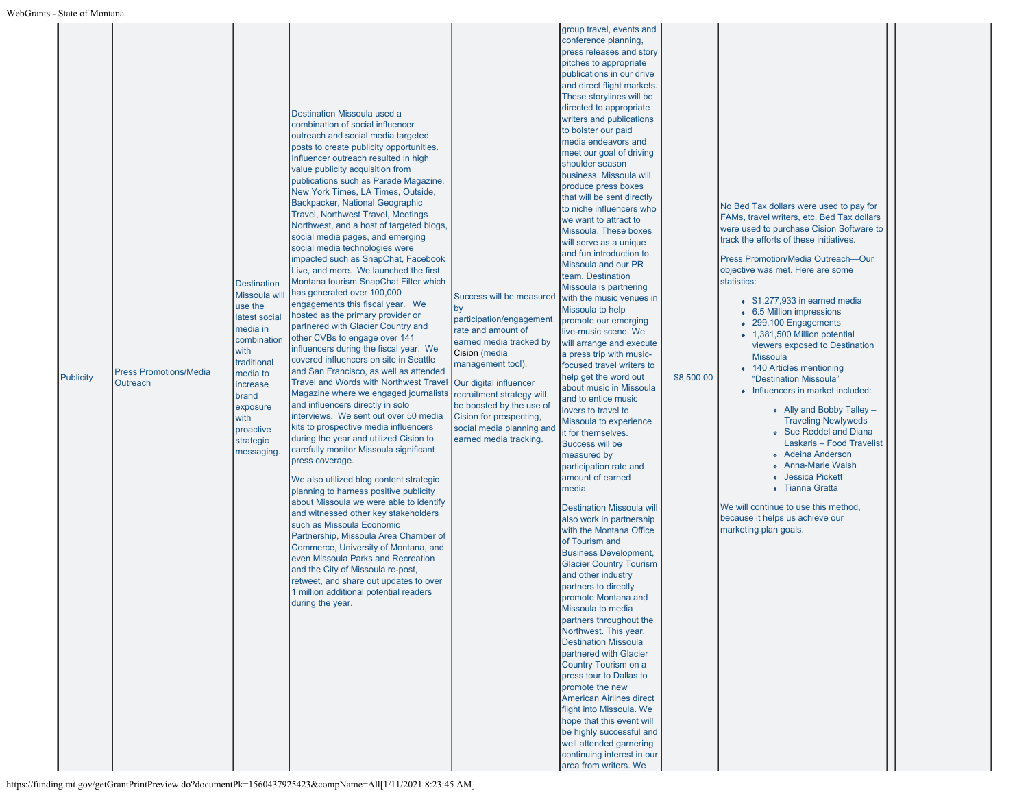| <b>Publicity</b> | <b>Press Promotions/Media</b><br><b>Outreach</b> | <b>Destination</b><br>Missoula will<br>use the<br>latest social<br>media in<br>combination<br>with<br>traditional<br>media to<br>increase<br>brand<br>exposure<br>with<br>proactive<br>strategic<br>messaging. | Destination Missoula used a<br>combination of social influencer<br>outreach and social media targeted<br>posts to create publicity opportunities.<br>Influencer outreach resulted in high<br>value publicity acquisition from<br>publications such as Parade Magazine,<br>New York Times, LA Times, Outside,<br>Backpacker, National Geographic<br><b>Travel, Northwest Travel, Meetings</b><br>Northwest, and a host of targeted blogs,<br>social media pages, and emerging<br>social media technologies were<br>impacted such as SnapChat, Facebook<br>Live, and more. We launched the first<br>Montana tourism SnapChat Filter which<br>has generated over 100,000<br>engagements this fiscal year. We<br>hosted as the primary provider or<br>partnered with Glacier Country and<br>other CVBs to engage over 141<br>influencers during the fiscal year. We<br>covered influencers on site in Seattle<br>and San Francisco, as well as attended<br><b>Travel and Words with Northwest Travel</b><br>Magazine where we engaged journalists<br>and influencers directly in solo<br>interviews. We sent out over 50 media<br>kits to prospective media influencers<br>during the year and utilized Cision to<br>carefully monitor Missoula significant<br>press coverage.<br>We also utilized blog content strategic<br>planning to harness positive publicity<br>about Missoula we were able to identify<br>and witnessed other key stakeholders<br>such as Missoula Economic<br>Partnership, Missoula Area Chamber of<br>Commerce, University of Montana, and<br>even Missoula Parks and Recreation<br>and the City of Missoula re-post,<br>retweet, and share out updates to over<br>1 million additional potential readers<br>during the year. | Success will be measured<br> by<br>participation/engagement<br>rate and amount of<br>earned media tracked by<br>Cision (media<br>management tool).<br>Our digital influencer<br>recruitment strategy will<br>be boosted by the use of<br>Cision for prospecting,<br>social media planning and<br>earned media tracking. | conference planning,<br>press releases and story<br>pitches to appropriate<br>publications in our drive<br>and direct flight markets.<br>These storylines will be<br>directed to appropriate<br>writers and publications<br>to bolster our paid<br>media endeavors and<br>meet our goal of driving<br>shoulder season<br>business. Missoula will<br>produce press boxes<br>that will be sent directly<br>to niche influencers who<br>we want to attract to<br>Missoula. These boxes<br>will serve as a unique<br>and fun introduction to<br>Missoula and our PR<br>team. Destination<br>Missoula is partnering<br>with the music venues in<br>Missoula to help<br>promote our emerging<br>live-music scene. We<br>will arrange and execute<br>a press trip with music-<br>focused travel writers to<br>help get the word out<br>about music in Missoula<br>and to entice music<br>lovers to travel to<br>Missoula to experience<br>it for themselves.<br>Success will be<br>measured by<br>participation rate and<br>amount of earned<br>media.<br><b>Destination Missoula will</b><br>also work in partnership<br>with the Montana Office<br>of Tourism and<br><b>Business Development,</b><br><b>Glacier Country Tourism</b><br>and other industry<br>partners to directly<br>promote Montana and<br>Missoula to media<br>partners throughout the<br>Northwest. This year,<br><b>Destination Missoula</b><br>partnered with Glacier<br>Country Tourism on a<br>press tour to Dallas to<br>promote the new<br><b>American Airlines direct</b><br>flight into Missoula. We<br>hope that this event will<br>be highly successful and<br>well attended garnering<br>continuing interest in our<br>area from writers. We | \$8,500.00 | No Bed Tax dollars were used to pay for<br>FAMs, travel writers, etc. Bed Tax dollars<br>were used to purchase Cision Software to<br>track the efforts of these initiatives.<br>Press Promotion/Media Outreach-Our<br>objective was met. Here are some<br>statistics:<br>$\bullet$ \$1,277,933 in earned media<br>• 6.5 Million impressions<br>• 299,100 Engagements<br>• 1,381,500 Million potential<br>viewers exposed to Destination<br><b>Missoula</b><br>• 140 Articles mentioning<br>"Destination Missoula"<br>• Influencers in market included:<br>• Ally and Bobby Talley -<br><b>Traveling Newlyweds</b><br><b>.</b> Sue Reddel and Diana<br>Laskaris - Food Travelist<br><b>• Adeina Anderson</b><br>o Anna-Marie Walsh<br>o Jessica Pickett<br>o Tianna Gratta<br>We will continue to use this method,<br>because it helps us achieve our<br>marketing plan goals. |
|------------------|--------------------------------------------------|----------------------------------------------------------------------------------------------------------------------------------------------------------------------------------------------------------------|-----------------------------------------------------------------------------------------------------------------------------------------------------------------------------------------------------------------------------------------------------------------------------------------------------------------------------------------------------------------------------------------------------------------------------------------------------------------------------------------------------------------------------------------------------------------------------------------------------------------------------------------------------------------------------------------------------------------------------------------------------------------------------------------------------------------------------------------------------------------------------------------------------------------------------------------------------------------------------------------------------------------------------------------------------------------------------------------------------------------------------------------------------------------------------------------------------------------------------------------------------------------------------------------------------------------------------------------------------------------------------------------------------------------------------------------------------------------------------------------------------------------------------------------------------------------------------------------------------------------------------------------------------------------------------------------------------------------------------------------------------|-------------------------------------------------------------------------------------------------------------------------------------------------------------------------------------------------------------------------------------------------------------------------------------------------------------------------|-----------------------------------------------------------------------------------------------------------------------------------------------------------------------------------------------------------------------------------------------------------------------------------------------------------------------------------------------------------------------------------------------------------------------------------------------------------------------------------------------------------------------------------------------------------------------------------------------------------------------------------------------------------------------------------------------------------------------------------------------------------------------------------------------------------------------------------------------------------------------------------------------------------------------------------------------------------------------------------------------------------------------------------------------------------------------------------------------------------------------------------------------------------------------------------------------------------------------------------------------------------------------------------------------------------------------------------------------------------------------------------------------------------------------------------------------------------------------------------------------------------------------------------------------------------------------------------------------------------------------------------------------------------------------------------------------------------------------|------------|-------------------------------------------------------------------------------------------------------------------------------------------------------------------------------------------------------------------------------------------------------------------------------------------------------------------------------------------------------------------------------------------------------------------------------------------------------------------------------------------------------------------------------------------------------------------------------------------------------------------------------------------------------------------------------------------------------------------------------------------------------------------------------------------------------------------------------------------------------------------------------|
|------------------|--------------------------------------------------|----------------------------------------------------------------------------------------------------------------------------------------------------------------------------------------------------------------|-----------------------------------------------------------------------------------------------------------------------------------------------------------------------------------------------------------------------------------------------------------------------------------------------------------------------------------------------------------------------------------------------------------------------------------------------------------------------------------------------------------------------------------------------------------------------------------------------------------------------------------------------------------------------------------------------------------------------------------------------------------------------------------------------------------------------------------------------------------------------------------------------------------------------------------------------------------------------------------------------------------------------------------------------------------------------------------------------------------------------------------------------------------------------------------------------------------------------------------------------------------------------------------------------------------------------------------------------------------------------------------------------------------------------------------------------------------------------------------------------------------------------------------------------------------------------------------------------------------------------------------------------------------------------------------------------------------------------------------------------------|-------------------------------------------------------------------------------------------------------------------------------------------------------------------------------------------------------------------------------------------------------------------------------------------------------------------------|-----------------------------------------------------------------------------------------------------------------------------------------------------------------------------------------------------------------------------------------------------------------------------------------------------------------------------------------------------------------------------------------------------------------------------------------------------------------------------------------------------------------------------------------------------------------------------------------------------------------------------------------------------------------------------------------------------------------------------------------------------------------------------------------------------------------------------------------------------------------------------------------------------------------------------------------------------------------------------------------------------------------------------------------------------------------------------------------------------------------------------------------------------------------------------------------------------------------------------------------------------------------------------------------------------------------------------------------------------------------------------------------------------------------------------------------------------------------------------------------------------------------------------------------------------------------------------------------------------------------------------------------------------------------------------------------------------------------------|------------|-------------------------------------------------------------------------------------------------------------------------------------------------------------------------------------------------------------------------------------------------------------------------------------------------------------------------------------------------------------------------------------------------------------------------------------------------------------------------------------------------------------------------------------------------------------------------------------------------------------------------------------------------------------------------------------------------------------------------------------------------------------------------------------------------------------------------------------------------------------------------------|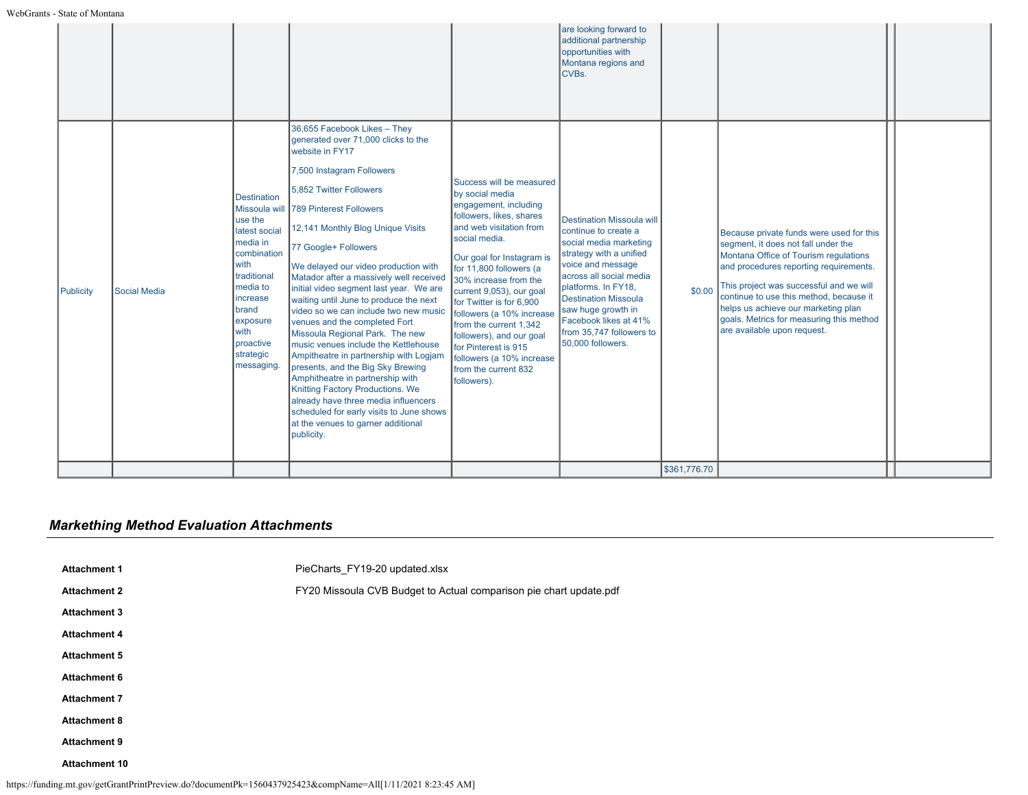# *Markething Method Evaluation Attachments*

| <b>Attachment 1</b>  | PieCharts_FY19-20 updated.xlsx                                     |
|----------------------|--------------------------------------------------------------------|
| <b>Attachment 2</b>  | FY20 Missoula CVB Budget to Actual comparison pie chart update.pdf |
| <b>Attachment 3</b>  |                                                                    |
| <b>Attachment 4</b>  |                                                                    |
| <b>Attachment 5</b>  |                                                                    |
| <b>Attachment 6</b>  |                                                                    |
| <b>Attachment 7</b>  |                                                                    |
| <b>Attachment 8</b>  |                                                                    |
| <b>Attachment 9</b>  |                                                                    |
| <b>Attachment 10</b> |                                                                    |
|                      |                                                                    |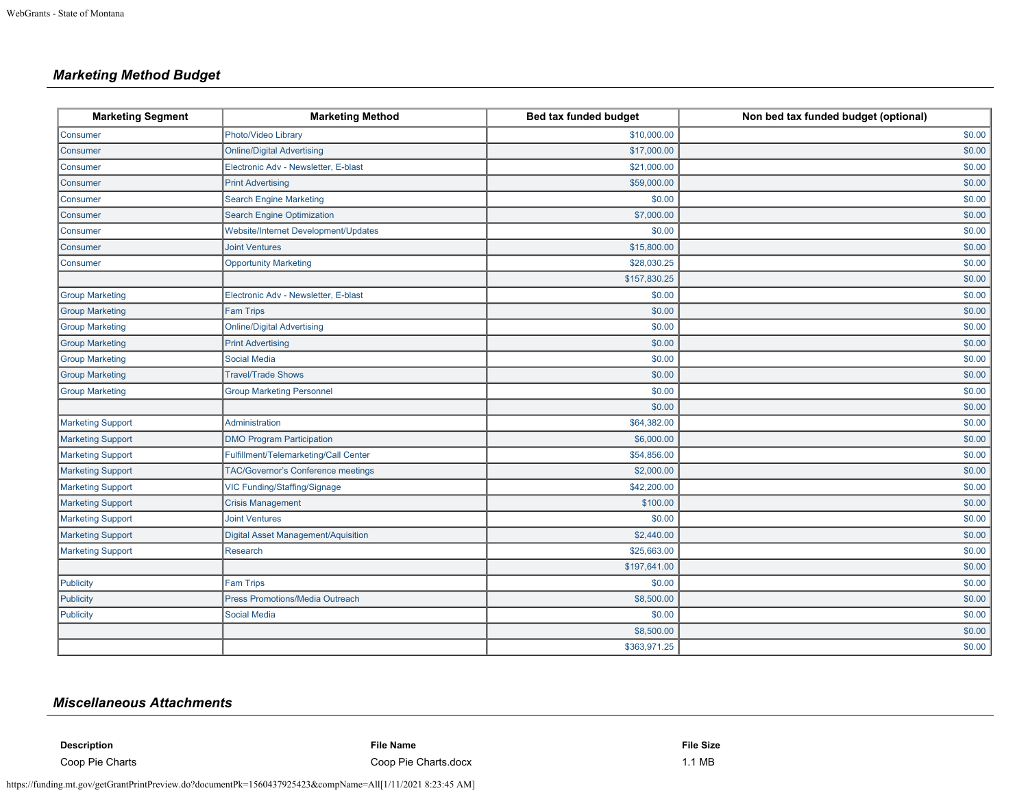# *Marketing Method Budget*

| <b>Marketing Segment</b> | <b>Marketing Method</b>                    | Bed tax funded budget | Non bed tax funded budget (optional) |
|--------------------------|--------------------------------------------|-----------------------|--------------------------------------|
| Consumer                 | Photo/Video Library                        | \$10,000.00           | \$0.00                               |
| Consumer                 | <b>Online/Digital Advertising</b>          | \$17,000.00           | \$0.00                               |
| Consumer                 | Electronic Adv - Newsletter, E-blast       | \$21,000.00           | \$0.00                               |
| Consumer                 | <b>Print Advertising</b>                   | \$59,000.00           | \$0.00                               |
| Consumer                 | <b>Search Engine Marketing</b>             | \$0.00                | \$0.00                               |
| <b>Consumer</b>          | <b>Search Engine Optimization</b>          | \$7,000.00            | \$0.00                               |
| Consumer                 | Website/Internet Development/Updates       | \$0.00                | \$0.00                               |
| Consumer                 | <b>Joint Ventures</b>                      | \$15,800.00           | \$0.00                               |
| Consumer                 | <b>Opportunity Marketing</b>               | \$28,030.25           | \$0.00                               |
|                          |                                            | \$157,830.25          | \$0.00                               |
| <b>Group Marketing</b>   | Electronic Adv - Newsletter, E-blast       | \$0.00                | \$0.00                               |
| <b>Group Marketing</b>   | <b>Fam Trips</b>                           | \$0.00                | \$0.00                               |
| <b>Group Marketing</b>   | <b>Online/Digital Advertising</b>          | \$0.00                | \$0.00                               |
| <b>Group Marketing</b>   | <b>Print Advertising</b>                   | \$0.00                | \$0.00                               |
| <b>Group Marketing</b>   | <b>Social Media</b>                        | \$0.00                | \$0.00                               |
| <b>Group Marketing</b>   | <b>Travel/Trade Shows</b>                  | \$0.00                | \$0.00                               |
| <b>Group Marketing</b>   | <b>Group Marketing Personnel</b>           | \$0.00                | \$0.00                               |
|                          |                                            | \$0.00                | \$0.00                               |
| <b>Marketing Support</b> | Administration                             | \$64,382.00           | \$0.00                               |
| Marketing Support        | <b>DMO Program Participation</b>           | \$6,000.00            | \$0.00                               |
| Marketing Support        | Fulfillment/Telemarketing/Call Center      | \$54,856.00           | \$0.00                               |
| Marketing Support        | TAC/Governor's Conference meetings         | \$2,000.00            | \$0.00                               |
| Marketing Support        | VIC Funding/Staffing/Signage               | \$42,200.00           | \$0.00                               |
| Marketing Support        | <b>Crisis Management</b>                   | \$100.00              | \$0.00                               |
| <b>Marketing Support</b> | <b>Joint Ventures</b>                      | \$0.00                | \$0.00                               |
| <b>Marketing Support</b> | <b>Digital Asset Management/Aquisition</b> | \$2,440.00            | \$0.00                               |
| Marketing Support        | Research                                   | \$25,663.00           | \$0.00                               |
|                          |                                            | \$197,641.00          | \$0.00                               |
| Publicity                | <b>Fam Trips</b>                           | \$0.00                | \$0.00                               |
| Publicity                | <b>Press Promotions/Media Outreach</b>     | \$8,500.00            | \$0.00                               |
| Publicity                | <b>Social Media</b>                        | \$0.00                | \$0.00                               |
|                          |                                            | \$8,500.00            | \$0.00                               |
|                          |                                            | \$363,971.25          | \$0.00                               |

# *Miscellaneous Attachments*

| <b>Description</b> | <b>File Name</b>     | <b>File Size</b> |
|--------------------|----------------------|------------------|
| Coop Pie Charts    | Coop Pie Charts.docx | 1.1 MB           |